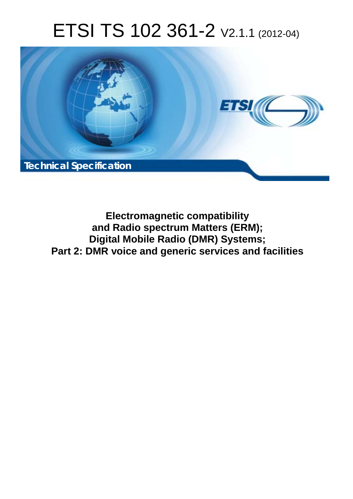# ETSI TS 102 361-2 V2.1.1 (2012-04)



**Electromagnetic compatibility and Radio spectrum Matters (ERM); Digital Mobile Radio (DMR) Systems; Part 2: DMR voice and generic services and facilities**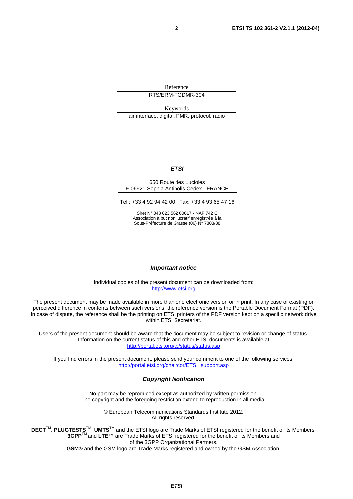Reference RTS/ERM-TGDMR-304

Keywords air interface, digital, PMR, protocol, radio

#### *ETSI*

#### 650 Route des Lucioles F-06921 Sophia Antipolis Cedex - FRANCE

Tel.: +33 4 92 94 42 00 Fax: +33 4 93 65 47 16

Siret N° 348 623 562 00017 - NAF 742 C Association à but non lucratif enregistrée à la Sous-Préfecture de Grasse (06) N° 7803/88

#### *Important notice*

Individual copies of the present document can be downloaded from: [http://www.etsi.org](http://www.etsi.org/)

The present document may be made available in more than one electronic version or in print. In any case of existing or perceived difference in contents between such versions, the reference version is the Portable Document Format (PDF). In case of dispute, the reference shall be the printing on ETSI printers of the PDF version kept on a specific network drive within ETSI Secretariat.

Users of the present document should be aware that the document may be subject to revision or change of status. Information on the current status of this and other ETSI documents is available at <http://portal.etsi.org/tb/status/status.asp>

If you find errors in the present document, please send your comment to one of the following services: [http://portal.etsi.org/chaircor/ETSI\\_support.asp](http://portal.etsi.org/chaircor/ETSI_support.asp)

#### *Copyright Notification*

No part may be reproduced except as authorized by written permission. The copyright and the foregoing restriction extend to reproduction in all media.

> © European Telecommunications Standards Institute 2012. All rights reserved.

DECT<sup>™</sup>, PLUGTESTS<sup>™</sup>, UMTS<sup>™</sup> and the ETSI logo are Trade Marks of ETSI registered for the benefit of its Members. **3GPP**TM and **LTE**™ are Trade Marks of ETSI registered for the benefit of its Members and of the 3GPP Organizational Partners.

**GSM**® and the GSM logo are Trade Marks registered and owned by the GSM Association.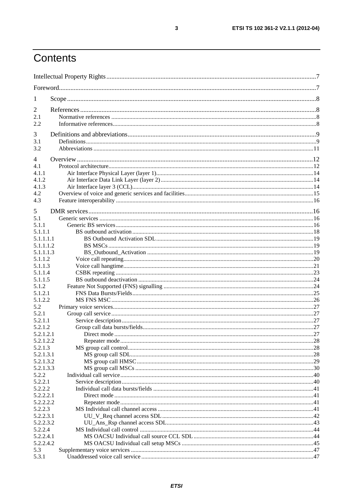# Contents

| $\mathbf{I}$         |  |
|----------------------|--|
| 2                    |  |
| 2.1                  |  |
| 2.2                  |  |
| 3                    |  |
| 3.1                  |  |
| 3.2                  |  |
|                      |  |
| $\overline{4}$       |  |
| 4.1                  |  |
| 4.1.1                |  |
| 4.1.2<br>4.1.3       |  |
| 4.2                  |  |
| 4.3                  |  |
|                      |  |
| 5<br>5.1             |  |
| 5.1.1                |  |
| 5.1.1.1              |  |
| 5.1.1.1.1            |  |
| 5.1.1.1.2            |  |
| 5.1.1.1.3            |  |
| 5.1.1.2              |  |
| 5.1.1.3              |  |
| 5.1.1.4              |  |
| 5.1.1.5              |  |
| 5.1.2                |  |
| 5.1.2.1              |  |
| 5.1.2.2              |  |
| 5.2                  |  |
| 5.2.1                |  |
| 5.2.1.1              |  |
| 5.2.1.2              |  |
| 5.2.1.2.1            |  |
| 5.2.1.2.2            |  |
| 5.2.1.3              |  |
| 5.2.1.3.1            |  |
| 5.2.1.3.2            |  |
| 5.2.1.3.3            |  |
| 5.2.2                |  |
| 5.2.2.1              |  |
| 5.2.2.2              |  |
| 5.2.2.2.1            |  |
| 5.2.2.2.2<br>5.2.2.3 |  |
| 5.2.2.3.1            |  |
| 5.2.2.3.2            |  |
| 5.2.2.4              |  |
| 5.2.2.4.1            |  |
| 5.2.2.4.2            |  |
| 5.3                  |  |
| 5.3.1                |  |
|                      |  |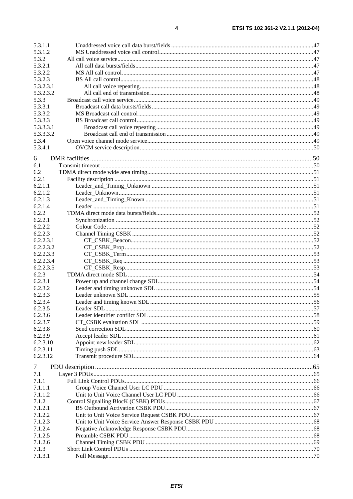| 5.3.1.1   |  |
|-----------|--|
| 5.3.1.2   |  |
| 5.3.2     |  |
| 5.3.2.1   |  |
| 5.3.2.2   |  |
| 5.3.2.3   |  |
| 5.3.2.3.1 |  |
| 5.3.2.3.2 |  |
| 5.3.3     |  |
| 5.3.3.1   |  |
| 5.3.3.2   |  |
| 5.3.3.3   |  |
| 5.3.3.3.1 |  |
| 5.3.3.3.2 |  |
| 5.3.4     |  |
| 5.3.4.1   |  |
|           |  |
| 6         |  |
| 6.1       |  |
| 6.2       |  |
| 6.2.1     |  |
| 6.2.1.1   |  |
| 6.2.1.2   |  |
| 6.2.1.3   |  |
| 6.2.1.4   |  |
| 6.2.2     |  |
| 6.2.2.1   |  |
| 6.2.2.2   |  |
| 6.2.2.3   |  |
| 6.2.2.3.1 |  |
| 6.2.2.3.2 |  |
| 6.2.2.3.3 |  |
|           |  |
| 6.2.2.3.4 |  |
| 6.2.2.3.5 |  |
| 6.2.3     |  |
| 6.2.3.1   |  |
| 6.2.3.2   |  |
| 6.2.3.3   |  |
| 6.2.3.4   |  |
| 6.2.3.5   |  |
| 6.2.3.6   |  |
| 6.2.3.7   |  |
| 6.2.3.8   |  |
| 6.2.3.9   |  |
| 6.2.3.10  |  |
| 6.2.3.11  |  |
| 6.2.3.12  |  |
| 7         |  |
|           |  |
| 7.1       |  |
| 7.1.1     |  |
| 7.1.1.1   |  |
| 7.1.1.2   |  |
| 7.1.2     |  |
| 7.1.2.1   |  |
| 7.1.2.2   |  |
| 7.1.2.3   |  |
| 7.1.2.4   |  |
| 7.1.2.5   |  |
| 7.1.2.6   |  |
| 7.1.3     |  |
| 7.1.3.1   |  |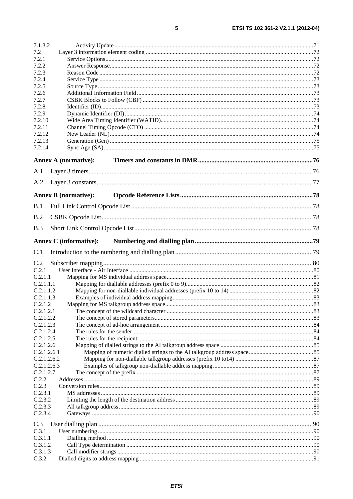| 7.1.3.2                    |                               |  |
|----------------------------|-------------------------------|--|
| 7.2                        |                               |  |
| 7.2.1                      |                               |  |
| 7.2.2                      |                               |  |
| 7.2.3<br>7.2.4             |                               |  |
| 7.2.5                      |                               |  |
| 7.2.6                      |                               |  |
| 7.2.7                      |                               |  |
| 7.2.8                      |                               |  |
| 7.2.9                      |                               |  |
| 7.2.10                     |                               |  |
| 7.2.11                     |                               |  |
| 7.2.12                     |                               |  |
| 7.2.13                     |                               |  |
| 7.2.14                     |                               |  |
|                            | Annex A (normative):          |  |
| A.1                        |                               |  |
| A.2                        |                               |  |
|                            | <b>Annex B</b> (normative):   |  |
| B.1                        |                               |  |
| B.2                        |                               |  |
| <b>B.3</b>                 |                               |  |
|                            | <b>Annex C</b> (informative): |  |
| C.1                        |                               |  |
| C.2                        |                               |  |
| C.2.1                      |                               |  |
| C.2.1.1                    |                               |  |
| C.2.1.1.1                  |                               |  |
| C.2.1.1.2                  |                               |  |
| C.2.1.1.3                  |                               |  |
| C.2.1.2                    |                               |  |
| C.2.1.2.1                  |                               |  |
| C.2.1.2.2                  |                               |  |
| C.2.1.2.3                  |                               |  |
| C.2.1.2.4                  |                               |  |
| C.2.1.2.5                  |                               |  |
| C.2.1.2.6                  |                               |  |
| C.2.1.2.6.1<br>C.2.1.2.6.2 |                               |  |
| C.2.1.2.6.3                |                               |  |
| C.2.1.2.7                  |                               |  |
| C.2.2                      |                               |  |
|                            |                               |  |
|                            |                               |  |
| C.2.3<br>C.2.3.1           |                               |  |
| C.2.3.2                    |                               |  |
| C.2.3.3                    |                               |  |
| C.2.3.4                    |                               |  |
| C.3                        |                               |  |
| C.3.1                      |                               |  |
| C.3.1.1                    |                               |  |
| C.3.1.2                    |                               |  |
| C.3.1.3<br>C.3.2           |                               |  |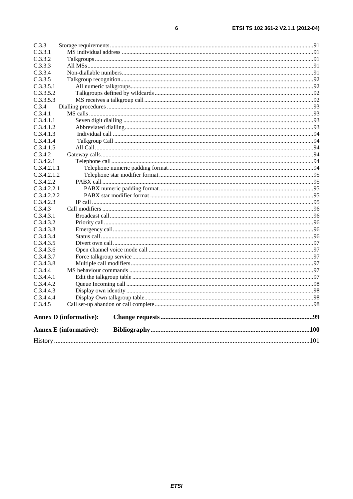$\bf 6$ 

| C.3.3                         |  |
|-------------------------------|--|
| C.3.3.1                       |  |
| C.3.3.2                       |  |
| C.3.3.3                       |  |
| C.3.3.4                       |  |
| C.3.3.5                       |  |
| C.3.3.5.1                     |  |
| C.3.3.5.2                     |  |
| C.3.3.5.3                     |  |
| C.3.4                         |  |
| C.3.4.1                       |  |
| C.3.4.1.1                     |  |
| C.3.4.1.2                     |  |
| C.3.4.1.3                     |  |
| C.3.4.1.4                     |  |
| C.3.4.1.5                     |  |
| C.3.4.2                       |  |
| C.3.4.2.1                     |  |
| C.3.4.2.1.1                   |  |
| C.3.4.2.1.2                   |  |
| C.3.4.2.2                     |  |
| C.3.4.2.2.1                   |  |
| C.3.4.2.2.2                   |  |
| C.3.4.2.3                     |  |
| C.3.4.3                       |  |
| C.3.4.3.1                     |  |
| C.3.4.3.2                     |  |
| C.3.4.3.3                     |  |
| C.3.4.3.4                     |  |
| C.3.4.3.5                     |  |
| C.3.4.3.6                     |  |
| C.3.4.3.7                     |  |
| C.3.4.3.8                     |  |
| C.3.4.4                       |  |
| C.3.4.4.1                     |  |
| C.3.4.4.2                     |  |
| C.3.4.4.3                     |  |
| C.3.4.4.4                     |  |
| C.3.4.5                       |  |
| <b>Annex D</b> (informative): |  |
| <b>Annex E</b> (informative): |  |
|                               |  |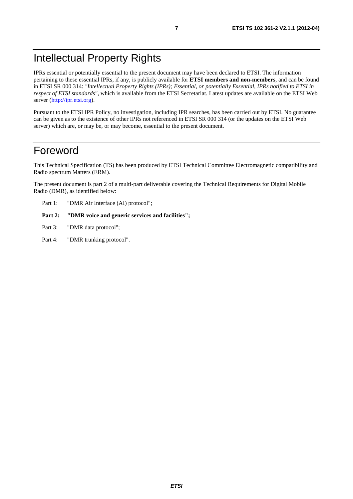# Intellectual Property Rights

IPRs essential or potentially essential to the present document may have been declared to ETSI. The information pertaining to these essential IPRs, if any, is publicly available for **ETSI members and non-members**, and can be found in ETSI SR 000 314: *"Intellectual Property Rights (IPRs); Essential, or potentially Essential, IPRs notified to ETSI in respect of ETSI standards"*, which is available from the ETSI Secretariat. Latest updates are available on the ETSI Web server ([http://ipr.etsi.org\)](http://webapp.etsi.org/IPR/home.asp).

Pursuant to the ETSI IPR Policy, no investigation, including IPR searches, has been carried out by ETSI. No guarantee can be given as to the existence of other IPRs not referenced in ETSI SR 000 314 (or the updates on the ETSI Web server) which are, or may be, or may become, essential to the present document.

# Foreword

This Technical Specification (TS) has been produced by ETSI Technical Committee Electromagnetic compatibility and Radio spectrum Matters (ERM).

The present document is part 2 of a multi-part deliverable covering the Technical Requirements for Digital Mobile Radio (DMR), as identified below:

Part 1: "DMR Air Interface (AI) protocol";

#### Part 2: "DMR voice and generic services and facilities";

- Part 3: "DMR data protocol";
- Part 4: "DMR trunking protocol".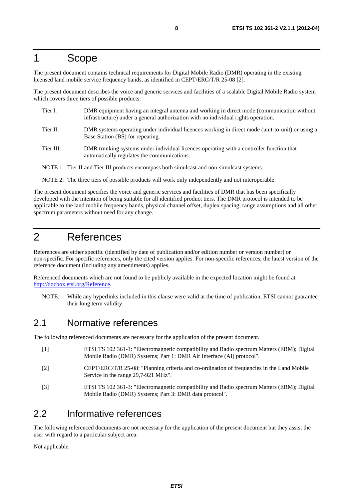# 1 Scope

The present document contains technical requirements for Digital Mobile Radio (DMR) operating in the existing licensed land mobile service frequency bands, as identified in CEPT/ERC/T/R 25-08 [2].

The present document describes the voice and generic services and facilities of a scalable Digital Mobile Radio system which covers three tiers of possible products:

- Tier I: DMR equipment having an integral antenna and working in direct mode (communication without infrastructure) under a general authorization with no individual rights operation. Tier II: DMR systems operating under individual licences working in direct mode (unit-to-unit) or using a Base Station (BS) for repeating. Tier III: DMR trunking systems under individual licences operating with a controller function that automatically regulates the communications.
- NOTE 1: Tier II and Tier III products encompass both simulcast and non-simulcast systems.
- NOTE 2: The three tiers of possible products will work only independently and not interoperable.

The present document specifies the voice and generic services and facilities of DMR that has been specifically developed with the intention of being suitable for all identified product tiers. The DMR protocol is intended to be applicable to the land mobile frequency bands, physical channel offset, duplex spacing, range assumptions and all other spectrum parameters without need for any change.

# 2 References

References are either specific (identified by date of publication and/or edition number or version number) or non-specific. For specific references, only the cited version applies. For non-specific references, the latest version of the reference document (including any amendments) applies.

Referenced documents which are not found to be publicly available in the expected location might be found at [http://docbox.etsi.org/Reference.](http://docbox.etsi.org/Reference)

NOTE: While any hyperlinks included in this clause were valid at the time of publication, ETSI cannot guarantee their long term validity.

# 2.1 Normative references

The following referenced documents are necessary for the application of the present document.

[1] ETSI TS 102 361-1: "Electromagnetic compatibility and Radio spectrum Matters (ERM); Digital Mobile Radio (DMR) Systems; Part 1: DMR Air Interface (AI) protocol". [2] CEPT/ERC/T/R 25-08: "Planning criteria and co-ordination of frequencies in the Land Mobile Service in the range 29,7-921 MHz". [3] ETSI TS 102 361-3: "Electromagnetic compatibility and Radio spectrum Matters (ERM); Digital Mobile Radio (DMR) Systems; Part 3: DMR data protocol".

# 2.2 Informative references

The following referenced documents are not necessary for the application of the present document but they assist the user with regard to a particular subject area.

Not applicable.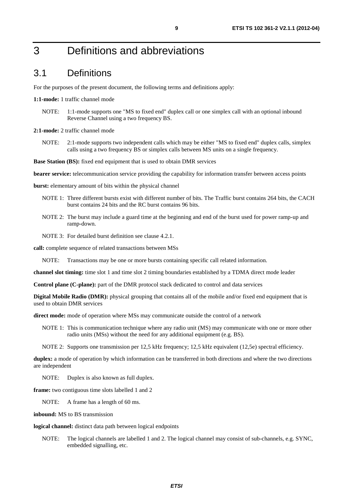# 3 Definitions and abbreviations

### 3.1 Definitions

For the purposes of the present document, the following terms and definitions apply:

**1:1-mode:** 1 traffic channel mode

- NOTE: 1:1-mode supports one "MS to fixed end" duplex call or one simplex call with an optional inbound Reverse Channel using a two frequency BS.
- **2:1-mode:** 2 traffic channel mode
	- NOTE: 2:1-mode supports two independent calls which may be either "MS to fixed end" duplex calls, simplex calls using a two frequency BS or simplex calls between MS units on a single frequency.

**Base Station (BS):** fixed end equipment that is used to obtain DMR services

**bearer service:** telecommunication service providing the capability for information transfer between access points

**burst:** elementary amount of bits within the physical channel

- NOTE 1: Three different bursts exist with different number of bits. The Traffic burst contains 264 bits, the CACH burst contains 24 bits and the RC burst contains 96 bits.
- NOTE 2: The burst may include a guard time at the beginning and end of the burst used for power ramp-up and ramp-down.

NOTE 3: For detailed burst definition see clause 4.2.1.

**call:** complete sequence of related transactions between MSs

NOTE: Transactions may be one or more bursts containing specific call related information.

**channel slot timing:** time slot 1 and time slot 2 timing boundaries established by a TDMA direct mode leader

**Control plane (C-plane):** part of the DMR protocol stack dedicated to control and data services

**Digital Mobile Radio (DMR):** physical grouping that contains all of the mobile and/or fixed end equipment that is used to obtain DMR services

**direct mode:** mode of operation where MSs may communicate outside the control of a network

NOTE 1: This is communication technique where any radio unit (MS) may communicate with one or more other radio units (MSs) without the need for any additional equipment (e.g. BS).

NOTE 2: Supports one transmission per 12,5 kHz frequency; 12,5 kHz equivalent (12,5e) spectral efficiency.

**duplex:** a mode of operation by which information can be transferred in both directions and where the two directions are independent

NOTE: Duplex is also known as full duplex.

**frame:** two contiguous time slots labelled 1 and 2

NOTE: A frame has a length of 60 ms.

**inbound:** MS to BS transmission

**logical channel:** distinct data path between logical endpoints

NOTE: The logical channels are labelled 1 and 2. The logical channel may consist of sub-channels, e.g. SYNC, embedded signalling, etc.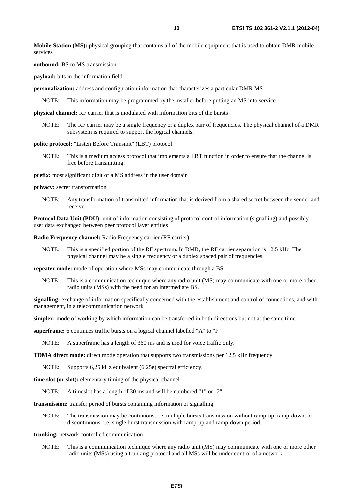**Mobile Station (MS):** physical grouping that contains all of the mobile equipment that is used to obtain DMR mobile services

**outbound:** BS to MS transmission

**payload:** bits in the information field

**personalization:** address and configuration information that characterizes a particular DMR MS

NOTE: This information may be programmed by the installer before putting an MS into service.

**physical channel:** RF carrier that is modulated with information bits of the bursts

NOTE: The RF carrier may be a single frequency or a duplex pair of frequencies. The physical channel of a DMR subsystem is required to support the logical channels.

#### **polite protocol:** "Listen Before Transmit" (LBT) protocol

NOTE: This is a medium access protocol that implements a LBT function in order to ensure that the channel is free before transmitting.

**prefix:** most significant digit of a MS address in the user domain

**privacy:** secret transformation

NOTE: Any transformation of transmitted information that is derived from a shared secret between the sender and receiver.

**Protocol Data Unit (PDU):** unit of information consisting of protocol control information (signalling) and possibly user data exchanged between peer protocol layer entities

**Radio Frequency channel:** Radio Frequency carrier (RF carrier)

NOTE: This is a specified portion of the RF spectrum. In DMR, the RF carrier separation is 12,5 kHz. The physical channel may be a single frequency or a duplex spaced pair of frequencies.

**repeater mode:** mode of operation where MSs may communicate through a BS

NOTE: This is a communication technique where any radio unit (MS) may communicate with one or more other radio units (MSs) with the need for an intermediate BS.

**signalling:** exchange of information specifically concerned with the establishment and control of connections, and with management, in a telecommunication network

**simplex:** mode of working by which information can be transferred in both directions but not at the same time

**superframe:** 6 continues traffic bursts on a logical channel labelled "A" to "F"

NOTE: A superframe has a length of 360 ms and is used for voice traffic only.

**TDMA direct mode:** direct mode operation that supports two transmissions per 12,5 kHz frequency

NOTE: Supports 6,25 kHz equivalent (6,25e) spectral efficiency.

**time slot (or slot):** elementary timing of the physical channel

NOTE: A timeslot has a length of 30 ms and will be numbered "1" or "2".

**transmission:** transfer period of bursts containing information or signalling

NOTE: The transmission may be continuous, i.e. multiple bursts transmission without ramp-up, ramp-down, or discontinuous, i.e. single burst transmission with ramp-up and ramp-down period.

#### **trunking:** network controlled communication

NOTE: This is a communication technique where any radio unit (MS) may communicate with one or more other radio units (MSs) using a trunking protocol and all MSs will be under control of a network.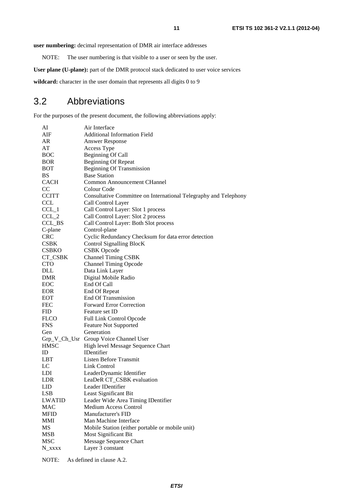**user numbering:** decimal representation of DMR air interface addresses

NOTE: The user numbering is that visible to a user or seen by the user.

User plane (U-plane): part of the DMR protocol stack dedicated to user voice services

wildcard: character in the user domain that represents all digits 0 to 9

# 3.2 Abbreviations

For the purposes of the present document, the following abbreviations apply:

| AI              | Air Interface                                                    |
|-----------------|------------------------------------------------------------------|
| AIF             | <b>Additional Information Field</b>                              |
| AR              | <b>Answer Response</b>                                           |
| AT              | Access Type                                                      |
| <b>BOC</b>      | <b>Beginning Of Call</b>                                         |
| <b>BOR</b>      | <b>Beginning Of Repeat</b>                                       |
| <b>BOT</b>      | <b>Beginning Of Transmission</b>                                 |
| BS              | <b>Base Station</b>                                              |
| <b>CACH</b>     | Common Announcement CHannel                                      |
| <sub>CC</sub>   | Colour Code                                                      |
| <b>CCITT</b>    | Consultative Committee on International Telegraphy and Telephony |
| <b>CCL</b>      | Call Control Layer                                               |
| $CCL_1$         | Call Control Layer: Slot 1 process                               |
| $CCL_2$         | Call Control Layer: Slot 2 process                               |
| CCL_BS          | Call Control Layer: Both Slot process                            |
| C-plane         | Control-plane                                                    |
| <b>CRC</b>      | Cyclic Redundancy Checksum for data error detection              |
| <b>CSBK</b>     | Control Signalling BlocK                                         |
| <b>CSBKO</b>    | <b>CSBK</b> Opcode                                               |
| CT_CSBK         | <b>Channel Timing CSBK</b>                                       |
| <b>CTO</b>      | <b>Channel Timing Opcode</b>                                     |
| <b>DLL</b>      | Data Link Layer                                                  |
| <b>DMR</b>      | Digital Mobile Radio                                             |
| EOC             | End Of Call                                                      |
| <b>EOR</b>      | End Of Repeat                                                    |
| <b>EOT</b>      | <b>End Of Transmission</b>                                       |
| <b>FEC</b>      | <b>Forward Error Correction</b>                                  |
| <b>FID</b>      | Feature set ID                                                   |
| <b>FLCO</b>     | Full Link Control Opcode                                         |
| <b>FNS</b>      | <b>Feature Not Supported</b>                                     |
| Gen             | Generation                                                       |
|                 | Grp_V_Ch_Usr Group Voice Channel User                            |
| <b>HMSC</b>     | High level Message Sequence Chart                                |
| ID              | <b>IDentifier</b>                                                |
| <b>LBT</b>      | Listen Before Transmit                                           |
| LC              | <b>Link Control</b>                                              |
| LDI             | LeaderDynamic Identifier                                         |
| <b>LDR</b>      | LeaDeR CT_CSBK evaluation                                        |
| LID             | Leader IDentifier                                                |
| <b>LSB</b>      | Least Significant Bit                                            |
| <b>LWATID</b>   | Leader Wide Area Timing IDentifier                               |
| <b>MAC</b>      | <b>Medium Access Control</b>                                     |
| <b>MFID</b>     | Manufacturer's FID                                               |
| MMI             | Man Machine Interface                                            |
| MS              | Mobile Station (either portable or mobile unit)                  |
| <b>MSB</b>      | Most Significant Bit                                             |
| <b>MSC</b>      | Message Sequence Chart                                           |
| $N_{\rm_}$ xxxx | Layer 3 constant                                                 |
|                 |                                                                  |

NOTE: As defined in clause A.2.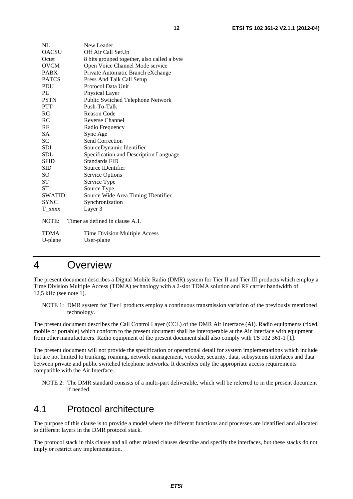| NL           | New Leader                                  |
|--------------|---------------------------------------------|
| <b>OACSU</b> | Off Air Call SetUp                          |
| Octet        | 8 bits grouped together, also called a byte |
| <b>OVCM</b>  | Open Voice Channel Mode service             |
| <b>PABX</b>  | Private Automatic Branch eXchange           |
| <b>PATCS</b> | Press And Talk Call Setup                   |
| PDU          | Protocol Data Unit                          |
| PL           | Physical Layer                              |
| <b>PSTN</b>  | Public Switched Telephone Network           |
| <b>PTT</b>   | Push-To-Talk                                |
| RC           | Reason Code                                 |
| RC           | <b>Reverse Channel</b>                      |
| RF           | Radio Frequency                             |
| SА           | Sync Age                                    |
| <b>SC</b>    | Send Correction                             |
| <b>SDI</b>   | SourceDynamic Identifier                    |
| SDL          | Specification and Description Language      |
| <b>SFID</b>  | <b>Standards FID</b>                        |
| <b>SID</b>   | Source IDentifier                           |
| SO           | <b>Service Options</b>                      |
| <b>ST</b>    | Service Type                                |
| <b>ST</b>    | Source Type                                 |
| SWATID       | Source Wide Area Timing IDentifier          |
| <b>SYNC</b>  | Synchronization                             |
| T_xxxx       | Layer 3                                     |
| NOTE:        | Timer as defined in clause A.1.             |
| <b>TDMA</b>  | Time Division Multiple Access               |
| U-plane      | User-plane                                  |

# 4 Overview

The present document describes a Digital Mobile Radio (DMR) system for Tier II and Tier III products which employ a Time Division Multiple Access (TDMA) technology with a 2-slot TDMA solution and RF carrier bandwidth of 12,5 kHz (see note 1).

NOTE 1: DMR system for Tier I products employ a continuous transmission variation of the previously mentioned technology.

The present document describes the Call Control Layer (CCL) of the DMR Air Interface (AI). Radio equipments (fixed, mobile or portable) which conform to the present document shall be interoperable at the Air Interface with equipment from other manufacturers. Radio equipment of the present document shall also comply with TS 102 361-1 [1].

The present document will not provide the specification or operational detail for system implementations which include but are not limited to trunking, roaming, network management, vocoder, security, data, subsystems interfaces and data between private and public switched telephone networks. It describes only the appropriate access requirements compatible with the Air Interface.

NOTE 2: The DMR standard consists of a multi-part deliverable, which will be referred to in the present document if needed.

# 4.1 Protocol architecture

The purpose of this clause is to provide a model where the different functions and processes are identified and allocated to different layers in the DMR protocol stack.

The protocol stack in this clause and all other related clauses describe and specify the interfaces, but these stacks do not imply or restrict any implementation.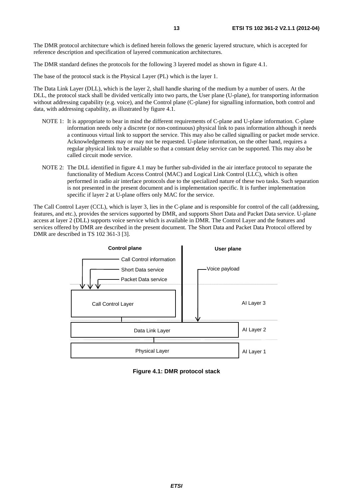The DMR protocol architecture which is defined herein follows the generic layered structure, which is accepted for reference description and specification of layered communication architectures.

The DMR standard defines the protocols for the following 3 layered model as shown in figure 4.1.

The base of the protocol stack is the Physical Layer (PL) which is the layer 1.

The Data Link Layer (DLL), which is the layer 2, shall handle sharing of the medium by a number of users. At the DLL, the protocol stack shall be divided vertically into two parts, the User plane (U-plane), for transporting information without addressing capability (e.g. voice), and the Control plane (C-plane) for signalling information, both control and data, with addressing capability, as illustrated by figure 4.1.

- NOTE 1: It is appropriate to bear in mind the different requirements of C-plane and U-plane information. C-plane information needs only a discrete (or non-continuous) physical link to pass information although it needs a continuous virtual link to support the service. This may also be called signalling or packet mode service. Acknowledgements may or may not be requested. U-plane information, on the other hand, requires a regular physical link to be available so that a constant delay service can be supported. This may also be called circuit mode service.
- NOTE 2: The DLL identified in figure 4.1 may be further sub-divided in the air interface protocol to separate the functionality of Medium Access Control (MAC) and Logical Link Control (LLC), which is often performed in radio air interface protocols due to the specialized nature of these two tasks. Such separation is not presented in the present document and is implementation specific. It is further implementation specific if layer 2 at U-plane offers only MAC for the service.

The Call Control Layer (CCL), which is layer 3, lies in the C-plane and is responsible for control of the call (addressing, features, and etc.), provides the services supported by DMR, and supports Short Data and Packet Data service. U-plane access at layer 2 (DLL) supports voice service which is available in DMR. The Control Layer and the features and services offered by DMR are described in the present document. The Short Data and Packet Data Protocol offered by DMR are described in TS 102 361-3 [3].



**Figure 4.1: DMR protocol stack**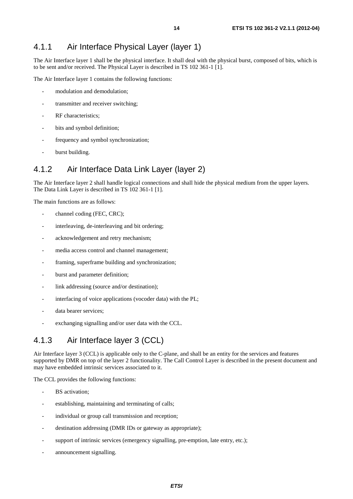## 4.1.1 Air Interface Physical Layer (layer 1)

The Air Interface layer 1 shall be the physical interface. It shall deal with the physical burst, composed of bits, which is to be sent and/or received. The Physical Layer is described in TS 102 361-1 [1].

The Air Interface layer 1 contains the following functions:

- modulation and demodulation;
- transmitter and receiver switching;
- RF characteristics;
- bits and symbol definition;
- frequency and symbol synchronization:
- burst building.

### 4.1.2 Air Interface Data Link Layer (layer 2)

The Air Interface layer 2 shall handle logical connections and shall hide the physical medium from the upper layers. The Data Link Layer is described in TS 102 361-1 [1].

The main functions are as follows:

- channel coding (FEC, CRC);
- interleaving, de-interleaving and bit ordering;
- acknowledgement and retry mechanism;
- media access control and channel management;
- framing, superframe building and synchronization;
- burst and parameter definition;
- link addressing (source and/or destination);
- interfacing of voice applications (vocoder data) with the PL;
- data bearer services;
- exchanging signalling and/or user data with the CCL.

### 4.1.3 Air Interface layer 3 (CCL)

Air Interface layer 3 (CCL) is applicable only to the C-plane, and shall be an entity for the services and features supported by DMR on top of the layer 2 functionality. The Call Control Layer is described in the present document and may have embedded intrinsic services associated to it.

The CCL provides the following functions:

- BS activation;
- establishing, maintaining and terminating of calls;
- individual or group call transmission and reception;
- destination addressing (DMR IDs or gateway as appropriate);
- support of intrinsic services (emergency signalling, pre-emption, late entry, etc.);
- announcement signalling.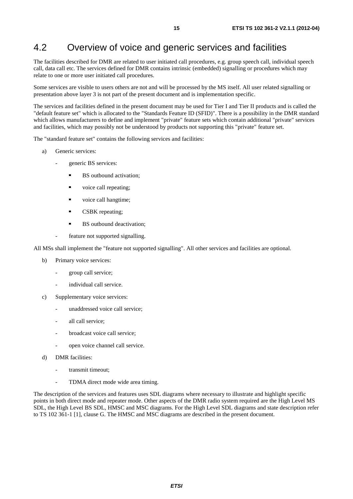# 4.2 Overview of voice and generic services and facilities

The facilities described for DMR are related to user initiated call procedures, e.g. group speech call, individual speech call, data call etc. The services defined for DMR contains intrinsic (embedded) signalling or procedures which may relate to one or more user initiated call procedures.

Some services are visible to users others are not and will be processed by the MS itself. All user related signalling or presentation above layer 3 is not part of the present document and is implementation specific.

The services and facilities defined in the present document may be used for Tier I and Tier II products and is called the "default feature set" which is allocated to the "Standards Feature ID (SFID)". There is a possibility in the DMR standard which allows manufacturers to define and implement "private" feature sets which contain additional "private" services and facilities, which may possibly not be understood by products not supporting this "private" feature set.

The "standard feature set" contains the following services and facilities:

- a) Generic services:
	- generic BS services:
		- BS outbound activation;
		- voice call repeating;
		- voice call hangtime;
		- CSBK repeating;<br>RS outbound deal
		- BS outbound deactivation;
		- feature not supported signalling.

All MSs shall implement the "feature not supported signalling". All other services and facilities are optional.

- b) Primary voice services:
	- group call service;
	- individual call service.
- c) Supplementary voice services:
	- unaddressed voice call service;
	- all call service:
	- broadcast voice call service;
	- open voice channel call service.
- d) DMR facilities:
	- transmit timeout;
	- TDMA direct mode wide area timing.

The description of the services and features uses SDL diagrams where necessary to illustrate and highlight specific points in both direct mode and repeater mode. Other aspects of the DMR radio system required are the High Level MS SDL, the High Level BS SDL, HMSC and MSC diagrams. For the High Level SDL diagrams and state description refer to TS 102 361-1 [1], clause G. The HMSC and MSC diagrams are described in the present document.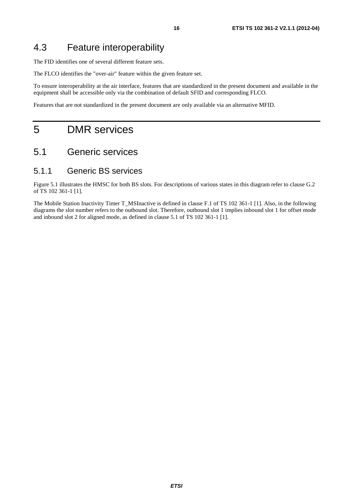# 4.3 Feature interoperability

The FID identifies one of several different feature sets.

The FLCO identifies the "over-air" feature within the given feature set.

To ensure interoperability at the air interface, features that are standardized in the present document and available in the equipment shall be accessible only via the combination of default SFID and corresponding FLCO.

Features that are not standardized in the present document are only available via an alternative MFID.

# 5 DMR services

# 5.1 Generic services

#### 5.1.1 Generic BS services

Figure 5.1 illustrates the HMSC for both BS slots. For descriptions of various states in this diagram refer to clause G.2 of TS 102 361-1 [1].

The Mobile Station Inactivity Timer T\_MSInactive is defined in clause F.1 of TS 102 361-1 [1]. Also, in the following diagrams the slot number refers to the outbound slot. Therefore, outbound slot 1 implies inbound slot 1 for offset mode and inbound slot 2 for aligned mode, as defined in clause 5.1 of TS 102 361-1 [1].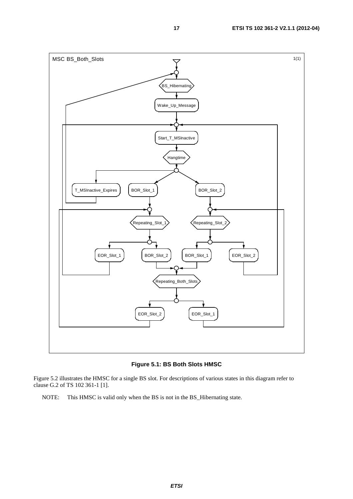

**Figure 5.1: BS Both Slots HMSC** 

Figure 5.2 illustrates the HMSC for a single BS slot. For descriptions of various states in this diagram refer to clause G.2 of TS 102 361-1 [1].

NOTE: This HMSC is valid only when the BS is not in the BS\_Hibernating state.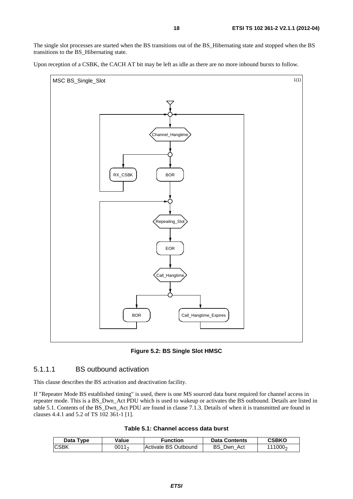The single slot processes are started when the BS transitions out of the BS\_Hibernating state and stopped when the BS transitions to the BS\_Hibernating state.

Upon reception of a CSBK, the CACH AT bit may be left as idle as there are no more inbound bursts to follow.



**Figure 5.2: BS Single Slot HMSC** 

#### 5.1.1.1 BS outbound activation

This clause describes the BS activation and deactivation facility.

If "Repeater Mode BS established timing" is used, there is one MS sourced data burst required for channel access in repeater mode. This is a BS\_Dwn\_Act PDU which is used to wakeup or activates the BS outbound. Details are listed in table 5.1. Contents of the BS\_Dwn\_Act PDU are found in clause 7.1.3. Details of when it is transmitted are found in clauses 4.4.1 and 5.2 of TS 102 361-1 [1].

| Table 5.1: Channel access data burst |  |
|--------------------------------------|--|
|--------------------------------------|--|

| Data Type   | Value             | Function             | <b>Data Contents</b> | CSBKO               |
|-------------|-------------------|----------------------|----------------------|---------------------|
| <b>CSBK</b> | 0011 <sub>2</sub> | Activate BS Outbound | <b>BS</b> Dwn Act    | 111000 <sub>2</sub> |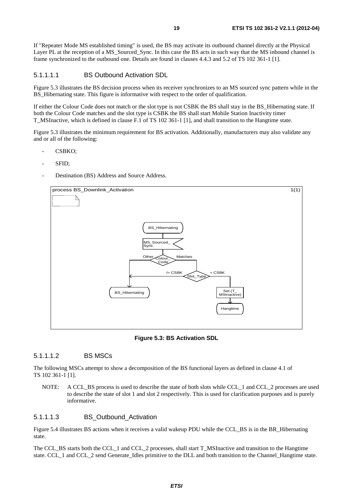If "Repeater Mode MS established timing" is used, the BS may activate its outbound channel directly at the Physical Layer PL at the reception of a MS\_Sourced\_Sync. In this case the BS acts in such way that the MS inbound channel is frame synchronized to the outbound one. Details are found in clauses 4.4.3 and 5.2 of TS 102 361-1 [1].

#### 5.1.1.1.1 BS Outbound Activation SDL

Figure 5.3 illustrates the BS decision process when its receiver synchronizes to an MS sourced sync pattern while in the BS Hibernating state. This figure is informative with respect to the order of qualification.

If either the Colour Code does not match or the slot type is not CSBK the BS shall stay in the BS\_Hibernating state. If both the Colour Code matches and the slot type is CSBK the BS shall start Mobile Station Inactivity timer T\_MSInactive, which is defined in clause F.1 of TS 102 361-1 [1], and shall transition to the Hangtime state.

Figure 5.3 illustrates the minimum requirement for BS activation. Additionally, manufacturers may also validate any and or all of the following:

- CSBKO;
- SFID;
- Destination (BS) Address and Source Address.



**Figure 5.3: BS Activation SDL** 

#### 5.1.1.1.2 BS MSCs

The following MSCs attempt to show a decomposition of the BS functional layers as defined in clause 4.1 of TS 102 361-1 [1].

NOTE: A CCL BS process is used to describe the state of both slots while CCL 1 and CCL 2 processes are used to describe the state of slot 1 and slot 2 respectively. This is used for clarification purposes and is purely informative.

#### 5.1.1.1.3 BS\_Outbound\_Activation

Figure 5.4 illustrates BS actions when it receives a valid wakeup PDU while the CCL\_BS is in the BR\_Hibernating state.

The CCL\_BS starts both the CCL\_1 and CCL\_2 processes, shall start T\_MSInactive and transition to the Hangtime state. CCL\_1 and CCL\_2 send Generate\_Idles primitive to the DLL and both transition to the Channel\_Hangtime state.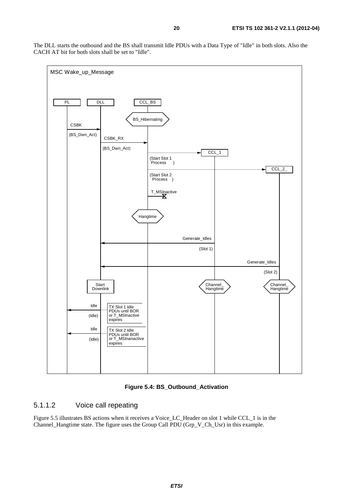The DLL starts the outbound and the BS shall transmit Idle PDUs with a Data Type of "Idle" in both slots. Also the CACH AT bit for both slots shall be set to "Idle".



**Figure 5.4: BS\_Outbound\_Activation** 

#### 5.1.1.2 Voice call repeating

Figure 5.5 illustrates BS actions when it receives a Voice\_LC\_Header on slot 1 while CCL\_1 is in the Channel Hangtime state. The figure uses the Group Call PDU (Grp V Ch Usr) in this example.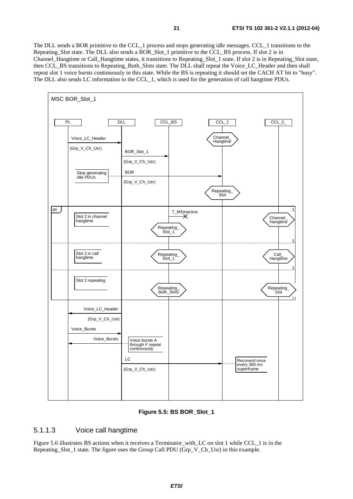The DLL sends a BOR primitive to the CCL\_1 process and stops generating idle messages. CCL\_1 transitions to the Repeating\_Slot state. The DLL also sends a BOR\_Slot\_1 primitive to the CCL\_BS process. If slot 2 is in Channel\_Hangtime or Call\_Hangtime states, it transitions to Repeating\_Slot\_1 state. If slot 2 is in Repeating\_Slot state, then CCL\_BS transitions to Repeating\_Both\_Slots state. The DLL shall repeat the Voice\_LC\_Header and then shall repeat slot 1 voice bursts continuously in this state. While the BS is repeating it should set the CACH AT bit to "busy". The DLL also sends LC information to the CCL\_1, which is used for the generation of call hangtime PDUs.



#### **Figure 5.5: BS BOR\_Slot\_1**

#### 5.1.1.3 Voice call hangtime

Figure 5.6 illustrates BS actions when it receives a Terminator\_with\_LC on slot 1 while CCL\_1 is in the Repeating\_Slot\_1 state. The figure uses the Group Call PDU (Grp\_V\_Ch\_Usr) in this example.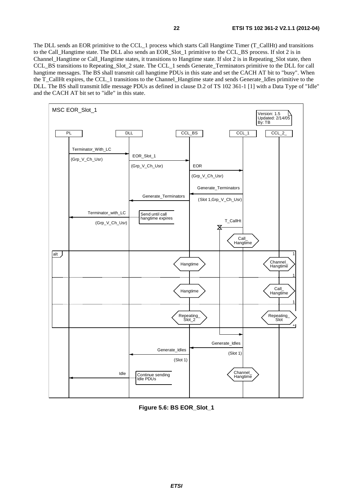The DLL sends an EOR primitive to the CCL\_1 process which starts Call Hangtime Timer (T\_CallHt) and transitions to the Call\_Hangtime state. The DLL also sends an EOR\_Slot\_1 primitive to the CCL\_BS process. If slot 2 is in Channel\_Hangtime or Call\_Hangtime states, it transitions to Hangtime state. If slot 2 is in Repeating\_Slot state, then CCL\_BS transitions to Repeating\_Slot\_2 state. The CCL\_1 sends Generate\_Terminators primitive to the DLL for call hangtime messages. The BS shall transmit call hangtime PDUs in this state and set the CACH AT bit to "busy". When the T\_CallHt expires, the CCL\_1 transitions to the Channel\_Hangtime state and sends Generate\_Idles primitive to the DLL. The BS shall transmit Idle message PDUs as defined in clause D.2 of TS 102 361-1 [1] with a Data Type of "Idle" and the CACH AT bit set to "idle" in this state.



**Figure 5.6: BS EOR\_Slot\_1**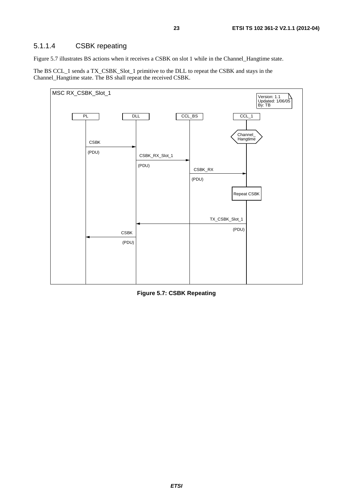#### 5.1.1.4 CSBK repeating

Figure 5.7 illustrates BS actions when it receives a CSBK on slot 1 while in the Channel\_Hangtime state.

The BS CCL\_1 sends a TX\_CSBK\_Slot\_1 primitive to the DLL to repeat the CSBK and stays in the Channel\_Hangtime state. The BS shall repeat the received CSBK.



**Figure 5.7: CSBK Repeating**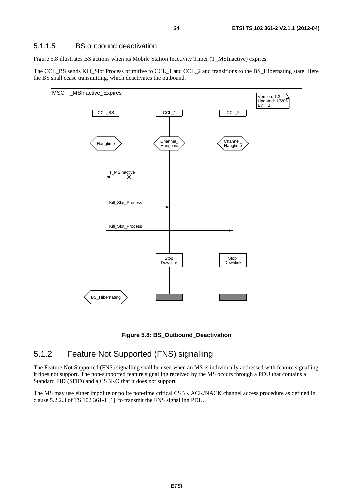#### 5.1.1.5 BS outbound deactivation

Figure 5.8 illustrates BS actions when its Mobile Station Inactivity Timer (T\_MSInactive) expires.

The CCL\_BS sends Kill\_Slot Process primitive to CCL\_1 and CCL\_2 and transitions to the BS\_Hibernating state. Here the BS shall cease transmitting, which deactivates the outbound.



**Figure 5.8: BS\_Outbound\_Deactivation** 

### 5.1.2 Feature Not Supported (FNS) signalling

The Feature Not Supported (FNS) signalling shall be used when an MS is individually addressed with feature signalling it does not support. The non-supported feature signalling received by the MS occurs through a PDU that contains a Standard FID (SFID) and a CSBKO that it does not support.

The MS may use either impolite or polite non-time critical CSBK ACK/NACK channel access procedure as defined in clause 5.2.2.3 of TS 102 361-1 [1], to transmit the FNS signalling PDU.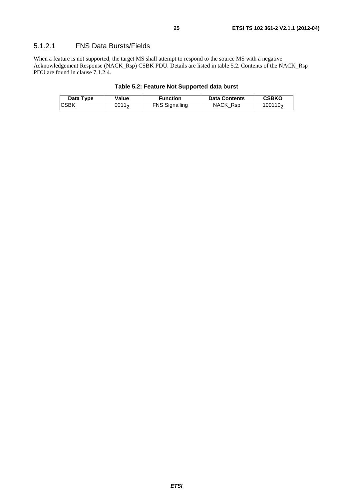When a feature is not supported, the target MS shall attempt to respond to the source MS with a negative Acknowledgement Response (NACK\_Rsp) CSBK PDU. Details are listed in table 5.2. Contents of the NACK\_Rsp PDU are found in clause 7.1.2.4.

#### **Table 5.2: Feature Not Supported data burst**

| Data Type   | Value | Function              | <b>Data Contents</b> | <b>CSBKO</b>        |
|-------------|-------|-----------------------|----------------------|---------------------|
| <b>CSBK</b> | 0011。 | <b>FNS Signalling</b> | NACK Rsp             | 100110 <sub>2</sub> |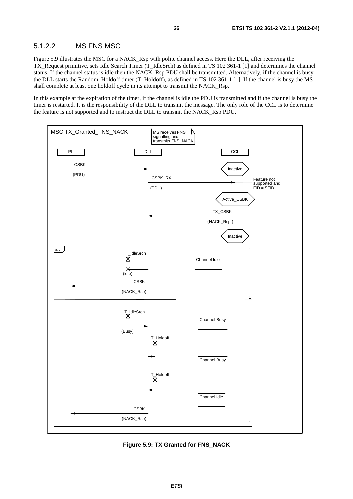#### 5.1.2.2 MS FNS MSC

Figure 5.9 illustrates the MSC for a NACK\_Rsp with polite channel access. Here the DLL, after receiving the TX\_Request primitive, sets Idle Search Timer (T\_IdleSrch) as defined in TS 102 361-1 [1] and determines the channel status. If the channel status is idle then the NACK\_Rsp PDU shall be transmitted. Alternatively, if the channel is busy the DLL starts the Random\_Holdoff timer (T\_Holdoff), as defined in TS 102 361-1 [1]. If the channel is busy the MS shall complete at least one holdoff cycle in its attempt to transmit the NACK\_Rsp.

In this example at the expiration of the timer, if the channel is idle the PDU is transmitted and if the channel is busy the timer is restarted. It is the responsibility of the DLL to transmit the message. The only role of the CCL is to determine the feature is not supported and to instruct the DLL to transmit the NACK\_Rsp PDU.



**Figure 5.9: TX Granted for FNS\_NACK**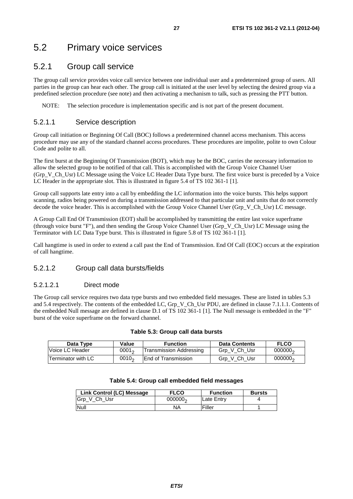# 5.2 Primary voice services

### 5.2.1 Group call service

The group call service provides voice call service between one individual user and a predetermined group of users. All parties in the group can hear each other. The group call is initiated at the user level by selecting the desired group via a predefined selection procedure (see note) and then activating a mechanism to talk, such as pressing the PTT button.

NOTE: The selection procedure is implementation specific and is not part of the present document.

#### 5.2.1.1 Service description

Group call initiation or Beginning Of Call (BOC) follows a predetermined channel access mechanism. This access procedure may use any of the standard channel access procedures. These procedures are impolite, polite to own Colour Code and polite to all.

The first burst at the Beginning Of Transmission (BOT), which may be the BOC, carries the necessary information to allow the selected group to be notified of that call. This is accomplished with the Group Voice Channel User (Grp V Ch Usr) LC Message using the Voice LC Header Data Type burst. The first voice burst is preceded by a Voice LC Header in the appropriate slot. This is illustrated in figure 5.4 of TS 102 361-1 [1].

Group call supports late entry into a call by embedding the LC information into the voice bursts. This helps support scanning, radios being powered on during a transmission addressed to that particular unit and units that do not correctly decode the voice header. This is accomplished with the Group Voice Channel User (Grp V Ch Usr) LC message.

A Group Call End Of Transmission (EOT) shall be accomplished by transmitting the entire last voice superframe (through voice burst "F"), and then sending the Group Voice Channel User (Grp\_V\_Ch\_Usr) LC Message using the Terminator with LC Data Type burst. This is illustrated in figure 5.8 of TS 102 361-1 [1].

Call hangtime is used in order to extend a call past the End of Transmission. End Of Call (EOC) occurs at the expiration of call hangtime.

#### 5.2.1.2 Group call data bursts/fields

#### 5.2.1.2.1 Direct mode

The Group call service requires two data type bursts and two embedded field messages. These are listed in tables 5.3 and 5.4 respectively. The contents of the embedded LC, Grp V\_Ch\_Usr PDU, are defined in clause 7.1.1.1. Contents of the embedded Null message are defined in clause D.1 of TS 102 361-1 [1]. The Null message is embedded in the "F" burst of the voice superframe on the forward channel.

#### **Table 5.3: Group call data bursts**

| Data Type                 | Value    | <b>Function</b>                | <b>Data Contents</b> | <b>FLCO</b>         |
|---------------------------|----------|--------------------------------|----------------------|---------------------|
| Voice LC Header           | $0001_2$ | <b>Transmission Addressing</b> | Grp V Ch Usr         | 000000 <sub>2</sub> |
| <b>Terminator with LC</b> | $0010_2$ | <b>IEnd of Transmission</b>    | Grp V Ch Usr         | 000000 <sub>2</sub> |

|  | Table 5.4: Group call embedded field messages |  |
|--|-----------------------------------------------|--|
|--|-----------------------------------------------|--|

| Link Control (LC) Message | <b>FLCO</b>         | <b>Function</b> | <b>Bursts</b> |
|---------------------------|---------------------|-----------------|---------------|
| Grp V Ch Usr              | 000000 <sub>2</sub> | Late Entrv      |               |
| Null                      | NΑ                  | Filler          |               |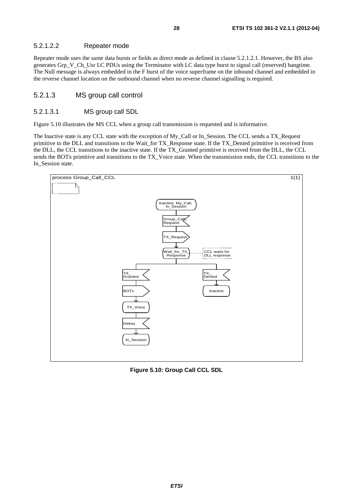#### 5.2.1.2.2 Repeater mode

Repeater mode uses the same data bursts or fields as direct mode as defined in clause 5.2.1.2.1. However, the BS also generates Grp\_V\_Ch\_Usr LC PDUs using the Terminator with LC data type burst to signal call (reserved) hangtime. The Null message is always embedded in the F burst of the voice superframe on the inbound channel and embedded in the reverse channel location on the outbound channel when no reverse channel signalling is required.

#### 5.2.1.3 MS group call control

#### 5.2.1.3.1 MS group call SDL

Figure 5.10 illustrates the MS CCL when a group call transmission is requested and is informative.

The Inactive state is any CCL state with the exception of My\_Call or In\_Session. The CCL sends a TX\_Request primitive to the DLL and transitions to the Wait\_for TX\_Response state. If the TX\_Denied primitive is received from the DLL, the CCL transitions to the inactive state. If the TX\_Granted primitive is received from the DLL, the CCL sends the BOTx primitive and transitions to the TX\_Voice state. When the transmission ends, the CCL transitions to the In\_Session state.



**Figure 5.10: Group Call CCL SDL**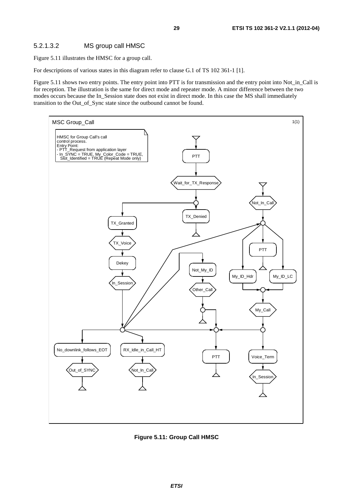#### 5.2.1.3.2 MS group call HMSC

Figure 5.11 illustrates the HMSC for a group call.

For descriptions of various states in this diagram refer to clause G.1 of TS 102 361-1 [1].

Figure 5.11 shows two entry points. The entry point into PTT is for transmission and the entry point into Not\_in\_Call is for reception. The illustration is the same for direct mode and repeater mode. A minor difference between the two modes occurs because the In\_Session state does not exist in direct mode. In this case the MS shall immediately transition to the Out\_of\_Sync state since the outbound cannot be found.



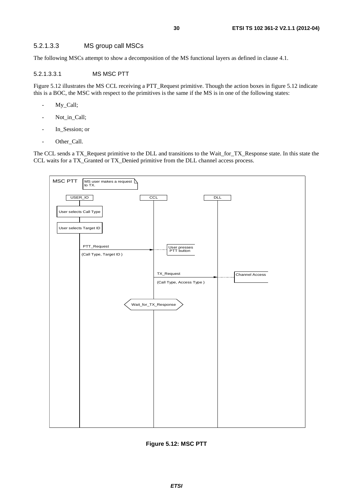#### 5.2.1.3.3 MS group call MSCs

The following MSCs attempt to show a decomposition of the MS functional layers as defined in clause 4.1.

#### 5.2.1.3.3.1 MS MSC PTT

Figure 5.12 illustrates the MS CCL receiving a PTT\_Request primitive. Though the action boxes in figure 5.12 indicate this is a BOC, the MSC with respect to the primitives is the same if the MS is in one of the following states:

- My\_Call;
- Not\_in\_Call;
- In Session; or
- Other\_Call.

The CCL sends a TX\_Request primitive to the DLL and transitions to the Wait\_for\_TX\_Response state. In this state the CCL waits for a TX\_Granted or TX\_Denied primitive from the DLL channel access process.



**Figure 5.12: MSC PTT**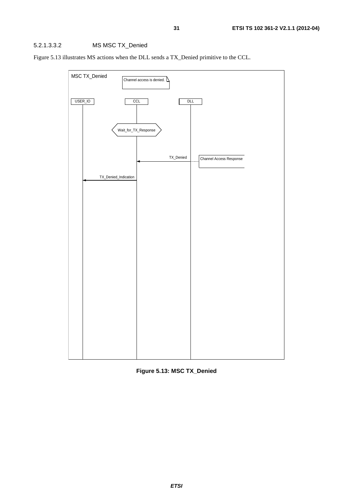#### 5.2.1.3.3.2 MS MSC TX\_Denied

Figure 5.13 illustrates MS actions when the DLL sends a TX\_Denied primitive to the CCL.



**Figure 5.13: MSC TX\_Denied**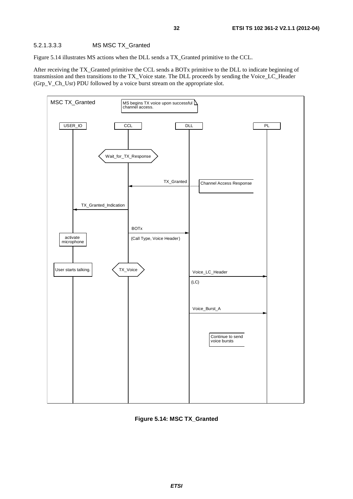Figure 5.14 illustrates MS actions when the DLL sends a TX\_Granted primitive to the CCL.

After receiving the TX\_Granted primitive the CCL sends a BOTx primitive to the DLL to indicate beginning of transmission and then transitions to the TX\_Voice state. The DLL proceeds by sending the Voice\_LC\_Header (Grp\_V\_Ch\_Usr) PDU followed by a voice burst stream on the appropriate slot.



**Figure 5.14: MSC TX\_Granted**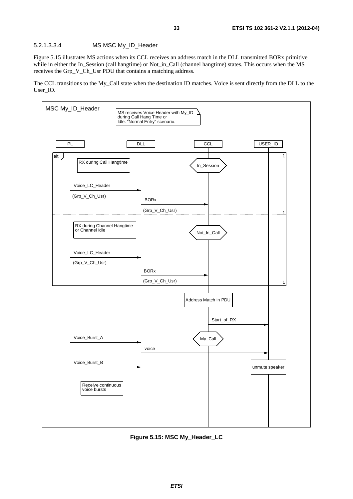Figure 5.15 illustrates MS actions when its CCL receives an address match in the DLL transmitted BORx primitive while in either the In\_Session (call hangtime) or Not\_in\_Call (channel hangtime) states. This occurs when the MS receives the Grp\_V\_Ch\_Usr PDU that contains a matching address.

The CCL transitions to the My\_Call state when the destination ID matches. Voice is sent directly from the DLL to the User\_IO.



**Figure 5.15: MSC My\_Header\_LC**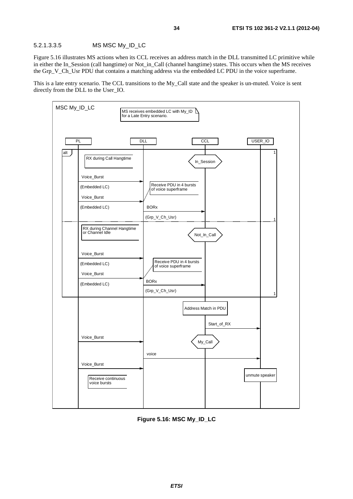#### 5.2.1.3.3.5 MS MSC My\_ID\_LC

Figure 5.16 illustrates MS actions when its CCL receives an address match in the DLL transmitted LC primitive while in either the In\_Session (call hangtime) or Not\_in\_Call (channel hangtime) states. This occurs when the MS receives the Grp V Ch Usr PDU that contains a matching address via the embedded LC PDU in the voice superframe.

This is a late entry scenario. The CCL transitions to the My\_Call state and the speaker is un-muted. Voice is sent directly from the DLL to the User\_IO.



**Figure 5.16: MSC My\_ID\_LC**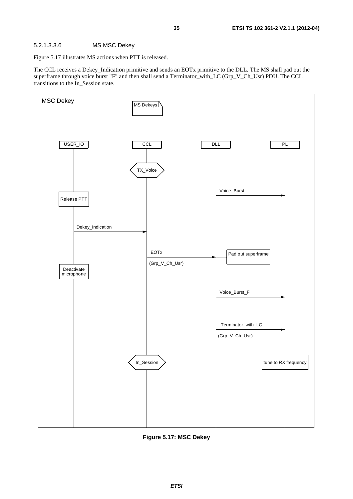#### 5.2.1.3.3.6 MS MSC Dekey

Figure 5.17 illustrates MS actions when PTT is released.

The CCL receives a Dekey\_Indication primitive and sends an EOTx primitive to the DLL. The MS shall pad out the superframe through voice burst "F" and then shall send a Terminator\_with\_LC (Grp\_V\_Ch\_Usr) PDU. The CCL transitions to the In\_Session state.



**Figure 5.17: MSC Dekey**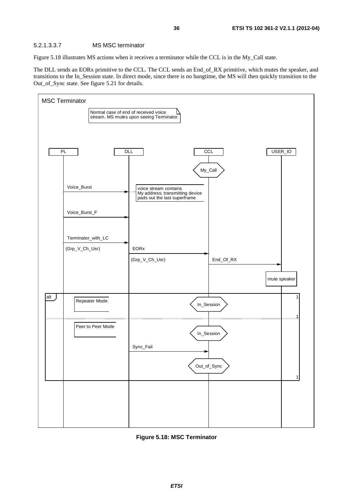#### 5.2.1.3.3.7 MS MSC terminator

Figure 5.18 illustrates MS actions when it receives a terminator while the CCL is in the My\_Call state.

The DLL sends an EORx primitive to the CCL. The CCL sends an End\_of\_RX primitive, which mutes the speaker, and transitions to the In\_Session state. In direct mode, since there is no hangtime, the MS will then quickly transition to the Out\_of\_Sync state. See figure 5.21 for details.



**Figure 5.18: MSC Terminator**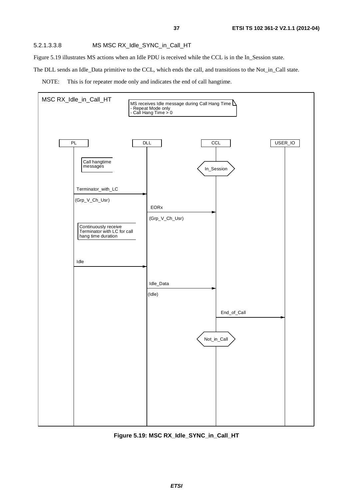#### 5.2.1.3.3.8 MS MSC RX\_Idle\_SYNC\_in\_Call\_HT

Figure 5.19 illustrates MS actions when an Idle PDU is received while the CCL is in the In\_Session state.

The DLL sends an Idle\_Data primitive to the CCL, which ends the call, and transitions to the Not\_in\_Call state.





**Figure 5.19: MSC RX\_Idle\_SYNC\_in\_Call\_HT**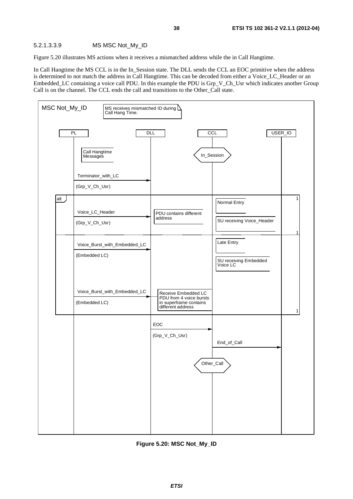#### 5.2.1.3.3.9 MS MSC Not\_My\_ID

Figure 5.20 illustrates MS actions when it receives a mismatched address while the in Call Hangtime.

In Call Hangtime the MS CCL is in the In\_Session state. The DLL sends the CCL an EOC primitive when the address is determined to not match the address in Call Hangtime. This can be decoded from either a Voice\_LC\_Header or an Embedded\_LC containing a voice call PDU. In this example the PDU is Grp\_V\_Ch\_Usr which indicates another Group Call is on the channel. The CCL ends the call and transitions to the Other\_Call state.



**Figure 5.20: MSC Not\_My\_ID**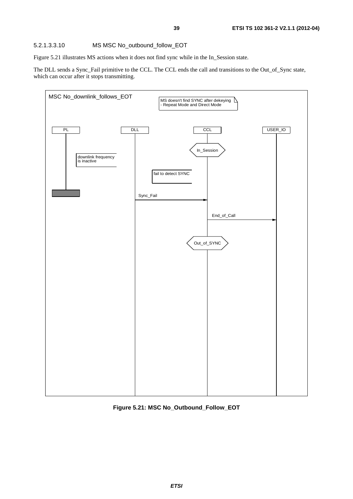Figure 5.21 illustrates MS actions when it does not find sync while in the In\_Session state.

The DLL sends a Sync\_Fail primitive to the CCL. The CCL ends the call and transitions to the Out\_of\_Sync state, which can occur after it stops transmitting.



#### **Figure 5.21: MSC No\_Outbound\_Follow\_EOT**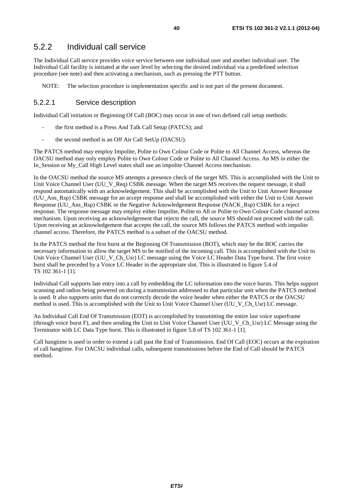# 5.2.2 Individual call service

The Individual Call service provides voice service between one individual user and another individual user. The Individual Call facility is initiated at the user level by selecting the desired individual via a predefined selection procedure (see note) and then activating a mechanism, such as pressing the PTT button.

NOTE: The selection procedure is implementation specific and is not part of the present document.

#### 5.2.2.1 Service description

Individual Call initiation or Beginning Of Call (BOC) may occur in one of two defined call setup methods:

- the first method is a Press And Talk Call Setup (PATCS); and
- the second method is an Off Air Call SetUp (OACSU).

The PATCS method may employ Impolite, Polite to Own Colour Code or Polite to All Channel Access, whereas the OACSU method may only employ Polite to Own Colour Code or Polite to All Channel Access. An MS in either the In Session or My Call High Level states shall use an impolite Channel Access mechanism.

In the OACSU method the source MS attempts a presence check of the target MS. This is accomplished with the Unit to Unit Voice Channel User (UU\_V\_Req) CSBK message. When the target MS receives the request message, it shall respond automatically with an acknowledgement. This shall be accomplished with the Unit to Unit Answer Response (UU\_Ans\_Rsp) CSBK message for an accept response and shall be accomplished with either the Unit to Unit Answer Response (UU\_Ans\_Rsp) CSBK or the Negative Acknowledgement Response (NACK\_Rsp) CSBK for a reject response. The response message may employ either Impolite, Polite to All or Polite to Own Colour Code channel access mechanism. Upon receiving an acknowledgement that rejects the call, the source MS should not proceed with the call. Upon receiving an acknowledgement that accepts the call, the source MS follows the PATCS method with impolite channel access. Therefore, the PATCS method is a subset of the OACSU method.

In the PATCS method the first burst at the Beginning Of Transmission (BOT), which may be the BOC carries the necessary information to allow the target MS to be notified of the incoming call. This is accomplished with the Unit to Unit Voice Channel User (UU\_V\_Ch\_Usr) LC message using the Voice LC Header Data Type burst. The first voice burst shall be preceded by a Voice LC Header in the appropriate slot. This is illustrated in figure 5.4 of TS 102 361-1 [1].

Individual Call supports late entry into a call by embedding the LC information into the voice bursts. This helps support scanning and radios being powered on during a transmission addressed to that particular unit when the PATCS method is used. It also supports units that do not correctly decode the voice header when either the PATCS or the OACSU method is used. This is accomplished with the Unit to Unit Voice Channel User (UU\_V\_Ch\_Usr) LC message.

An Individual Call End Of Transmission (EOT) is accomplished by transmitting the entire last voice superframe (through voice burst F), and then sending the Unit to Unit Voice Channel User (UU\_V\_Ch\_Usr) LC Message using the Terminator with LC Data Type burst. This is illustrated in figure 5.8 of TS 102 361-1 [1].

Call hangtime is used in order to extend a call past the End of Transmission. End Of Call (EOC) occurs at the expiration of call hangtime. For OACSU individual calls, subsequent transmissions before the End of Call should be PATCS method.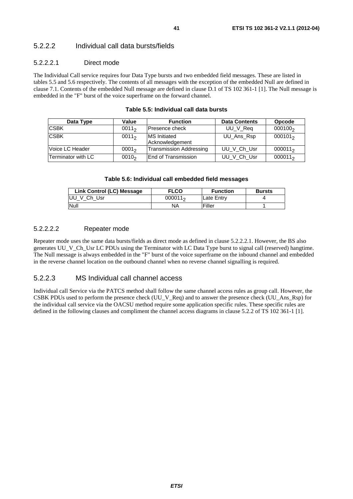### 5.2.2.2 Individual call data bursts/fields

#### 5.2.2.2.1 Direct mode

The Individual Call service requires four Data Type bursts and two embedded field messages. These are listed in tables 5.5 and 5.6 respectively. The contents of all messages with the exception of the embedded Null are defined in clause 7.1. Contents of the embedded Null message are defined in clause D.1 of TS 102 361-1 [1]. The Null message is embedded in the "F" burst of the voice superframe on the forward channel.

| Data Type          | Value             | <b>Function</b>                        | <b>Data Contents</b> | <b>Opcode</b>       |
|--------------------|-------------------|----------------------------------------|----------------------|---------------------|
| <b>CSBK</b>        | $0011_2$          | Presence check                         | UU_V_Req             | 000100 <sub>2</sub> |
| <b>CSBK</b>        | $0011_2$          | <b>MS</b> Initiated<br>Acknowledgement | UU_Ans_Rsp           | $000101_2$          |
| Voice LC Header    | 0001 <sub>2</sub> | Transmission Addressing                | UU V Ch Usr          | $000011_2$          |
| Terminator with LC | $0010_2$          | End of Transmission                    | UU V Ch Usr          | $000011_2$          |

#### **Table 5.5: Individual call data bursts**

#### **Table 5.6: Individual call embedded field messages**

| Link Control (LC) Message | <b>FLCO</b> | <b>Function</b> | <b>Bursts</b> |
|---------------------------|-------------|-----------------|---------------|
| UU V Ch Usr               | $000011_2$  | lLate Entrv     |               |
| Null                      | NA          | Filler          |               |

#### 5.2.2.2.2 Repeater mode

Repeater mode uses the same data bursts/fields as direct mode as defined in clause 5.2.2.2.1. However, the BS also generates UU\_V\_Ch\_Usr LC PDUs using the Terminator with LC Data Type burst to signal call (reserved) hangtime. The Null message is always embedded in the "F" burst of the voice superframe on the inbound channel and embedded in the reverse channel location on the outbound channel when no reverse channel signalling is required.

#### 5.2.2.3 MS Individual call channel access

Individual call Service via the PATCS method shall follow the same channel access rules as group call. However, the CSBK PDUs used to perform the presence check (UU\_V\_Req) and to answer the presence check (UU\_Ans\_Rsp) for the individual call service via the OACSU method require some application specific rules. These specific rules are defined in the following clauses and compliment the channel access diagrams in clause 5.2.2 of TS 102 361-1 [1].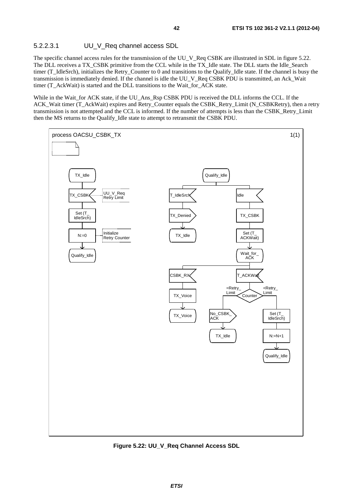#### 5.2.2.3.1 UU\_V\_Req channel access SDL

The specific channel access rules for the transmission of the UU\_V\_Req CSBK are illustrated in SDL in figure 5.22. The DLL receives a TX\_CSBK primitive from the CCL while in the TX\_Idle state. The DLL starts the Idle\_Search timer (T\_IdleSrch), initializes the Retry\_Counter to 0 and transitions to the Qualify\_Idle state. If the channel is busy the transmission is immediately denied. If the channel is idle the UU\_V\_Req CSBK PDU is transmitted, an Ack\_Wait timer (T\_AckWait) is started and the DLL transitions to the Wait\_for\_ACK state.

While in the Wait\_for ACK state, if the UU\_Ans\_Rsp CSBK PDU is received the DLL informs the CCL. If the ACK\_Wait timer (T\_AckWait) expires and Retry\_Counter equals the CSBK\_Retry\_Limit (N\_CSBKRetry), then a retry transmission is not attempted and the CCL is informed. If the number of attempts is less than the CSBK\_Retry\_Limit then the MS returns to the Qualify\_Idle state to attempt to retransmit the CSBK PDU.



**Figure 5.22: UU\_V\_Req Channel Access SDL**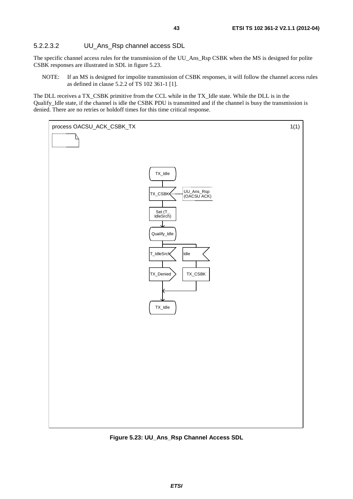### 5.2.2.3.2 UU\_Ans\_Rsp channel access SDL

The specific channel access rules for the transmission of the UU\_Ans\_Rsp CSBK when the MS is designed for polite CSBK responses are illustrated in SDL in figure 5.23.

NOTE: If an MS is designed for impolite transmission of CSBK responses, it will follow the channel access rules as defined in clause 5.2.2 of TS 102 361-1 [1].

The DLL receives a TX\_CSBK primitive from the CCL while in the TX\_Idle state. While the DLL is in the Qualify\_Idle state, if the channel is idle the CSBK PDU is transmitted and if the channel is busy the transmission is denied. There are no retries or holdoff times for this time critical response.



**Figure 5.23: UU\_Ans\_Rsp Channel Access SDL**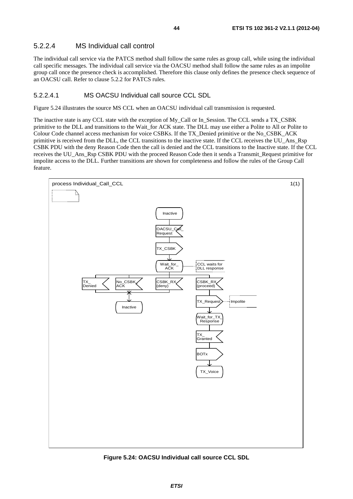#### 5.2.2.4 MS Individual call control

The individual call service via the PATCS method shall follow the same rules as group call, while using the individual call specific messages. The individual call service via the OACSU method shall follow the same rules as an impolite group call once the presence check is accomplished. Therefore this clause only defines the presence check sequence of an OACSU call. Refer to clause 5.2.2 for PATCS rules.

#### 5.2.2.4.1 MS OACSU Individual call source CCL SDL

Figure 5.24 illustrates the source MS CCL when an OACSU individual call transmission is requested.

The inactive state is any CCL state with the exception of My\_Call or In\_Session. The CCL sends a TX\_CSBK primitive to the DLL and transitions to the Wait\_for ACK state. The DLL may use either a Polite to All or Polite to Colour Code channel access mechanism for voice CSBKs. If the TX\_Denied primitive or the No\_CSBK\_ACK primitive is received from the DLL, the CCL transitions to the inactive state. If the CCL receives the UU\_Ans\_Rsp CSBK PDU with the deny Reason Code then the call is denied and the CCL transitions to the Inactive state. If the CCL receives the UU\_Ans\_Rsp CSBK PDU with the proceed Reason Code then it sends a Transmit\_Request primitive for impolite access to the DLL. Further transitions are shown for completeness and follow the rules of the Group Call feature.



**Figure 5.24: OACSU Individual call source CCL SDL**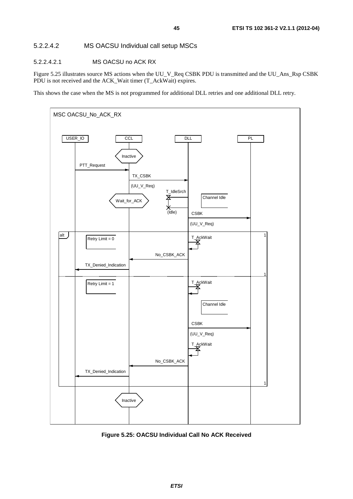### 5.2.2.4.2 MS OACSU Individual call setup MSCs

#### 5.2.2.4.2.1 MS OACSU no ACK RX

Figure 5.25 illustrates source MS actions when the UU\_V\_Req CSBK PDU is transmitted and the UU\_Ans\_Rsp CSBK PDU is not received and the ACK\_Wait timer (T\_AckWait) expires.

This shows the case when the MS is not programmed for additional DLL retries and one additional DLL retry.



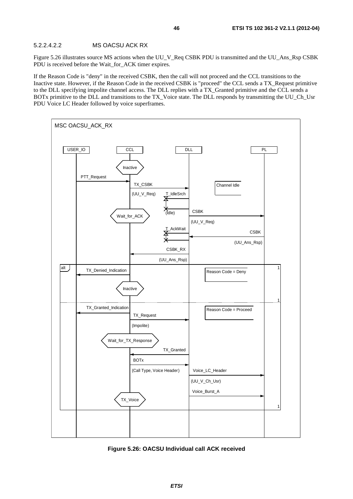#### 5.2.2.4.2.2 MS OACSU ACK RX

Figure 5.26 illustrates source MS actions when the UU\_V\_Req CSBK PDU is transmitted and the UU\_Ans\_Rsp CSBK PDU is received before the Wait\_for\_ACK timer expires.

If the Reason Code is "deny" in the received CSBK, then the call will not proceed and the CCL transitions to the Inactive state. However, if the Reason Code in the received CSBK is "proceed" the CCL sends a TX\_Request primitive to the DLL specifying impolite channel access. The DLL replies with a TX\_Granted primitive and the CCL sends a BOTx primitive to the DLL and transitions to the TX\_Voice state. The DLL responds by transmitting the UU\_Ch\_Usr PDU Voice LC Header followed by voice superframes.



**Figure 5.26: OACSU Individual call ACK received**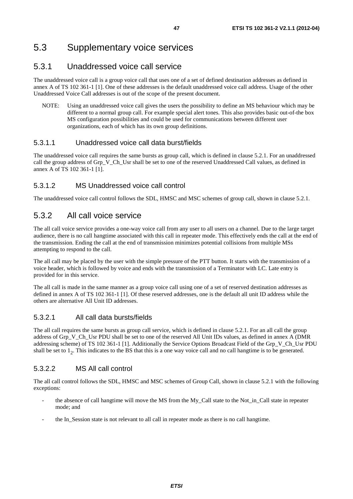# 5.3 Supplementary voice services

# 5.3.1 Unaddressed voice call service

The unaddressed voice call is a group voice call that uses one of a set of defined destination addresses as defined in annex A of TS 102 361-1 [1]. One of these addresses is the default unaddressed voice call address. Usage of the other Unaddressed Voice Call addresses is out of the scope of the present document.

NOTE: Using an unaddressed voice call gives the users the possibility to define an MS behaviour which may be different to a normal group call. For example special alert tones. This also provides basic out-of-the box MS configuration possibilities and could be used for communications between different user organizations, each of which has its own group definitions.

# 5.3.1.1 Unaddressed voice call data burst/fields

The unaddressed voice call requires the same bursts as group call, which is defined in clause 5.2.1. For an unaddressed call the group address of Grp\_V\_Ch\_Usr shall be set to one of the reserved Unaddressed Call values, as defined in annex A of TS 102 361-1 [1].

# 5.3.1.2 MS Unaddressed voice call control

The unaddressed voice call control follows the SDL, HMSC and MSC schemes of group call, shown in clause 5.2.1.

# 5.3.2 All call voice service

The all call voice service provides a one-way voice call from any user to all users on a channel. Due to the large target audience, there is no call hangtime associated with this call in repeater mode. This effectively ends the call at the end of the transmission. Ending the call at the end of transmission minimizes potential collisions from multiple MSs attempting to respond to the call.

The all call may be placed by the user with the simple pressure of the PTT button. It starts with the transmission of a voice header, which is followed by voice and ends with the transmission of a Terminator with LC. Late entry is provided for in this service.

The all call is made in the same manner as a group voice call using one of a set of reserved destination addresses as defined in annex A of TS 102 361-1 [1]. Of these reserved addresses, one is the default all unit ID address while the others are alternative All Unit ID addresses.

# 5.3.2.1 All call data bursts/fields

The all call requires the same bursts as group call service, which is defined in clause 5.2.1. For an all call the group address of Grp\_V\_Ch\_Usr PDU shall be set to one of the reserved All Unit IDs values, as defined in annex A (DMR addressing scheme) of TS 102 361-1 [1]. Additionally the Service Options Broadcast Field of the Grp\_V\_Ch\_Usr PDU shall be set to  $1<sub>2</sub>$ . This indicates to the BS that this is a one way voice call and no call hangtime is to be generated.

# 5.3.2.2 MS All call control

The all call control follows the SDL, HMSC and MSC schemes of Group Call, shown in clause 5.2.1 with the following exceptions:

- the absence of call hangtime will move the MS from the My\_Call state to the Not\_in\_Call state in repeater mode; and
- the In Session state is not relevant to all call in repeater mode as there is no call hangtime.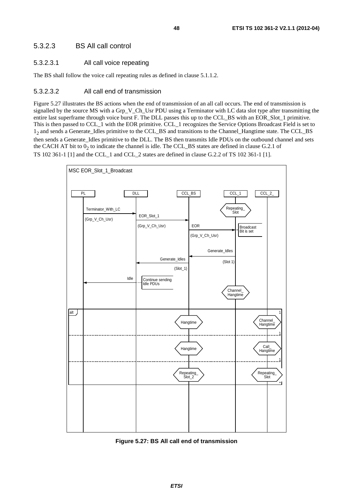#### 5.3.2.3 BS All call control

#### 5.3.2.3.1 All call voice repeating

The BS shall follow the voice call repeating rules as defined in clause 5.1.1.2.

#### 5.3.2.3.2 All call end of transmission

Figure 5.27 illustrates the BS actions when the end of transmission of an all call occurs. The end of transmission is signalled by the source MS with a Grp\_V\_Ch\_Usr PDU using a Terminator with LC data slot type after transmitting the entire last superframe through voice burst F. The DLL passes this up to the CCL\_BS with an EOR\_Slot\_1 primitive. This is then passed to CCL\_1 with the EOR primitive. CCL\_1 recognizes the Service Options Broadcast Field is set to 12 and sends a Generate\_Idles primitive to the CCL\_BS and transitions to the Channel\_Hangtime state. The CCL\_BS then sends a Generate\_Idles primitive to the DLL. The BS then transmits Idle PDUs on the outbound channel and sets the CACH AT bit to  $0<sub>2</sub>$  to indicate the channel is idle. The CCL\_BS states are defined in clause G.2.1 of TS 102 361-1 [1] and the CCL\_1 and CCL\_2 states are defined in clause G.2.2 of TS 102 361-1 [1].



**Figure 5.27: BS All call end of transmission**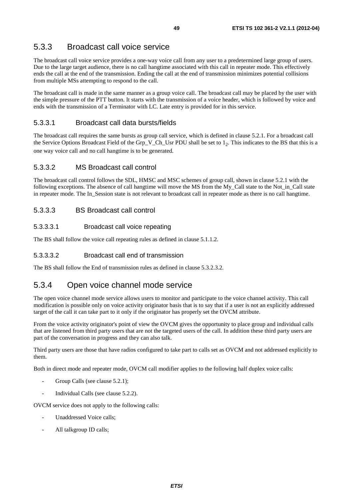# 5.3.3 Broadcast call voice service

The broadcast call voice service provides a one-way voice call from any user to a predetermined large group of users. Due to the large target audience, there is no call hangtime associated with this call in repeater mode. This effectively ends the call at the end of the transmission. Ending the call at the end of transmission minimizes potential collisions from multiple MSs attempting to respond to the call.

The broadcast call is made in the same manner as a group voice call. The broadcast call may be placed by the user with the simple pressure of the PTT button. It starts with the transmission of a voice header, which is followed by voice and ends with the transmission of a Terminator with LC. Late entry is provided for in this service.

## 5.3.3.1 Broadcast call data bursts/fields

The broadcast call requires the same bursts as group call service, which is defined in clause 5.2.1. For a broadcast call the Service Options Broadcast Field of the Grp\_V\_Ch\_Usr PDU shall be set to  $1<sub>2</sub>$ . This indicates to the BS that this is a one way voice call and no call hangtime is to be generated.

### 5.3.3.2 MS Broadcast call control

The broadcast call control follows the SDL, HMSC and MSC schemes of group call, shown in clause 5.2.1 with the following exceptions. The absence of call hangtime will move the MS from the My\_Call state to the Not\_in\_Call state in repeater mode. The In\_Session state is not relevant to broadcast call in repeater mode as there is no call hangtime.

### 5.3.3.3 BS Broadcast call control

#### 5.3.3.3.1 Broadcast call voice repeating

The BS shall follow the voice call repeating rules as defined in clause 5.1.1.2.

### 5.3.3.3.2 Broadcast call end of transmission

The BS shall follow the End of transmission rules as defined in clause 5.3.2.3.2.

# 5.3.4 Open voice channel mode service

The open voice channel mode service allows users to monitor and participate to the voice channel activity. This call modification is possible only on voice activity originator basis that is to say that if a user is not an explicitly addressed target of the call it can take part to it only if the originator has properly set the OVCM attribute.

From the voice activity originator's point of view the OVCM gives the opportunity to place group and individual calls that are listened from third party users that are not the targeted users of the call. In addition these third party users are part of the conversation in progress and they can also talk.

Third party users are those that have radios configured to take part to calls set as OVCM and not addressed explicitly to them.

Both in direct mode and repeater mode, OVCM call modifier applies to the following half duplex voice calls:

- Group Calls (see clause 5.2.1);
- Individual Calls (see clause 5.2.2).

OVCM service does not apply to the following calls:

- Unaddressed Voice calls;
- All talkgroup ID calls;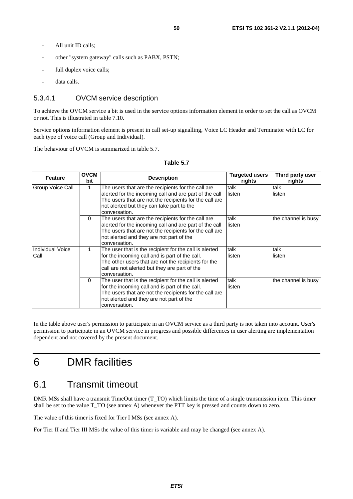- All unit ID calls:
- other "system gateway" calls such as PABX, PSTN;
- full duplex voice calls;
- data calls.

#### 5.3.4.1 OVCM service description

To achieve the OVCM service a bit is used in the service options information element in order to set the call as OVCM or not. This is illustrated in table 7.10.

Service options information element is present in call set-up signalling, Voice LC Header and Terminator with LC for each type of voice call (Group and Individual).

The behaviour of OVCM is summarized in table 5.7.

| <b>Feature</b>                  | <b>OVCM</b><br>bit | <b>Description</b>                                                                                                                                                                                                                   | Targeted users<br>rights | Third party user<br>rights |
|---------------------------------|--------------------|--------------------------------------------------------------------------------------------------------------------------------------------------------------------------------------------------------------------------------------|--------------------------|----------------------------|
| Group Voice Call                |                    | The users that are the recipients for the call are<br>alerted for the incoming call and are part of the call<br>The users that are not the recipients for the call are<br>not alerted but they can take part to the<br>conversation. | talk<br>listen           | talk<br>listen             |
|                                 | $\mathbf{0}$       | The users that are the recipients for the call are<br>alerted for the incoming call and are part of the call<br>The users that are not the recipients for the call are<br>not alerted and they are not part of the<br>conversation.  | talk<br>listen           | the channel is busy        |
| <b>Individual Voice</b><br>Call |                    | The user that is the recipient for the call is alerted<br>for the incoming call and is part of the call.<br>The other users that are not the recipients for the<br>call are not alerted but they are part of the<br>conversation.    | talk<br>listen           | talk<br>listen             |
|                                 | $\Omega$           | The user that is the recipient for the call is alerted<br>for the incoming call and is part of the call.<br>The users that are not the recipients for the call are<br>not alerted and they are not part of the<br>conversation.      | talk<br>listen           | the channel is busy        |

#### **Table 5.7**

In the table above user's permission to participate in an OVCM service as a third party is not taken into account. User's permission to participate in an OVCM service in progress and possible differences in user alerting are implementation dependent and not covered by the present document.

# 6 DMR facilities

# 6.1 Transmit timeout

DMR MSs shall have a transmit TimeOut timer (T\_TO) which limits the time of a single transmission item. This timer shall be set to the value T\_TO (see annex A) whenever the PTT key is pressed and counts down to zero.

The value of this timer is fixed for Tier I MSs (see annex A).

For Tier II and Tier III MSs the value of this timer is variable and may be changed (see annex A).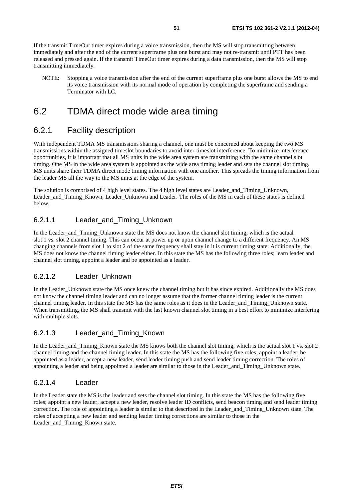If the transmit TimeOut timer expires during a voice transmission, then the MS will stop transmitting between immediately and after the end of the current superframe plus one burst and may not re-transmit until PTT has been released and pressed again. If the transmit TimeOut timer expires during a data transmission, then the MS will stop transmitting immediately.

NOTE: Stopping a voice transmission after the end of the current superframe plus one burst allows the MS to end its voice transmission with its normal mode of operation by completing the superframe and sending a Terminator with LC.

# 6.2 TDMA direct mode wide area timing

# 6.2.1 Facility description

With independent TDMA MS transmissions sharing a channel, one must be concerned about keeping the two MS transmissions within the assigned timeslot boundaries to avoid inter-timeslot interference. To minimize interference opportunities, it is important that all MS units in the wide area system are transmitting with the same channel slot timing. One MS in the wide area system is appointed as the wide area timing leader and sets the channel slot timing. MS units share their TDMA direct mode timing information with one another. This spreads the timing information from the leader MS all the way to the MS units at the edge of the system.

The solution is comprised of 4 high level states. The 4 high level states are Leader and Timing Unknown, Leader\_and\_Timing\_Known, Leader\_Unknown and Leader. The roles of the MS in each of these states is defined below.

### 6.2.1.1 Leader\_and\_Timing\_Unknown

In the Leader and Timing Unknown state the MS does not know the channel slot timing, which is the actual slot 1 vs. slot 2 channel timing. This can occur at power up or upon channel change to a different frequency. An MS changing channels from slot 1 to slot 2 of the same frequency shall stay in it is current timing state. Additionally, the MS does not know the channel timing leader either. In this state the MS has the following three roles; learn leader and channel slot timing, appoint a leader and be appointed as a leader.

### 6.2.1.2 Leader\_Unknown

In the Leader–Unknown state the MS once knew the channel timing but it has since expired. Additionally the MS does not know the channel timing leader and can no longer assume that the former channel timing leader is the current channel timing leader. In this state the MS has the same roles as it does in the Leader\_and\_Timing\_Unknown state. When transmitting, the MS shall transmit with the last known channel slot timing in a best effort to minimize interfering with multiple slots.

### 6.2.1.3 Leader\_and\_Timing\_Known

In the Leader\_and\_Timing\_Known state the MS knows both the channel slot timing, which is the actual slot 1 vs. slot 2 channel timing and the channel timing leader. In this state the MS has the following five roles; appoint a leader, be appointed as a leader, accept a new leader, send leader timing push and send leader timing correction. The roles of appointing a leader and being appointed a leader are similar to those in the Leader\_and\_Timing\_Unknown state.

### 6.2.1.4 Leader

In the Leader state the MS is the leader and sets the channel slot timing. In this state the MS has the following five roles; appoint a new leader, accept a new leader, resolve leader ID conflicts, send beacon timing and send leader timing correction. The role of appointing a leader is similar to that described in the Leader\_and\_Timing\_Unknown state. The roles of accepting a new leader and sending leader timing corrections are similar to those in the Leader and Timing Known state.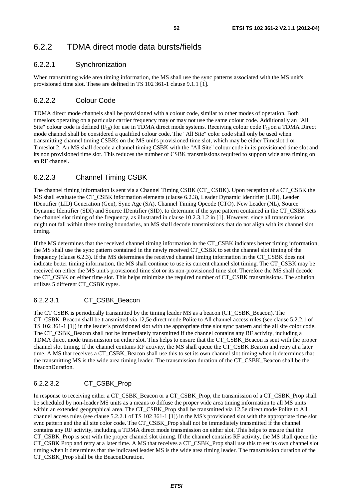# 6.2.2 TDMA direct mode data bursts/fields

### 6.2.2.1 Synchronization

When transmitting wide area timing information, the MS shall use the sync patterns associated with the MS unit's provisioned time slot. These are defined in TS 102 361-1 clause 9.1.1 [1].

## 6.2.2.2 Colour Code

TDMA direct mode channels shall be provisioned with a colour code, similar to other modes of operation. Both timeslots operating on a particular carrier frequency may or may not use the same colour code. Additionally an "All Site" colour code is defined ( $F_{16}$ ) for use in TDMA direct mode systems. Receiving colour code  $F_{16}$  on a TDMA Direct mode channel shall be considered a qualified colour code. The "All Site" color code shall only be used when transmitting channel timing CSBKs on the MS unit's provisioned time slot, which may be either Timeslot 1 or Timeslot 2. An MS shall decode a channel timing CSBK with the "All Site" colour code in its provisioned time slot and its non provisioned time slot. This reduces the number of CSBK transmissions required to support wide area timing on an RF channel.

# 6.2.2.3 Channel Timing CSBK

The channel timing information is sent via a Channel Timing CSBK (CT\_ CSBK). Upon reception of a CT\_CSBK the MS shall evaluate the CT\_CSBK information elements (clause 6.2.3), Leader Dynamic Identifier (LDI), Leader IDentifier (LID) Generation (Gen), Sync Age (SA), Channel Timing Opcode (CTO), New Leader (NL), Source Dynamic Identifier (SDI) and Source IDentifier (SID), to determine if the sync pattern contained in the CT\_CSBK sets the channel slot timing of the frequency, as illustrated in clause 10.2.3.1.2 in [1]. However, since all transmissions might not fall within these timing boundaries, an MS shall decode transmissions that do not align with its channel slot timing.

If the MS determines that the received channel timing information in the CT\_CSBK indicates better timing information, the MS shall use the sync pattern contained in the newly received CT\_CSBK to set the channel slot timing of the frequency (clause 6.2.3). If the MS determines the received channel timing information in the CT\_CSBK does not indicate better timing information, the MS shall continue to use its current channel slot timing. The CT\_CSBK may be received on either the MS unit's provisioned time slot or its non-provisioned time slot. Therefore the MS shall decode the CT\_CSBK on either time slot. This helps minimize the required number of CT\_CSBK transmissions. The solution utilizes 5 different CT\_CSBK types.

### 6.2.2.3.1 CT\_CSBK\_Beacon

The CT CSBK is periodically transmitted by the timing leader MS as a beacon (CT\_CSBK\_Beacon). The CT\_CSBK\_Beacon shall be transmitted via 12,5e direct mode Polite to All channel access rules (see clause 5.2.2.1 of TS 102 361-1 [1]) in the leader's provisioned slot with the appropriate time slot sync pattern and the all site color code. The CT\_CSBK\_Beacon shall not be immediately transmitted if the channel contains any RF activity, including a TDMA direct mode transmission on either slot. This helps to ensure that the CT\_CSBK\_Beacon is sent with the proper channel slot timing. If the channel contains RF activity, the MS shall queue the CT\_CSBK Beacon and retry at a later time. A MS that receives a CT\_CSBK\_Beacon shall use this to set its own channel slot timing when it determines that the transmitting MS is the wide area timing leader. The transmission duration of the CT\_CSBK\_Beacon shall be the BeaconDuration.

# 6.2.2.3.2 CT\_CSBK\_Prop

In response to receiving either a CT\_CSBK\_Beacon or a CT\_CSBK\_Prop, the transmission of a CT\_CSBK\_Prop shall be scheduled by non-leader MS units as a means to diffuse the proper wide area timing information to all MS units within an extended geographical area. The CT\_CSBK\_Prop shall be transmitted via 12,5e direct mode Polite to All channel access rules (see clause 5.2.2.1 of TS 102 361-1 [1]) in the MS's provisioned slot with the appropriate time slot sync pattern and the all site color code. The CT\_CSBK\_Prop shall not be immediately transmitted if the channel contains any RF activity, including a TDMA direct mode transmission on either slot. This helps to ensure that the CT\_CSBK\_Prop is sent with the proper channel slot timing. If the channel contains RF activity, the MS shall queue the CT\_CSBK Prop and retry at a later time. A MS that receives a CT\_CSBK\_Prop shall use this to set its own channel slot timing when it determines that the indicated leader MS is the wide area timing leader. The transmission duration of the CT\_CSBK\_Prop shall be the BeaconDuration.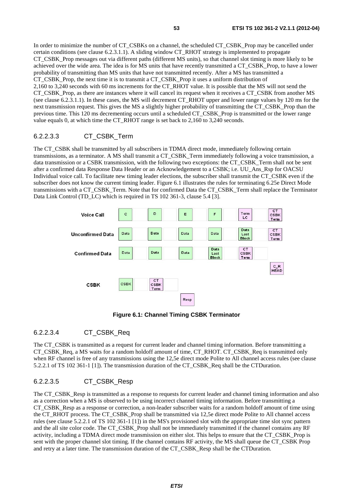In order to minimize the number of CT\_CSBKs on a channel, the scheduled CT\_CSBK\_Prop may be cancelled under certain conditions (see clause 6.2.3.1.1). A sliding window CT\_RHOT strategy is implemented to propagate CT\_CSBK\_Prop messages out via different paths (different MS units), so that channel slot timing is more likely to be achieved over the wide area. The idea is for MS units that have recently transmitted a CT\_CSBK\_Prop, to have a lower probability of transmitting than MS units that have not transmitted recently. After a MS has transmitted a CT\_CSBK\_Prop, the next time it is to transmit a CT\_CSBK\_Prop it uses a uniform distribution of 2,160 to 3,240 seconds with 60 ms increments for the CT\_RHOT value. It is possible that the MS will not send the CT\_CSBK\_Prop, as there are instances where it will cancel its request when it receives a CT\_CSBK from another MS (see clause 6.2.3.1.1). In these cases, the MS will decrement CT\_RHOT upper and lower range values by 120 ms for the next transmission request. This gives the MS a slightly higher probability of transmitting the CT\_CSBK\_Prop than the previous time. This 120 ms decrementing occurs until a scheduled CT\_CSBK\_Prop is transmitted or the lower range value equals 0, at which time the CT\_RHOT range is set back to 2,160 to 3,240 seconds.

#### 6.2.2.3.3 CT\_CSBK\_Term

The CT\_CSBK shall be transmitted by all subscribers in TDMA direct mode, immediately following certain transmissions, as a terminator. A MS shall transmit a CT\_CSBK\_Term immediately following a voice transmission, a data transmission or a CSBK transmission, with the following two exceptions: the CT\_CSBK\_Term shall not be sent after a confirmed data Response Data Header or an Acknowledgement to a CSBK; i.e. UU\_Ans\_Rsp for OACSU Individual voice call. To facilitate new timing leader elections, the subscriber shall transmit the CT\_CSBK even if the subscriber does not know the current timing leader. Figure 6.1 illustrates the rules for terminating 6.25e Direct Mode transmissions with a CT\_CSBK\_Term. Note that for confirmed Data the CT\_CSBK\_Term shall replace the Terminator Data Link Control (TD\_LC) which is required in TS 102 361-3, clause 5.4 [3].



**Figure 6.1: Channel Timing CSBK Terminator** 

### 6.2.2.3.4 CT\_CSBK\_Req

The CT\_CSBK is transmitted as a request for current leader and channel timing information. Before transmitting a CT\_CSBK\_Req, a MS waits for a random holdoff amount of time, CT\_RHOT. CT\_CSBK\_Req is transmitted only when RF channel is free of any transmissions using the 12,5e direct mode Polite to All channel access rules (see clause 5.2.2.1 of TS 102 361-1 [1]). The transmission duration of the CT\_CSBK\_Req shall be the CTDuration.

### 6.2.2.3.5 CT\_CSBK\_Resp

The CT\_CSBK\_Resp is transmitted as a response to requests for current leader and channel timing information and also as a correction when a MS is observed to be using incorrect channel timing information. Before transmitting a CT\_CSBK\_Resp as a response or correction, a non-leader subscriber waits for a random holdoff amount of time using the CT\_RHOT process. The CT\_CSBK\_Prop shall be transmitted via 12,5e direct mode Polite to All channel access rules (see clause 5.2.2.1 of TS 102 361-1 [1]) in the MS's provisioned slot with the appropriate time slot sync pattern and the all site color code. The CT\_CSBK\_Prop shall not be immediately transmitted if the channel contains any RF activity, including a TDMA direct mode transmission on either slot. This helps to ensure that the CT\_CSBK\_Prop is sent with the proper channel slot timing. If the channel contains RF activity, the MS shall queue the CT\_CSBK Prop and retry at a later time. The transmission duration of the CT\_CSBK\_Resp shall be the CTDuration.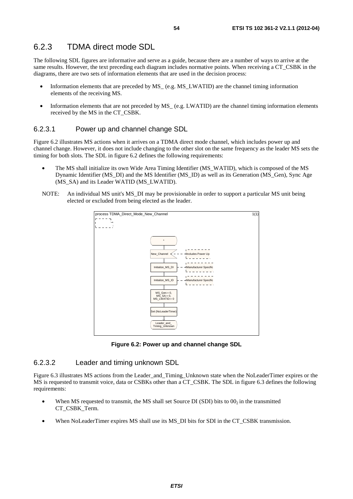# 6.2.3 TDMA direct mode SDL

The following SDL figures are informative and serve as a guide, because there are a number of ways to arrive at the same results. However, the text preceding each diagram includes normative points. When receiving a CT\_CSBK in the diagrams, there are two sets of information elements that are used in the decision process:

- Information elements that are preceded by MS\_ (e.g. MS\_LWATID) are the channel timing information elements of the receiving MS.
- Information elements that are not preceded by MS<sub>—</sub> (e.g. LWATID) are the channel timing information elements received by the MS in the CT\_CSBK.

#### 6.2.3.1 Power up and channel change SDL

Figure 6.2 illustrates MS actions when it arrives on a TDMA direct mode channel, which includes power up and channel change. However, it does not include changing to the other slot on the same frequency as the leader MS sets the timing for both slots. The SDL in figure 6.2 defines the following requirements:

- The MS shall initialize its own Wide Area Timing Identifier (MS\_WATID), which is composed of the MS Dynamic Identifier (MS\_DI) and the MS Identifier (MS\_ID) as well as its Generation (MS\_Gen), Sync Age (MS\_SA) and its Leader WATID (MS\_LWATID).
- NOTE: An individual MS unit's MS\_DI may be provisionable in order to support a particular MS unit being elected or excluded from being elected as the leader.



**Figure 6.2: Power up and channel change SDL** 

### 6.2.3.2 Leader and timing unknown SDL

Figure 6.3 illustrates MS actions from the Leader\_and\_Timing\_Unknown state when the NoLeaderTimer expires or the MS is requested to transmit voice, data or CSBKs other than a CT\_CSBK. The SDL in figure 6.3 defines the following requirements:

- When MS requested to transmit, the MS shall set Source DI (SDI) bits to  $00<sub>2</sub>$  in the transmitted CT\_CSBK\_Term.
- When NoLeaderTimer expires MS shall use its MS DI bits for SDI in the CT\_CSBK transmission.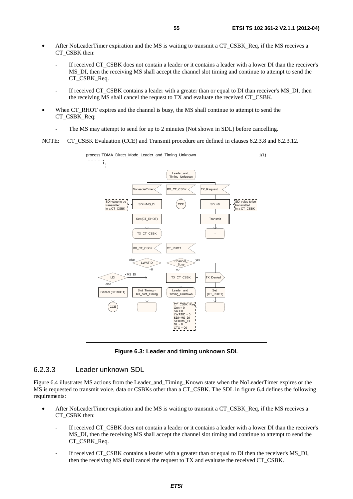- After NoLeaderTimer expiration and the MS is waiting to transmit a CT\_CSBK\_Req, if the MS receives a CT\_CSBK then:
	- If received CT\_CSBK does not contain a leader or it contains a leader with a lower DI than the receiver's MS\_DI, then the receiving MS shall accept the channel slot timing and continue to attempt to send the CT\_CSBK\_Req.
	- If received CT\_CSBK contains a leader with a greater than or equal to DI than receiver's MS\_DI, then the receiving MS shall cancel the request to TX and evaluate the received CT\_CSBK.
- When CT\_RHOT expires and the channel is busy, the MS shall continue to attempt to send the CT\_CSBK\_Req:
	- The MS may attempt to send for up to 2 minutes (Not shown in SDL) before cancelling.

NOTE: CT\_CSBK Evaluation (CCE) and Transmit procedure are defined in clauses 6.2.3.8 and 6.2.3.12.



**Figure 6.3: Leader and timing unknown SDL** 

#### 6.2.3.3 Leader unknown SDL

Figure 6.4 illustrates MS actions from the Leader\_and\_Timing\_Known state when the NoLeaderTimer expires or the MS is requested to transmit voice, data or CSBKs other than a CT\_CSBK. The SDL in figure 6.4 defines the following requirements:

- After NoLeaderTimer expiration and the MS is waiting to transmit a CT\_CSBK\_Req, if the MS receives a CT\_CSBK then:
	- If received CT\_CSBK does not contain a leader or it contains a leader with a lower DI than the receiver's MS\_DI, then the receiving MS shall accept the channel slot timing and continue to attempt to send the CT\_CSBK\_Req.
	- If received CT\_CSBK contains a leader with a greater than or equal to DI then the receiver's MS\_DI, then the receiving MS shall cancel the request to TX and evaluate the received CT\_CSBK.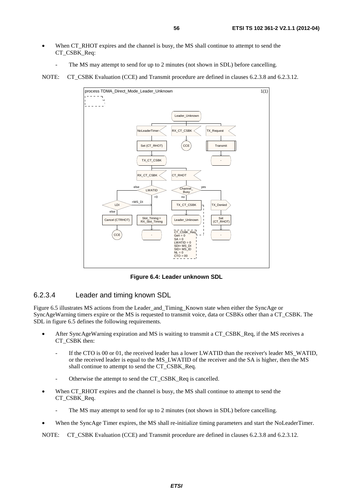- When CT\_RHOT expires and the channel is busy, the MS shall continue to attempt to send the CT\_CSBK\_Req:
	- The MS may attempt to send for up to 2 minutes (not shown in SDL) before cancelling.

NOTE: CT\_CSBK Evaluation (CCE) and Transmit procedure are defined in clauses 6.2.3.8 and 6.2.3.12.



**Figure 6.4: Leader unknown SDL** 

### 6.2.3.4 Leader and timing known SDL

Figure 6.5 illustrates MS actions from the Leader\_and\_Timing\_Known state when either the SyncAge or SyncAgeWarning timers expire or the MS is requested to transmit voice, data or CSBKs other than a CT\_CSBK. The SDL in figure 6.5 defines the following requirements.

- After SyncAgeWarning expiration and MS is waiting to transmit a CT\_CSBK\_Req, if the MS receives a CT\_CSBK then:
	- If the CTO is 00 or 01, the received leader has a lower LWATID than the receiver's leader MS\_WATID, or the received leader is equal to the MS\_LWATID of the receiver and the SA is higher, then the MS shall continue to attempt to send the CT\_CSBK\_Req.
	- Otherwise the attempt to send the CT\_CSBK\_Req is cancelled.
- When CT\_RHOT expires and the channel is busy, the MS shall continue to attempt to send the CT\_CSBK\_Req.
	- The MS may attempt to send for up to 2 minutes (not shown in SDL) before cancelling.
- When the SyncAge Timer expires, the MS shall re-initialize timing parameters and start the NoLeaderTimer.

NOTE: CT\_CSBK Evaluation (CCE) and Transmit procedure are defined in clauses 6.2.3.8 and 6.2.3.12.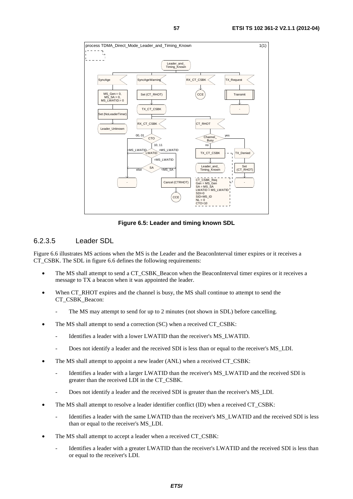

**Figure 6.5: Leader and timing known SDL** 

#### 6.2.3.5 Leader SDL

Figure 6.6 illustrates MS actions when the MS is the Leader and the BeaconInterval timer expires or it receives a CT\_CSBK. The SDL in figure 6.6 defines the following requirements:

- The MS shall attempt to send a CT\_CSBK\_Beacon when the BeaconInterval timer expires or it receives a message to TX a beacon when it was appointed the leader.
- When CT\_RHOT expires and the channel is busy, the MS shall continue to attempt to send the CT\_CSBK\_Beacon:
	- The MS may attempt to send for up to 2 minutes (not shown in SDL) before cancelling.
- The MS shall attempt to send a correction (SC) when a received CT\_CSBK:
	- Identifies a leader with a lower LWATID than the receiver's MS\_LWATID.
	- Does not identify a leader and the received SDI is less than or equal to the receiver's MS\_LDI.
- The MS shall attempt to appoint a new leader (ANL) when a received CT\_CSBK:
	- Identifies a leader with a larger LWATID than the receiver's MS\_LWATID and the received SDI is greater than the received LDI in the CT\_CSBK.
	- Does not identify a leader and the received SDI is greater than the receiver's MS\_LDI.
- The MS shall attempt to resolve a leader identifier conflict (ID) when a received CT\_CSBK:
	- Identifies a leader with the same LWATID than the receiver's MS\_LWATID and the received SDI is less than or equal to the receiver's MS\_LDI.
- The MS shall attempt to accept a leader when a received CT\_CSBK:
	- Identifies a leader with a greater LWATID than the receiver's LWATID and the received SDI is less than or equal to the receiver's LDI.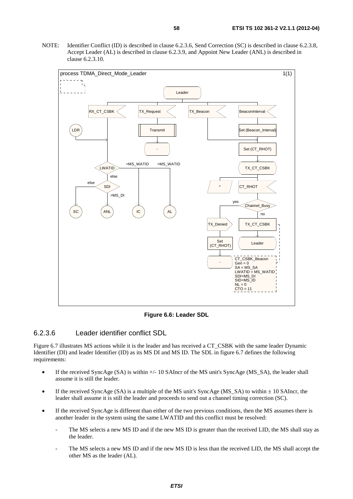NOTE: Identifier Conflict (ID) is described in clause 6.2.3.6, Send Correction (SC) is described in clause 6.2.3.8, Accept Leader (AL) is described in clause 6.2.3.9, and Appoint New Leader (ANL) is described in clause 6.2.3.10.



**Figure 6.6: Leader SDL** 

#### 6.2.3.6 Leader identifier conflict SDL

Figure 6.7 illustrates MS actions while it is the leader and has received a CT\_CSBK with the same leader Dynamic Identifier (DI) and leader Identifier (ID) as its MS DI and MS ID. The SDL in figure 6.7 defines the following requirements:

- If the received SyncAge (SA) is within +/- 10 SAIncr of the MS unit's SyncAge (MS\_SA), the leader shall assume it is still the leader.
- If the received SyncAge (SA) is a multiple of the MS unit's SyncAge (MS\_SA) to within  $\pm$  10 SAIncr, the leader shall assume it is still the leader and proceeds to send out a channel timing correction (SC).
- If the received SyncAge is different than either of the two previous conditions, then the MS assumes there is another leader in the system using the same LWATID and this conflict must be resolved:
	- The MS selects a new MS ID and if the new MS ID is greater than the received LID, the MS shall stay as the leader.
	- The MS selects a new MS ID and if the new MS ID is less than the received LID, the MS shall accept the other MS as the leader (AL).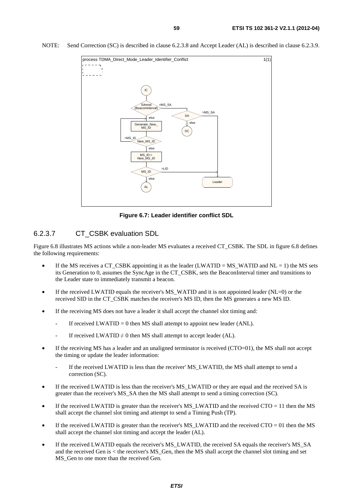

NOTE: Send Correction (SC) is described in clause 6.2.3.8 and Accept Leader (AL) is described in clause 6.2.3.9.

**Figure 6.7: Leader identifier conflict SDL** 

#### 6.2.3.7 CT\_CSBK evaluation SDL

Figure 6.8 illustrates MS actions while a non-leader MS evaluates a received CT\_CSBK. The SDL in figure 6.8 defines the following requirements:

- If the MS receives a CT\_CSBK appointing it as the leader (LWATID = MS\_WATID and NL = 1) the MS sets its Generation to 0, assumes the SyncAge in the CT\_CSBK, sets the BeaconInterval timer and transitions to the Leader state to immediately transmit a beacon.
- If the received LWATID equals the receiver's MS\_WATID and it is not appointed leader (NL=0) or the received SID in the CT\_CSBK matches the receiver's MS ID, then the MS generates a new MS ID.
- If the receiving MS does not have a leader it shall accept the channel slot timing and:
	- If received LWATID = 0 then MS shall attempt to appoint new leader (ANL).
	- If received LWATID  $\neq$  0 then MS shall attempt to accept leader (AL).
- If the receiving MS has a leader and an unaligned terminator is received (CTO=01), the MS shall not accept the timing or update the leader information:
	- If the received LWATID is less than the receiver' MS\_LWATID, the MS shall attempt to send a correction (SC).
- If the received LWATID is less than the receiver's MS\_LWATID or they are equal and the received SA is greater than the receiver's MS\_SA then the MS shall attempt to send a timing correction (SC).
- If the received LWATID is greater than the receiver's MS\_LWATID and the received  $CTO = 11$  then the MS shall accept the channel slot timing and attempt to send a Timing Push (TP).
- If the received LWATID is greater than the receiver's MS\_LWATID and the received  $CTO = 01$  then the MS shall accept the channel slot timing and accept the leader (AL).
- If the received LWATID equals the receiver's MS\_LWATID, the received SA equals the receiver's MS\_SA and the received Gen is < the receiver's MS\_Gen, then the MS shall accept the channel slot timing and set MS Gen to one more than the received Gen.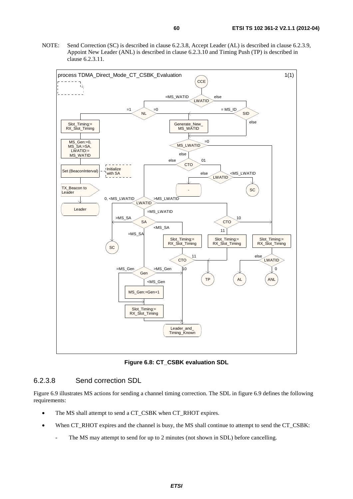NOTE: Send Correction (SC) is described in clause 6.2.3.8, Accept Leader (AL) is described in clause 6.2.3.9, Appoint New Leader (ANL) is described in clause 6.2.3.10 and Timing Push (TP) is described in clause 6.2.3.11.



**Figure 6.8: CT\_CSBK evaluation SDL** 

#### 6.2.3.8 Send correction SDL

Figure 6.9 illustrates MS actions for sending a channel timing correction. The SDL in figure 6.9 defines the following requirements:

- The MS shall attempt to send a CT\_CSBK when CT\_RHOT expires.
- When CT\_RHOT expires and the channel is busy, the MS shall continue to attempt to send the CT\_CSBK:
	- The MS may attempt to send for up to 2 minutes (not shown in SDL) before cancelling.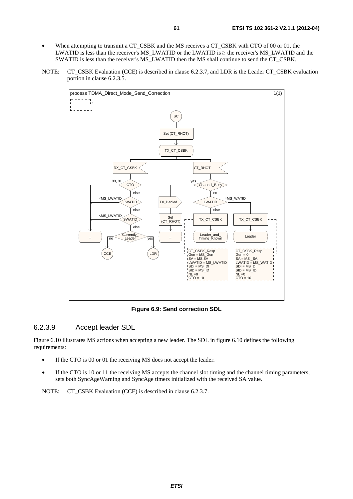- When attempting to transmit a CT\_CSBK and the MS receives a CT\_CSBK with CTO of 00 or 01, the LWATID is less than the receiver's MS\_LWATID or the LWATID is  $\geq$  the receiver's MS\_LWATID and the SWATID is less than the receiver's MS\_LWATID then the MS shall continue to send the CT\_CSBK.
- NOTE: CT\_CSBK Evaluation (CCE) is described in clause 6.2.3.7, and LDR is the Leader CT\_CSBK evaluation portion in clause 6.2.3.5.



**Figure 6.9: Send correction SDL** 

#### 6.2.3.9 Accept leader SDL

Figure 6.10 illustrates MS actions when accepting a new leader. The SDL in figure 6.10 defines the following requirements:

- If the CTO is 00 or 01 the receiving MS does not accept the leader.
- If the CTO is 10 or 11 the receiving MS accepts the channel slot timing and the channel timing parameters, sets both SyncAgeWarning and SyncAge timers initialized with the received SA value.

NOTE: CT\_CSBK Evaluation (CCE) is described in clause 6.2.3.7.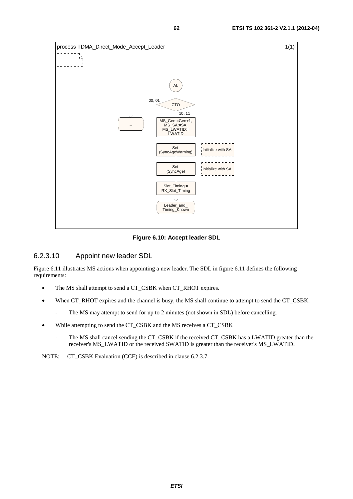

**Figure 6.10: Accept leader SDL** 

#### 6.2.3.10 Appoint new leader SDL

Figure 6.11 illustrates MS actions when appointing a new leader. The SDL in figure 6.11 defines the following requirements:

- The MS shall attempt to send a CT\_CSBK when CT\_RHOT expires.
- When CT\_RHOT expires and the channel is busy, the MS shall continue to attempt to send the CT\_CSBK.
	- The MS may attempt to send for up to 2 minutes (not shown in SDL) before cancelling.
- While attempting to send the CT\_CSBK and the MS receives a CT\_CSBK
	- The MS shall cancel sending the CT\_CSBK if the received CT\_CSBK has a LWATID greater than the receiver's MS\_LWATID or the received SWATID is greater than the receiver's MS\_LWATID.

NOTE: CT\_CSBK Evaluation (CCE) is described in clause 6.2.3.7.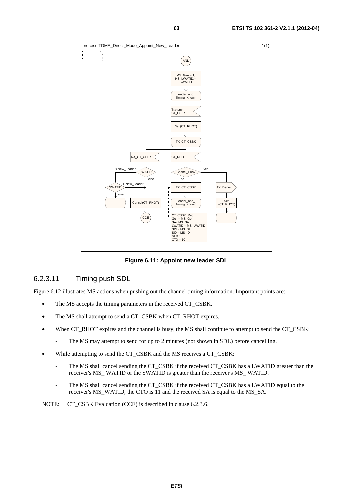

**Figure 6.11: Appoint new leader SDL** 

### 6.2.3.11 Timing push SDL

Figure 6.12 illustrates MS actions when pushing out the channel timing information. Important points are:

- The MS accepts the timing parameters in the received CT\_CSBK.
- The MS shall attempt to send a CT\_CSBK when CT\_RHOT expires.
- When CT\_RHOT expires and the channel is busy, the MS shall continue to attempt to send the CT\_CSBK:
	- The MS may attempt to send for up to 2 minutes (not shown in SDL) before cancelling.
- While attempting to send the CT\_CSBK and the MS receives a CT\_CSBK:
	- The MS shall cancel sending the CT\_CSBK if the received CT\_CSBK has a LWATID greater than the receiver's MS\_ WATID or the SWATID is greater than the receiver's MS\_ WATID.
	- The MS shall cancel sending the CT\_CSBK if the received CT\_CSBK has a LWATID equal to the receiver's MS\_WATID, the CTO is 11 and the received SA is equal to the MS\_SA.
- NOTE: CT\_CSBK Evaluation (CCE) is described in clause 6.2.3.6.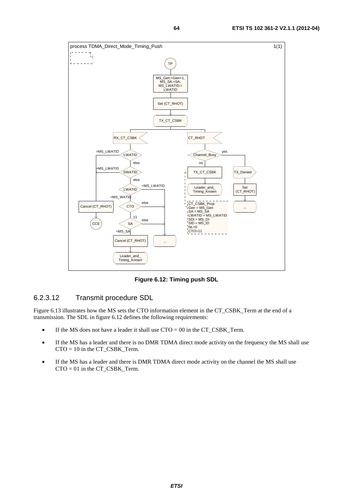

**Figure 6.12: Timing push SDL** 

# 6.2.3.12 Transmit procedure SDL

Figure 6.13 illustrates how the MS sets the CTO information element in the CT\_CSBK\_Term at the end of a transmission. The SDL in figure 6.12 defines the following requirements:

- If the MS does not have a leader it shall use  $CTO = 00$  in the CT\_CSBK\_Term.
- If the MS has a leader and there is no DMR TDMA direct mode activity on the frequency the MS shall use  $CTO = 10$  in the CT\_CSBK\_Term.
- If the MS has a leader and there is DMR TDMA direct mode activity on the channel the MS shall use CTO = 01 in the CT\_CSBK\_Term.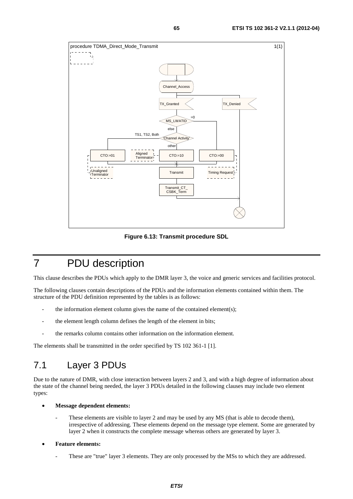

**Figure 6.13: Transmit procedure SDL** 

# 7 PDU description

This clause describes the PDUs which apply to the DMR layer 3, the voice and generic services and facilities protocol.

The following clauses contain descriptions of the PDUs and the information elements contained within them. The structure of the PDU definition represented by the tables is as follows:

- the information element column gives the name of the contained element(s);
- the element length column defines the length of the element in bits;
- the remarks column contains other information on the information element.

The elements shall be transmitted in the order specified by TS 102 361-1 [1].

# 7.1 Layer 3 PDUs

Due to the nature of DMR, with close interaction between layers 2 and 3, and with a high degree of information about the state of the channel being needed, the layer 3 PDUs detailed in the following clauses may include two element types:

- **Message dependent elements:** 
	- These elements are visible to layer 2 and may be used by any MS (that is able to decode them), irrespective of addressing. These elements depend on the message type element. Some are generated by layer 2 when it constructs the complete message whereas others are generated by layer 3.
- **Feature elements:** 
	- These are "true" layer 3 elements. They are only processed by the MSs to which they are addressed.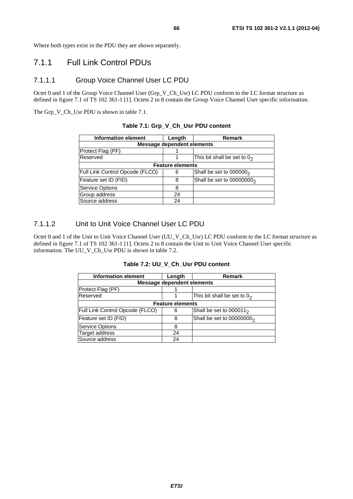Where both types exist in the PDU they are shown separately.

# 7.1.1 Full Link Control PDUs

#### 7.1.1.1 Group Voice Channel User LC PDU

Octet 0 and 1 of the Group Voice Channel User (Grp\_V\_Ch\_Usr) LC PDU conform to the LC format structure as defined in figure 7.1 of TS 102 361-1 [1]. Octets 2 to 8 contain the Group Voice Channel User specific information.

The Grp\_V\_Ch\_Usr PDU is shown in table 7.1.

| <b>Information element</b>        | Length                  | <b>Remark</b>                         |  |  |  |  |
|-----------------------------------|-------------------------|---------------------------------------|--|--|--|--|
| <b>Message dependent elements</b> |                         |                                       |  |  |  |  |
| Protect Flag (PF)                 |                         |                                       |  |  |  |  |
| Reserved                          |                         | This bit shall be set to $02$         |  |  |  |  |
|                                   | <b>Feature elements</b> |                                       |  |  |  |  |
| Full Link Control Opcode (FLCO)   | 6                       | Shall be set to 000000 <sub>2</sub>   |  |  |  |  |
| Feature set ID (FID)              | 8                       | Shall be set to 00000000 <sub>2</sub> |  |  |  |  |
| Service Options                   | 8                       |                                       |  |  |  |  |
| Group address                     | 24                      |                                       |  |  |  |  |
| Source address                    | 24                      |                                       |  |  |  |  |

#### **Table 7.1: Grp\_V\_Ch\_Usr PDU content**

### 7.1.1.2 Unit to Unit Voice Channel User LC PDU

Octet 0 and 1 of the Unit to Unit Voice Channel User (UU\_V\_Ch\_Usr) LC PDU conform to the LC format structure as defined in figure 7.1 of TS 102 361-1 [1]. Octets 2 to 8 contain the Unit to Unit Voice Channel User specific information. The UU\_V\_Ch\_Usr PDU is shown in table 7.2.

**Table 7.2: UU\_V\_Ch\_Usr PDU content** 

| <b>Information element</b>        | Length                  | Remark                        |  |  |  |
|-----------------------------------|-------------------------|-------------------------------|--|--|--|
| <b>Message dependent elements</b> |                         |                               |  |  |  |
| Protect Flag (PF)                 |                         |                               |  |  |  |
| Reserved                          |                         | This bit shall be set to $02$ |  |  |  |
|                                   | <b>Feature elements</b> |                               |  |  |  |
| Full Link Control Opcode (FLCO)   | 6                       | Shall be set to $000011_2$    |  |  |  |
| Feature set ID (FID)              | 8                       | Shall be set to $00000000_2$  |  |  |  |
| <b>Service Options</b>            | 8                       |                               |  |  |  |
| Target address                    | 24                      |                               |  |  |  |
| Source address                    | 24                      |                               |  |  |  |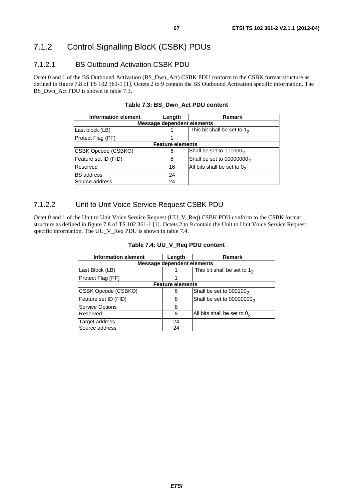# 7.1.2 Control Signalling BlocK (CSBK) PDUs

# 7.1.2.1 BS Outbound Activation CSBK PDU

Octet 0 and 1 of the BS Outbound Activation (BS\_Dwn\_Act) CSBK PDU conform to the CSBK format structure as defined in figure 7.8 of TS 102 361-1 [1]. Octets 2 to 9 contain the BS Outbound Activation specific information. The BS\_Dwn\_Act PDU is shown in table 7.3.

| <b>Information element</b> | Length                            | <b>Remark</b>                 |  |  |  |  |
|----------------------------|-----------------------------------|-------------------------------|--|--|--|--|
|                            | <b>Message dependent elements</b> |                               |  |  |  |  |
| Last block (LB)            |                                   | This bit shall be set to $12$ |  |  |  |  |
| Protect Flag (PF)          |                                   |                               |  |  |  |  |
|                            | <b>Feature elements</b>           |                               |  |  |  |  |
| CSBK Opcode (CSBKO)        | 6                                 | Shall be set to $1110002$     |  |  |  |  |
| Feature set ID (FID)       | 8                                 | Shall be set to $00000000_2$  |  |  |  |  |
| Reserved                   | 16                                | All bits shall be set to $02$ |  |  |  |  |
| <b>BS</b> address          | 24                                |                               |  |  |  |  |
| Source address             | 24                                |                               |  |  |  |  |

#### **Table 7.3: BS\_Dwn\_Act PDU content**

### 7.1.2.2 Unit to Unit Voice Service Request CSBK PDU

Octet 0 and 1 of the Unit to Unit Voice Service Request (UU\_V\_Req) CSBK PDU conform to the CSBK format structure as defined in figure 7.8 of TS 102 361-1 [1]. Octets 2 to 9 contain the Unit to Unit Voice Service Request specific information. The UU\_V\_Req PDU is shown in table 7.4.

| <b>Information element</b> | Length                            | Remark                                |
|----------------------------|-----------------------------------|---------------------------------------|
|                            | <b>Message dependent elements</b> |                                       |
| Last Block (LB)            |                                   | This bit shall be set to $12$         |
| Protect Flag (PF)          |                                   |                                       |
|                            | <b>Feature elements</b>           |                                       |
| CSBK Opcode (CSBKO)        | 6                                 | Shall be set to $0001002$             |
| Feature set ID (FID)       | 8                                 | Shall be set to 00000000 <sub>2</sub> |
| <b>Service Options</b>     | 8                                 |                                       |
| Reserved                   | 8                                 | All bits shall be set to $02$         |
| <b>Target address</b>      | 24                                |                                       |
| Source address             | 24                                |                                       |

#### **Table 7.4: UU\_V\_Req PDU content**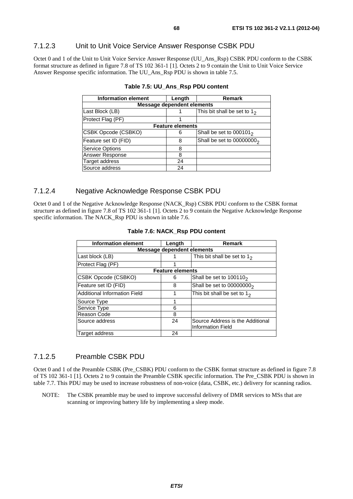### 7.1.2.3 Unit to Unit Voice Service Answer Response CSBK PDU

Octet 0 and 1 of the Unit to Unit Voice Service Answer Response (UU\_Ans\_Rsp) CSBK PDU conform to the CSBK format structure as defined in figure 7.8 of TS 102 361-1 [1]. Octets 2 to 9 contain the Unit to Unit Voice Service Answer Response specific information. The UU\_Ans\_Rsp PDU is shown in table 7.5.

| <b>Information element</b> | Length                            | Remark                                |
|----------------------------|-----------------------------------|---------------------------------------|
|                            | <b>Message dependent elements</b> |                                       |
| Last Block (LB)            |                                   | This bit shall be set to $12$         |
| Protect Flag (PF)          |                                   |                                       |
|                            | <b>Feature elements</b>           |                                       |
| CSBK Opcode (CSBKO)        | 6                                 | Shall be set to $0001012$             |
| Feature set ID (FID)       | 8                                 | Shall be set to 00000000 <sub>2</sub> |
| <b>Service Options</b>     | 8                                 |                                       |
| Answer Response            | 8                                 |                                       |
| Target address             | 24                                |                                       |
| Source address             | 24                                |                                       |

|--|--|--|--|--|--|--|

### 7.1.2.4 Negative Acknowledge Response CSBK PDU

Octet 0 and 1 of the Negative Acknowledge Response (NACK\_Rsp) CSBK PDU conform to the CSBK format structure as defined in figure 7.8 of TS 102 361-1 [1]. Octets 2 to 9 contain the Negative Acknowledge Response specific information. The NACK\_Rsp PDU is shown in table 7.6.

| <b>Information element</b>        | Length                  | Remark                                                       |  |  |  |  |
|-----------------------------------|-------------------------|--------------------------------------------------------------|--|--|--|--|
| <b>Message dependent elements</b> |                         |                                                              |  |  |  |  |
| Last block (LB)                   |                         | This bit shall be set to $12$                                |  |  |  |  |
| Protect Flag (PF)                 |                         |                                                              |  |  |  |  |
|                                   | <b>Feature elements</b> |                                                              |  |  |  |  |
| CSBK Opcode (CSBKO)               | 6                       | Shall be set to $1001102$                                    |  |  |  |  |
| Feature set ID (FID)              | 8                       | Shall be set to $00000000_2$                                 |  |  |  |  |
| Additional Information Field      |                         | This bit shall be set to $12$                                |  |  |  |  |
| Source Type                       | 1                       |                                                              |  |  |  |  |
| Service Type                      | 6                       |                                                              |  |  |  |  |
| Reason Code                       | 8                       |                                                              |  |  |  |  |
| Source address                    | 24                      | Source Address is the Additional<br><b>Information Field</b> |  |  |  |  |
| Target address                    | 24                      |                                                              |  |  |  |  |

#### **Table 7.6: NACK\_Rsp PDU content**

#### 7.1.2.5 Preamble CSBK PDU

Octet 0 and 1 of the Preamble CSBK (Pre\_CSBK) PDU conform to the CSBK format structure as defined in figure 7.8 of TS 102 361-1 [1]. Octets 2 to 9 contain the Preamble CSBK specific information. The Pre\_CSBK PDU is shown in table 7.7. This PDU may be used to increase robustness of non-voice (data, CSBK, etc.) delivery for scanning radios.

NOTE: The CSBK preamble may be used to improve successful delivery of DMR services to MSs that are scanning or improving battery life by implementing a sleep mode.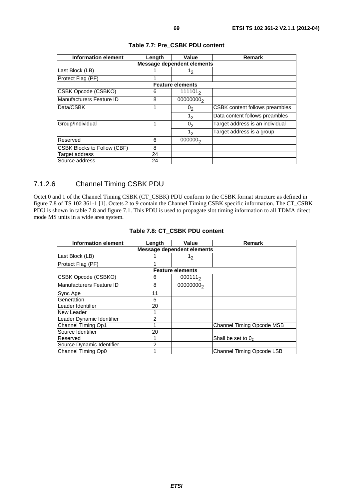| <b>Information element</b>         | Length | Value                             | <b>Remark</b>                         |
|------------------------------------|--------|-----------------------------------|---------------------------------------|
|                                    |        | <b>Message dependent elements</b> |                                       |
| Last Block (LB)                    |        | 12                                |                                       |
| Protect Flag (PF)                  |        |                                   |                                       |
|                                    |        | <b>Feature elements</b>           |                                       |
| CSBK Opcode (CSBKO)                | 6      | $111101_2$                        |                                       |
| Manufacturers Feature ID           | 8      | 00000000 <sub>2</sub>             |                                       |
| Data/CSBK                          | 1      | 0 <sub>2</sub>                    | <b>CSBK</b> content follows preambles |
|                                    |        | 1 <sub>2</sub>                    | Data content follows preambles        |
| Group/Individual                   | 1      | 0 <sub>2</sub>                    | Target address is an individual       |
|                                    |        | 1 <sub>2</sub>                    | Target address is a group             |
| Reserved                           | 6      | 000000 <sub>2</sub>               |                                       |
| <b>CSBK Blocks to Follow (CBF)</b> | 8      |                                   |                                       |
| Target address                     | 24     |                                   |                                       |
| Source address                     | 24     |                                   |                                       |

#### **Table 7.7: Pre\_CSBK PDU content**

# 7.1.2.6 Channel Timing CSBK PDU

Octet 0 and 1 of the Channel Timing CSBK (CT\_CSBK) PDU conform to the CSBK format structure as defined in figure 7.8 of TS 102 361-1 [1]. Octets 2 to 9 contain the Channel Timing CSBK specific information. The CT\_CSBK PDU is shown in table 7.8 and figure 7.1. This PDU is used to propagate slot timing information to all TDMA direct mode MS units in a wide area system.

| <b>Information element</b>        | Length         | Value                   | Remark                           |  |  |  |  |
|-----------------------------------|----------------|-------------------------|----------------------------------|--|--|--|--|
| <b>Message dependent elements</b> |                |                         |                                  |  |  |  |  |
| Last Block (LB)                   |                | 1 <sub>2</sub>          |                                  |  |  |  |  |
| Protect Flag (PF)                 |                |                         |                                  |  |  |  |  |
|                                   |                | <b>Feature elements</b> |                                  |  |  |  |  |
| <b>CSBK Opcode (CSBKO)</b>        | 6              | $000111_2$              |                                  |  |  |  |  |
| Manufacturers Feature ID          | 8              | 00000000 <sub>2</sub>   |                                  |  |  |  |  |
| Sync Age                          | 11             |                         |                                  |  |  |  |  |
| Generation                        | 5              |                         |                                  |  |  |  |  |
| Leader Identifier                 | 20             |                         |                                  |  |  |  |  |
| New Leader                        |                |                         |                                  |  |  |  |  |
| Leader Dynamic Identifier         | 2              |                         |                                  |  |  |  |  |
| Channel Timing Op1                |                |                         | <b>Channel Timing Opcode MSB</b> |  |  |  |  |
| Source Identifier                 | 20             |                         |                                  |  |  |  |  |
| Reserved                          |                |                         | Shall be set to $02$             |  |  |  |  |
| Source Dynamic Identifier         | $\mathfrak{p}$ |                         |                                  |  |  |  |  |
| Channel Timing Op0                |                |                         | <b>Channel Timing Opcode LSB</b> |  |  |  |  |

### **Table 7.8: CT\_CSBK PDU content**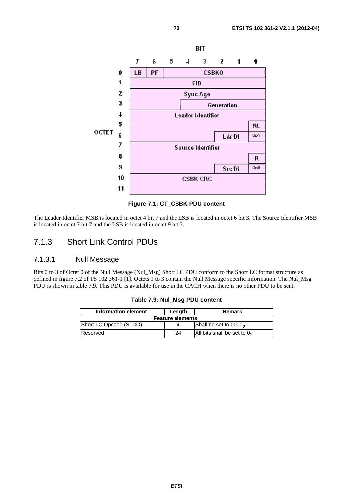

**Figure 7.1: CT\_CSBK PDU content** 

The Leader Identifier MSB is located in octet 4 bit 7 and the LSB is located in octet 6 bit 3. The Source Identifier MSB is located in octet 7 bit 7 and the LSB is located in octet 9 bit 3.

# 7.1.3 Short Link Control PDUs

## 7.1.3.1 Null Message

Bits 0 to 3 of Octet 0 of the Null Message (Nul\_Msg) Short LC PDU conform to the Short LC format structure as defined in figure 7.2 of TS 102 361-1 [1]. Octets 1 to 3 contain the Null Message specific information. The Nul\_Msg PDU is shown in table 7.9. This PDU is available for use in the CACH when there is no other PDU to be sent.

| Information element     | Lenath | Remark                        |  |
|-------------------------|--------|-------------------------------|--|
| <b>Feature elements</b> |        |                               |  |
| Short LC Opcode (SLCO)  |        | Shall be set to $00002$       |  |
| Reserved                | 24     | All bits shall be set to $02$ |  |

**Table 7.9: Nul\_Msg PDU content**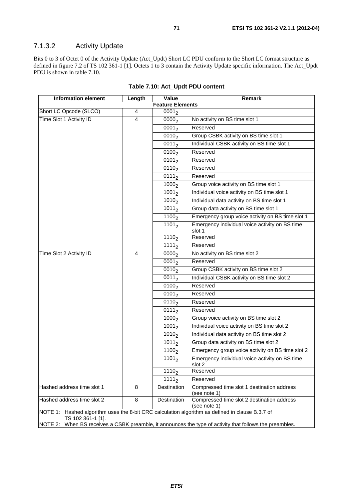# 7.1.3.2 Activity Update

Bits 0 to 3 of Octet 0 of the Activity Update (Act\_Updt) Short LC PDU conform to the Short LC format structure as defined in figure 7.2 of TS 102 361-1 [1]. Octets 1 to 3 contain the Activity Update specific information. The Act\_Updt PDU is shown in table 7.10.

| <b>Information element</b>                                                                                           | Length         | Value               | Remark                                                     |
|----------------------------------------------------------------------------------------------------------------------|----------------|---------------------|------------------------------------------------------------|
| <b>Feature Elements</b>                                                                                              |                |                     |                                                            |
| Short LC Opcode (SLCO)                                                                                               | 4              | 0001 <sub>2</sub>   |                                                            |
| Time Slot 1 Activity ID                                                                                              | $\overline{4}$ | $\overline{0000}$   | No activity on BS time slot 1                              |
|                                                                                                                      |                | $\overline{0001}_2$ | Reserved                                                   |
|                                                                                                                      |                | 0010 <sub>2</sub>   | Group CSBK activity on BS time slot 1                      |
|                                                                                                                      |                | $\overline{001}1_2$ | Individual CSBK activity on BS time slot 1                 |
|                                                                                                                      |                | 0100 <sub>2</sub>   | Reserved                                                   |
|                                                                                                                      |                | $\overline{0}101_2$ | Reserved                                                   |
|                                                                                                                      |                | 0110 <sub>2</sub>   | Reserved                                                   |
|                                                                                                                      |                | $\overline{0111}_2$ | Reserved                                                   |
|                                                                                                                      |                | 1000 <sub>2</sub>   | Group voice activity on BS time slot 1                     |
|                                                                                                                      |                | $\frac{1}{1001}$    | Individual voice activity on BS time slot 1                |
|                                                                                                                      |                | $\frac{1010}{2}$    | Individual data activity on BS time slot 1                 |
|                                                                                                                      |                | $1011_2$            | Group data activity on BS time slot 1                      |
|                                                                                                                      |                | 1100 <sub>2</sub>   | Emergency group voice activity on BS time slot 1           |
|                                                                                                                      |                | 1101 <sub>2</sub>   | Emergency individual voice activity on BS time<br>slot 1   |
|                                                                                                                      |                | 1110 <sub>2</sub>   | Reserved                                                   |
|                                                                                                                      |                | $\overline{1111}_2$ | Reserved                                                   |
| Time Slot 2 Activity ID                                                                                              | $\overline{4}$ | 0000 <sub>2</sub>   | No activity on BS time slot 2                              |
|                                                                                                                      |                | $\sqrt{0001}$       | Reserved                                                   |
|                                                                                                                      |                | 0010 <sub>2</sub>   | Group CSBK activity on BS time slot 2                      |
|                                                                                                                      |                | $0011_2$            | Individual CSBK activity on BS time slot 2                 |
|                                                                                                                      |                | $\overline{0}100_2$ | Reserved                                                   |
|                                                                                                                      |                | 0101 <sub>2</sub>   | Reserved                                                   |
|                                                                                                                      |                | 0110 <sub>2</sub>   | Reserved                                                   |
|                                                                                                                      |                | $0111_2$            | Reserved                                                   |
|                                                                                                                      |                | 1000 <sub>2</sub>   | Group voice activity on BS time slot 2                     |
|                                                                                                                      |                | 1001 <sub>2</sub>   | Individual voice activity on BS time slot 2                |
|                                                                                                                      |                | $\overline{1010}_2$ | Individual data activity on BS time slot 2                 |
|                                                                                                                      |                | $\frac{1}{1011}$    | Group data activity on BS time slot 2                      |
|                                                                                                                      |                | $\overline{1}100,$  | Emergency group voice activity on BS time slot 2           |
|                                                                                                                      |                | 1101 <sub>2</sub>   | Emergency individual voice activity on BS time<br>slot 2   |
|                                                                                                                      |                | 1110 <sub>2</sub>   | Reserved                                                   |
|                                                                                                                      |                | $1111_2$            | Reserved                                                   |
| Hashed address time slot 1                                                                                           | 8              | Destination         | Compressed time slot 1 destination address<br>(see note 1) |
| Hashed address time slot 2                                                                                           | 8              | Destination         | Compressed time slot 2 destination address<br>(see note 1) |
| NOTE 1: Hashed algorithm uses the 8-bit CRC calculation algorithm as defined in clause B.3.7 of<br>TS 102 361-1 [1]. |                |                     |                                                            |
| NOTE 2: When BS receives a CSBK preamble, it announces the type of activity that follows the preambles.              |                |                     |                                                            |

**Table 7.10: Act\_Updt PDU content**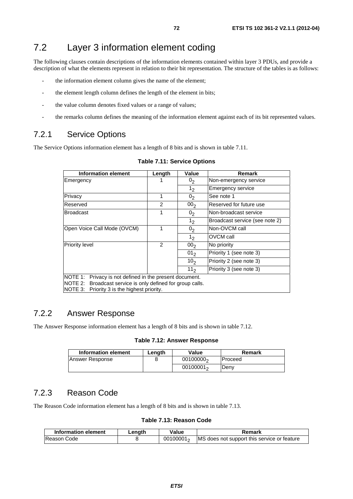# 7.2 Layer 3 information element coding

The following clauses contain descriptions of the information elements contained within layer 3 PDUs, and provide a description of what the elements represent in relation to their bit representation. The structure of the tables is as follows:

- the information element column gives the name of the element;
- the element length column defines the length of the element in bits;
- the value column denotes fixed values or a range of values;
- the remarks column defines the meaning of the information element against each of its bit represented values.

# 7.2.1 Service Options

The Service Options information element has a length of 8 bits and is shown in table 7.11.

| <b>Information element</b>                                                                                                                                                    | Length | Value           | <b>Remark</b>                  |
|-------------------------------------------------------------------------------------------------------------------------------------------------------------------------------|--------|-----------------|--------------------------------|
| Emergency                                                                                                                                                                     |        | 0 <sub>2</sub>  | Non-emergency service          |
|                                                                                                                                                                               |        | 1 <sub>2</sub>  | <b>Emergency service</b>       |
| Privacy                                                                                                                                                                       | 1      | 0 <sub>2</sub>  | See note 1                     |
| Reserved                                                                                                                                                                      | 2      | 00 <sub>2</sub> | Reserved for future use        |
| <b>Broadcast</b>                                                                                                                                                              | 1      | 0 <sub>2</sub>  | Non-broadcast service          |
|                                                                                                                                                                               |        | 1 <sub>2</sub>  | Broadcast service (see note 2) |
| Open Voice Call Mode (OVCM)                                                                                                                                                   | 1      | 0 <sub>2</sub>  | Non-OVCM call                  |
|                                                                                                                                                                               |        | 1 <sub>2</sub>  | OVCM call                      |
| <b>Priority level</b>                                                                                                                                                         | 2      | 00 <sub>2</sub> | No priority                    |
|                                                                                                                                                                               |        | 01 <sub>2</sub> | Priority 1 (see note 3)        |
|                                                                                                                                                                               |        | 10 <sub>2</sub> | Priority 2 (see note 3)        |
|                                                                                                                                                                               |        | 11 <sub>2</sub> | Priority 3 (see note 3)        |
| NOTE 1:<br>Privacy is not defined in the present document.<br>NOTE 2:<br>Broadcast service is only defined for group calls.<br>NOTE 3:<br>Priority 3 is the highest priority. |        |                 |                                |

#### **Table 7.11: Service Options**

# 7.2.2 Answer Response

The Answer Response information element has a length of 8 bits and is shown in table 7.12.

#### **Table 7.12: Answer Response**

| Information element | Lenath | Value                 | Remark         |
|---------------------|--------|-----------------------|----------------|
| Answer Response     |        | 00100000 <sub>2</sub> | <b>Proceed</b> |
|                     |        | $00100001_2$          | Denv           |

# 7.2.3 Reason Code

The Reason Code information element has a length of 8 bits and is shown in table 7.13.

**Table 7.13: Reason Code** 

| Information element | Length | Value        | Remark                                      |
|---------------------|--------|--------------|---------------------------------------------|
| <b>IReason Code</b> |        | $00100001_2$ | MS does not support this service or feature |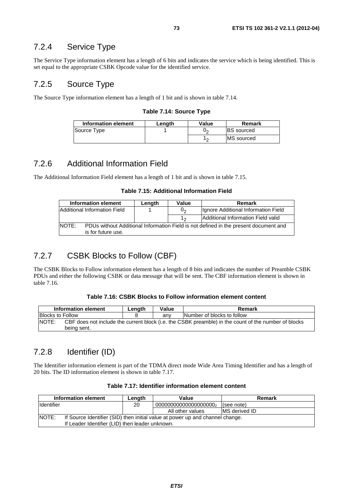### 7.2.4 Service Type

The Service Type information element has a length of 6 bits and indicates the service which is being identified. This is set equal to the appropriate CSBK Opcode value for the identified service.

### 7.2.5 Source Type

The Source Type information element has a length of 1 bit and is shown in table 7.14.

#### **Table 7.14: Source Type**

| Information element | Lenath | Value | Remark             |
|---------------------|--------|-------|--------------------|
| Source Type         |        | Uη    | <b>BS</b> sourced  |
|                     |        | 10    | <b>IMS</b> sourced |

### 7.2.6 Additional Information Field

The Additional Information Field element has a length of 1 bit and is shown in table 7.15.

#### **Table 7.15: Additional Information Field**

|       | Information element          | Length | Value | Remark                                                                               |
|-------|------------------------------|--------|-------|--------------------------------------------------------------------------------------|
|       | Additional Information Field |        | 0,    | Ignore Additional Information Field                                                  |
|       |                              |        |       | Additional Information Field valid                                                   |
| NOTE: | is for future use.           |        |       | PDUs without Additional Information Field is not defined in the present document and |

### 7.2.7 CSBK Blocks to Follow (CBF)

The CSBK Blocks to Follow information element has a length of 8 bits and indicates the number of Preamble CSBK PDUs and either the following CSBK or data message that will be sent. The CBF information element is shown in table 7.16.

#### **Table 7.16: CSBK Blocks to Follow information element content**

|                         | Information element                                                                                  | Length | Value | Remark                     |
|-------------------------|------------------------------------------------------------------------------------------------------|--------|-------|----------------------------|
| <b>Blocks to Follow</b> |                                                                                                      |        | anv   | Number of blocks to follow |
| INOTE:                  | CBF does not include the current block (i.e. the CSBK preamble) in the count of the number of blocks |        |       |                            |
|                         | being sent.                                                                                          |        |       |                            |

### 7.2.8 Identifier (ID)

The Identifier information element is part of the TDMA direct mode Wide Area Timing Identifier and has a length of 20 bits. The ID information element is shown in table 7.17.

#### **Table 7.17: Identifier information element content**

|                    | Information element                                                           | Length | Value                 | Remark                |  |
|--------------------|-------------------------------------------------------------------------------|--------|-----------------------|-----------------------|--|
| <b>I</b> dentifier |                                                                               | 20     | 000000000000000000000 | (see note)            |  |
|                    |                                                                               |        | All other values      | <b>IMS</b> derived ID |  |
| <b>NOTE:</b>       | If Source Identifier (SID) then initial value at power up and channel change. |        |                       |                       |  |
|                    | If Leader Identifier (LID) then leader unknown.                               |        |                       |                       |  |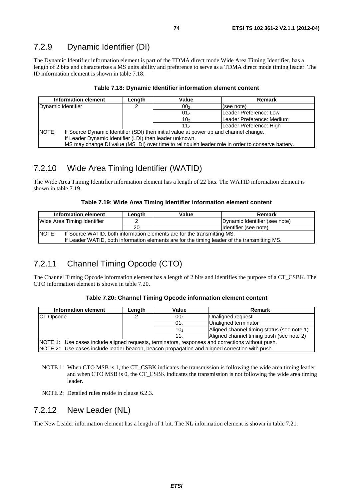The Dynamic Identifier information element is part of the TDMA direct mode Wide Area Timing Identifier, has a length of 2 bits and characterizes a MS units ability and preference to serve as a TDMA direct mode timing leader. The ID information element is shown in table 7.18.

|                    | Information element                                                                              | Length                                                                                | Value           | Remark                    |  |  |
|--------------------|--------------------------------------------------------------------------------------------------|---------------------------------------------------------------------------------------|-----------------|---------------------------|--|--|
| Dynamic Identifier |                                                                                                  |                                                                                       | 00 <sub>2</sub> | (see note)                |  |  |
|                    |                                                                                                  |                                                                                       | 01 <sub>2</sub> | Leader Preference: Low    |  |  |
|                    |                                                                                                  |                                                                                       | 10 <sub>2</sub> | Leader Preference: Medium |  |  |
|                    |                                                                                                  |                                                                                       | 11 <sub>2</sub> | Leader Preference: High   |  |  |
| NOTE:              |                                                                                                  | If Source Dynamic Identifier (SDI) then initial value at power up and channel change. |                 |                           |  |  |
|                    |                                                                                                  | If Leader Dynamic Identifier (LDI) then leader unknown.                               |                 |                           |  |  |
|                    | MS may change DI value (MS_DI) over time to relinguish leader role in order to conserve battery. |                                                                                       |                 |                           |  |  |

### 7.2.10 Wide Area Timing Identifier (WATID)

The Wide Area Timing Identifier information element has a length of 22 bits. The WATID information element is shown in table 7.19.

| Table 7.19: Wide Area Timing Identifier information element content |  |
|---------------------------------------------------------------------|--|
|---------------------------------------------------------------------|--|

|       | Information element                                                                          | Lenath | Value | Remark                        |
|-------|----------------------------------------------------------------------------------------------|--------|-------|-------------------------------|
|       | Wide Area Timing Identifier                                                                  |        |       | Dynamic Identifier (see note) |
|       |                                                                                              | 20     |       | Identifier (see note)         |
| NOTE: | If Source WATID, both information elements are for the transmitting MS.                      |        |       |                               |
|       | If Leader WATID, both information elements are for the timing leader of the transmitting MS. |        |       |                               |

### 7.2.11 Channel Timing Opcode (CTO)

The Channel Timing Opcode information element has a length of 2 bits and identifies the purpose of a CT\_CSBK. The CTO information element is shown in table 7.20.

### **Table 7.20: Channel Timing Opcode information element content**

| Information element | Length                                                                                           | Value           | <b>Remark</b>                              |  |  |
|---------------------|--------------------------------------------------------------------------------------------------|-----------------|--------------------------------------------|--|--|
| <b>CT Opcode</b>    |                                                                                                  | 00 <sub>2</sub> | Unaligned request                          |  |  |
|                     |                                                                                                  | 01 <sub>2</sub> | Unaligned terminator                       |  |  |
|                     |                                                                                                  | 10 <sub>2</sub> | Aligned channel timing status (see note 1) |  |  |
|                     |                                                                                                  | 11 <sub>2</sub> | Aligned channel timing push (see note 2)   |  |  |
|                     | NOTE 1: Use cases include aligned requests, terminators, responses and corrections without push. |                 |                                            |  |  |
|                     | NOTE 2: Use cases include leader beacon, beacon propagation and aligned correction with push.    |                 |                                            |  |  |

- NOTE 1: When CTO MSB is 1, the CT\_CSBK indicates the transmission is following the wide area timing leader and when CTO MSB is 0, the CT\_CSBK indicates the transmission is not following the wide area timing leader.
- NOTE 2: Detailed rules reside in clause 6.2.3.

### 7.2.12 New Leader (NL)

The New Leader information element has a length of 1 bit. The NL information element is shown in table 7.21.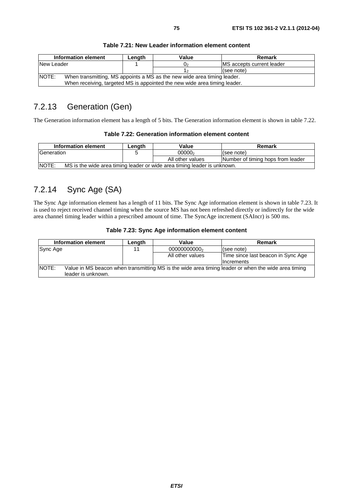|            | Information element                                                       | Length | Value | Remark                            |  |  |
|------------|---------------------------------------------------------------------------|--------|-------|-----------------------------------|--|--|
| New Leader |                                                                           |        | U2    | <b>IMS</b> accepts current leader |  |  |
|            |                                                                           |        |       | (see note)                        |  |  |
| NOTE:      | When transmitting, MS appoints a MS as the new wide area timing leader.   |        |       |                                   |  |  |
|            | When receiving, targeted MS is appointed the new wide area timing leader. |        |       |                                   |  |  |

#### **Table 7.21: New Leader information element content**

### 7.2.13 Generation (Gen)

The Generation information element has a length of 5 bits. The Generation information element is shown in table 7.22.

#### **Table 7.22: Generation information element content**

| Information element                                                                      | Lenath | Value            | Remark                            |  |  |
|------------------------------------------------------------------------------------------|--------|------------------|-----------------------------------|--|--|
| lGeneration                                                                              |        | 00000            | (see note)                        |  |  |
|                                                                                          |        | All other values | Number of timing hops from leader |  |  |
| <b>NOTE:</b><br>MS is the wide area timing leader or wide area timing leader is unknown. |        |                  |                                   |  |  |

## 7.2.14 Sync Age (SA)

The Sync Age information element has a length of 11 bits. The Sync Age information element is shown in table 7.23. It is used to reject received channel timing when the source MS has not been refreshed directly or indirectly for the wide area channel timing leader within a prescribed amount of time. The SyncAge increment (SAIncr) is 500 ms.

#### **Table 7.23: Sync Age information element content**

|          | Information element                                                                                                       | Length | Value            | <b>Remark</b>                                           |
|----------|---------------------------------------------------------------------------------------------------------------------------|--------|------------------|---------------------------------------------------------|
| Sync Age |                                                                                                                           | 11     | 00000000000      | (see note)                                              |
|          |                                                                                                                           |        | All other values | Time since last beacon in Sync Age<br><b>Increments</b> |
| NOTE:    | Value in MS beacon when transmitting MS is the wide area timing leader or when the wide area timing<br>leader is unknown. |        |                  |                                                         |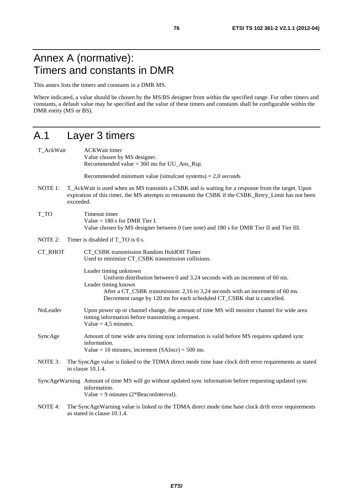## Annex A (normative): Timers and constants in DMR

This annex lists the timers and constants in a DMR MS.

Where indicated, a value should be chosen by the MS/BS designer from within the specified range. For other timers and constants, a default value may be specified and the value of these timers and constants shall be configurable within the DMR entity (MS or BS).

## A.1 Layer 3 timers

- T\_AckWait ACKWait timer Value chosen by MS designer. Recommended value =  $360 \text{ ms}$  for UU Ans Rsp. Recommended minimum value (simulcast systems)  $= 2.0$  seconds NOTE 1: T\_AckWait is used when an MS transmits a CSBK and is waiting for a response from the target. Upon expiration of this timer, the MS attempts to retransmit the CSBK if the CSBK Retry Limit has not been exceeded. T\_TO Timeout timer Value  $= 180$  s for DMR Tier I. Value chosen by MS designer between 0 (see note) and 180 s for DMR Tier II and Tier III. NOTE 2: Timer is disabled if T\_TO is 0 s. CT\_RHOT CT\_CSBK transmission Random HoldOff Timer Used to minimize CT\_CSBK transmission collisions. Leader timing unknown Uniform distribution between 0 and 3,24 seconds with an increment of 60 ms. Leader timing known After a CT\_CSBK transmission: 2,16 to 3,24 seconds with an increment of 60 ms. Decrement range by 120 ms for each scheduled CT\_CSBK that is cancelled. NoLeader Upon power up or channel change, the amount of time MS will monitor channel for wide area timing information before transmitting a request. Value  $= 4.5$  minutes. SyncAge Amount of time wide area timing sync information is valid before MS requires updated sync information. Value = 10 minutes, increment  $(SAIncr) = 500$  ms. NOTE 3: The SyncAge value is linked to the TDMA direct mode time base clock drift error requirements as stated in clause 10.1.4. SyncAgeWarning Amount of time MS will go without updated sync information before requesting updated sync information. Value = 9 minutes  $(2*BeaconInterval)$ .
- NOTE 4: The SyncAgeWarning value is linked to the TDMA direct mode time base clock drift error requirements as stated in clause 10.1.4.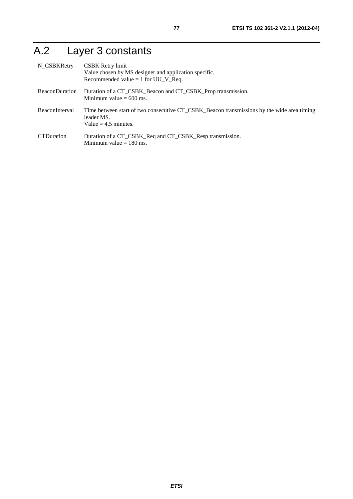# A.2 Layer 3 constants

| N_CSBKRetry           | CSBK Retry limit<br>Value chosen by MS designer and application specific.<br>Recommended value $= 1$ for UU_V_Req.                 |
|-----------------------|------------------------------------------------------------------------------------------------------------------------------------|
| <b>BeaconDuration</b> | Duration of a CT_CSBK_Beacon and CT_CSBK_Prop transmission.<br>Minimum value $= 600$ ms.                                           |
| <b>BeaconInterval</b> | Time between start of two consecutive CT_CSBK_Beacon transmissions by the wide area timing<br>leader MS.<br>Value = $4.5$ minutes. |
| <b>CTDuration</b>     | Duration of a CT_CSBK_Req and CT_CSBK_Resp transmission.<br>Minimum value $= 180$ ms.                                              |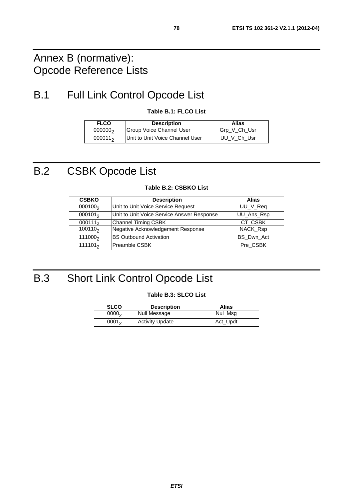## Annex B (normative): Opcode Reference Lists

## B.1 Full Link Control Opcode List

**Table B.1: FLCO List** 

| <b>FLCO</b>         | <b>Description</b>              | Alias        |
|---------------------|---------------------------------|--------------|
| 000000 <sub>2</sub> | Group Voice Channel User        | Grp_V_Ch_Usr |
| $000011_2$          | Unit to Unit Voice Channel User | UU V Ch Usr  |

## B.2 CSBK Opcode List

| <b>CSBKO</b>        | <b>Description</b>                         | Alias      |
|---------------------|--------------------------------------------|------------|
| $000100_2$          | Unit to Unit Voice Service Request         | UU_V_Req   |
| $000101_2$          | Unit to Unit Voice Service Answer Response | UU_Ans_Rsp |
| 0001112             | <b>Channel Timing CSBK</b>                 | CT CSBK    |
| 100110 <sub>2</sub> | Negative Acknowledgement Response          | NACK_Rsp   |
| 111000 <sub>2</sub> | <b>BS Outbound Activation</b>              | BS_Dwn_Act |
| 111101 <sub>2</sub> | Preamble CSBK                              | Pre CSBK   |

### **Table B.2: CSBKO List**

# B.3 Short Link Control Opcode List

#### **Table B.3: SLCO List**

| <b>SLCO</b>       | <b>Description</b>     | Alias    |
|-------------------|------------------------|----------|
| 0000 <sub>2</sub> | Null Message           | Nul Msg  |
| $0001_2$          | <b>Activity Update</b> | Act_Updt |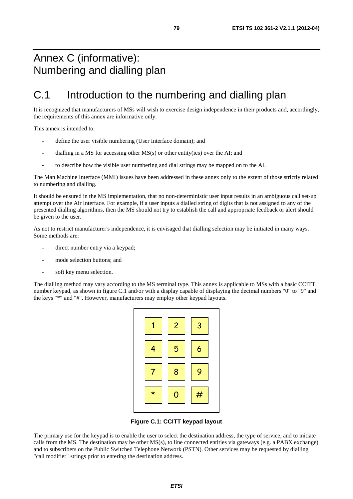## Annex C (informative): Numbering and dialling plan

## C.1 Introduction to the numbering and dialling plan

It is recognized that manufacturers of MSs will wish to exercise design independence in their products and, accordingly, the requirements of this annex are informative only.

This annex is intended to:

- define the user visible numbering (User Interface domain); and
- dialling in a MS for accessing other  $MS(s)$  or other entity(ies) over the AI; and
- to describe how the visible user numbering and dial strings may be mapped on to the AI.

The Man Machine Interface (MMI) issues have been addressed in these annex only to the extent of those strictly related to numbering and dialling.

It should be ensured in the MS implementation, that no non-deterministic user input results in an ambiguous call set-up attempt over the Air Interface. For example, if a user inputs a dialled string of digits that is not assigned to any of the presented dialling algorithms, then the MS should not try to establish the call and appropriate feedback or alert should be given to the user.

As not to restrict manufacturer's independence, it is envisaged that dialling selection may be initiated in many ways. Some methods are:

- direct number entry via a keypad;
- mode selection buttons; and
- soft key menu selection.

The dialling method may vary according to the MS terminal type. This annex is applicable to MSs with a basic CCITT number keypad, as shown in figure C.1 and/or with a display capable of displaying the decimal numbers "0" to "9" and the keys "\*" and "#". However, manufacturers may employ other keypad layouts.



**Figure C.1: CCITT keypad layout** 

The primary use for the keypad is to enable the user to select the destination address, the type of service, and to initiate calls from the MS. The destination may be other MS(s), to line connected entities via gateways (e.g. a PABX exchange) and to subscribers on the Public Switched Telephone Network (PSTN). Other services may be requested by dialling "call modifier" strings prior to entering the destination address.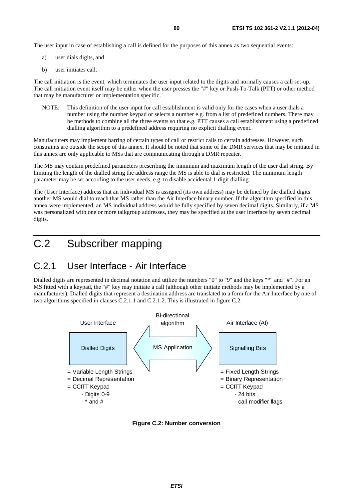The user input in case of establishing a call is defined for the purposes of this annex as two sequential events:

- a) user dials digits, and
- b) user initiates call.

The call initiation is the event, which terminates the user input related to the digits and normally causes a call set-up. The call initiation event itself may be either when the user presses the "#" key or Push-To-Talk (PTT) or other method that may be manufacturer or implementation specific.

NOTE: This definition of the user input for call establishment is valid only for the cases when a user dials a number using the number keypad or selects a number e.g. from a list of predefined numbers. There may be methods to combine all the three events so that e.g. PTT causes a call establishment using a predefined dialling algorithm to a predefined address requiring no explicit dialling event.

Manufacturers may implement barring of certain types of call or restrict calls to certain addresses. However, such constraints are outside the scope of this annex. It should be noted that some of the DMR services that may be initiated in this annex are only applicable to MSs that are communicating through a DMR repeater.

The MS may contain predefined parameters prescribing the minimum and maximum length of the user dial string. By limiting the length of the dialled string the address range the MS is able to dial is restricted. The minimum length parameter may be set according to the user needs, e.g. to disable accidental 1-digit dialling.

The (User Interface) address that an individual MS is assigned (its own address) may be defined by the dialled digits another MS would dial to reach that MS rather than the Air Interface binary number. If the algorithm specified in this annex were implemented, an MS individual address would be fully specified by seven decimal digits. Similarly, if a MS was personalized with one or more talkgroup addresses, they may be specified at the user interface by seven decimal digits.

## C.2 Subscriber mapping

## C.2.1 User Interface - Air Interface

Dialled digits are represented in decimal notation and utilize the numbers "0" to "9" and the keys "\*" and "#". For an MS fitted with a keypad, the "#" key may initiate a call (although other initiate methods may be implemented by a manufacturer). Dialled digits that represent a destination address are translated to a form for the Air Interface by one of two algorithms specified in clauses C.2.1.1 and C.2.1.2. This is illustrated in figure C.2.



**Figure C.2: Number conversion**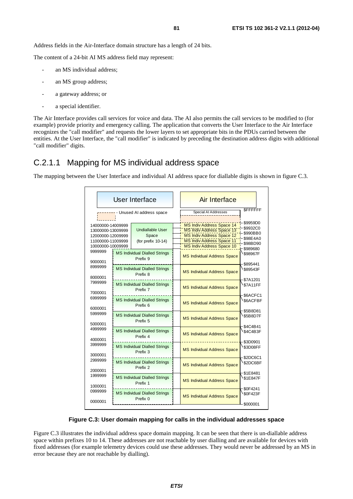Address fields in the Air-Interface domain structure has a length of 24 bits.

The content of a 24-bit AI MS address field may represent:

- an MS individual address;
- an MS group address;
- a gateway address; or
- a special identifier.

The Air Interface provides call services for voice and data. The AI also permits the call services to be modified to (for example) provide priority and emergency calling. The application that converts the User Interface to the Air Interface recognizes the "call modifier" and requests the lower layers to set appropriate bits in the PDUs carried between the entities. At the User Interface, the "call modifier" is indicated by preceding the destination address digits with additional "call modifier" digits.

### C.2.1.1 Mapping for MS individual address space

The mapping between the User Interface and individual AI address space for diallable digits is shown in figure C.3.

|                                                                                                       | User Interface                                              | Air Interface<br><b>SFFFFFFF</b>                                                                                                                                                                                                      |
|-------------------------------------------------------------------------------------------------------|-------------------------------------------------------------|---------------------------------------------------------------------------------------------------------------------------------------------------------------------------------------------------------------------------------------|
|                                                                                                       | Unused AI address space                                     | Special AI Addresses                                                                                                                                                                                                                  |
| 14000000-14009999<br>13000000-13009999<br>12000000-12009999<br>11000000-11009999<br>10000000-10009999 | Undiallable User<br>Space<br>(for prefix $10-14$ )          | \$9959D0<br><b>MS Indiv Address Space 14</b><br>\$9932C0<br>MS Indiv Address Space 13<br>\$990BB0<br><b>MS Indiv Address Space 12</b><br>\$98E4A0<br><b>MS Indiv Address Space 11</b><br>\$98BD90<br><b>MS Indiv Address Space 10</b> |
| 9999999<br>9000001                                                                                    | <b>MS Individual Dialled Strings</b><br>Prefix 9            | \$989680<br>\$98967F<br><b>MS Individual Address Space</b>                                                                                                                                                                            |
| 8999999<br>8000001                                                                                    | <b>MS Individual Dialled Strings</b><br>Prefix 8            | \$895441<br>\$89543F<br><b>MS Individual Address Space</b>                                                                                                                                                                            |
| 7999999<br>7000001                                                                                    | <b>MS Individual Dialled Strings</b><br>Prefix 7            | \$7A1201<br><b>\$7A11FF</b><br><b>MS Individual Address Space</b><br>\$6ACFC1                                                                                                                                                         |
| 6999999<br>6000001                                                                                    | <b>MS Individual Dialled Strings</b><br>Prefix <sub>6</sub> | \$6ACFBF<br><b>MS Individual Address Space</b><br>\$5B8D81                                                                                                                                                                            |
| 5999999<br>5000001                                                                                    | <b>MS Individual Dialled Strings</b><br>Prefix 5            | \$5B8D7F<br><b>MS Individual Address Space</b><br>\$4C4B41                                                                                                                                                                            |
| 4999999<br>4000001                                                                                    | <b>MS Individual Dialled Strings</b><br>Prefix 4            | \$4C4B3F<br><b>MS Individual Address Space</b><br>\$3D0901                                                                                                                                                                            |
| 3999999<br>3000001                                                                                    | <b>MS Individual Dialled Strings</b><br>Prefix 3            | \$3D08FF<br><b>MS Individual Address Space</b><br>\$2DC6C1                                                                                                                                                                            |
| 2999999<br>2000001                                                                                    | <b>MS Individual Dialled Strings</b><br>Prefix 2            | \$2DC6BF<br><b>MS Individual Address Space</b><br>\$1E8481                                                                                                                                                                            |
| 1999999<br>1000001                                                                                    | <b>MS Individual Dialled Strings</b><br>Prefix 1            | \$1E847F<br><b>MS Individual Address Space</b>                                                                                                                                                                                        |
| 0999999<br>0000001                                                                                    | <b>MS Individual Dialled Strings</b><br>Prefix 0            | \$0F4241<br>\$0F423F<br><b>MS Individual Address Space</b><br>\$000001                                                                                                                                                                |

#### **Figure C.3: User domain mapping for calls in the individual addresses space**

Figure C.3 illustrates the individual address space domain mapping. It can be seen that there is un-diallable address space within prefixes 10 to 14. These addresses are not reachable by user dialling and are available for devices with fixed addresses (for example telemetry devices could use these addresses. They would never be addressed by an MS in error because they are not reachable by dialling).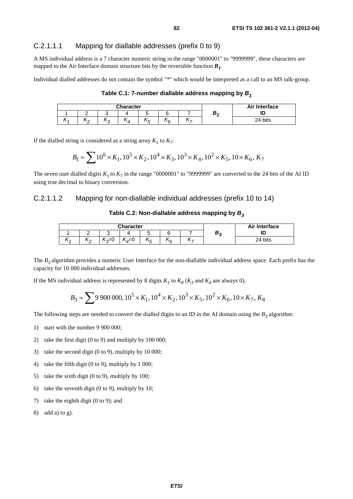### C.2.1.1.1 Mapping for diallable addresses (prefix 0 to 9)

A MS individual address is a 7 character numeric string in the range "0000001" to "9999999", these characters are mapped to the Air Interface domain structure bits by the reversible function  $B_1$ .

Individual dialled addresses do not contain the symbol "\*" which would be interpreted as a call to an MS talk-group.

**Table C.1: 7-number diallable address mapping by** *B1*

|   |    |           | <b>Character</b>     |                | Air Interface     |   |    |         |
|---|----|-----------|----------------------|----------------|-------------------|---|----|---------|
|   |    |           |                      |                |                   |   | o. | ID      |
| x | ∧∼ | . .<br>۱n | . .<br>$\mathcal{A}$ | . .<br>$\cdot$ | . .<br>$\sqrt{2}$ | 、 |    | 24 bits |

If the dialled string is considered as a string array  $K_1$  to  $K_7$ :

$$
B_1 = \sum 10^6 \times K_1, 10^5 \times K_2, 10^4 \times K_3, 10^3 \times K_4, 10^2 \times K_5, 10 \times K_6, K_7
$$

The seven user dialled digits  $K_1$  to  $K_7$  in the range "0000001" to "9999999" are converted to the 24 bits of the AI ID using true decimal to binary conversion.

### C.2.1.1.2 Mapping for non-diallable individual addresses (prefix 10 to 14)

#### Table C.2: Non-diallable address mapping by  $B_3$

|            |                       |           | Character                                |           | Air Interface |            |            |         |
|------------|-----------------------|-----------|------------------------------------------|-----------|---------------|------------|------------|---------|
|            |                       |           |                                          |           |               |            | D.<br>- 11 |         |
| . .<br>.11 | <br>$\mathbf{v}$<br>- | ៶⊲≕∪<br>w | "<br>$\sqrt{2}$<br>⊸<br>$\boldsymbol{a}$ | . .<br>АF | . .<br>\6     | . .<br>. — |            | 24 bits |

The *B3* algorithm provides a numeric User Interface for the non-diallable individual address space. Each prefix has the capacity for 10 000 individual addresses.

If the MS individual address is represented by 8 digits  $K_I$  to  $K_8$  ( $K_3$  and  $K_4$  are always 0).

$$
B_3 = \sum 9\,900\,000, 10^5 \times K_1, 10^4 \times K_2, 10^3 \times K_5, 10^2 \times K_6, 10 \times K_7, K_8
$$

The following steps are needed to convert the dialled digits to an ID in the AI domain using the  $B_3$  algorithm:

- 1) start with the number 9 900 000;
- 2) take the first digit (0 to 9) and multiply by 100 000;
- 3) take the second digit (0 to 9), multiply by 10 000;
- 4) take the fifth digit (0 to 9), multiply by 1 000;
- 5) take the sixth digit (0 to 9), multiply by 100;
- 6) take the seventh digit (0 to 9), multiply by 10;
- 7) take the eighth digit (0 to 9); and
- 8) add a) to g).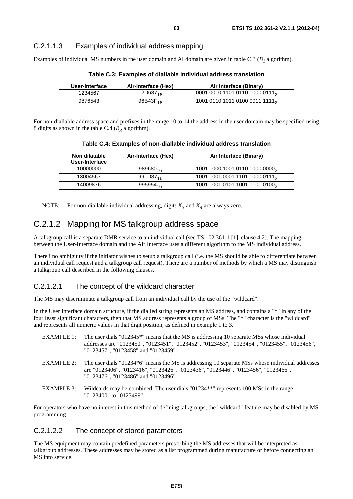### C.2.1.1.3 Examples of individual address mapping

Examples of individual MS numbers in the user domain and AI domain are given in table C.3  $(B<sub>1</sub>$  algorithm).

| User-Interface | Air-Interface (Hex)  | Air Interface (Binary)                     |
|----------------|----------------------|--------------------------------------------|
| 1234567        | 12D687 <sub>16</sub> | 0001 0010 1101 0110 1000 0111 <sub>2</sub> |
| 9876543        | 96B43F <sub>16</sub> | 1001 0110 1011 0100 0011 1111 <sub>2</sub> |

**Table C.3: Examples of diallable individual address translation** 

For non-diallable address space and prefixes in the range 10 to 14 the address in the user domain may be specified using 8 digits as shown in the table C.4 ( $B_3$  algorithm).

| Table C.4: Examples of non-diallable individual address translation |  |  |  |  |
|---------------------------------------------------------------------|--|--|--|--|
|---------------------------------------------------------------------|--|--|--|--|

| Non dilatable<br>User-Interface | Air-Interface (Hex)  | Air Interface (Binary)                     |
|---------------------------------|----------------------|--------------------------------------------|
| 10000000                        | $989680_{16}$        | 1001 1000 1001 0110 1000 0000 <sub>2</sub> |
| 13004567                        | 991D87 <sub>16</sub> | 1001 1001 0001 1101 1000 0111 <sub>2</sub> |
| 14009876                        | 995954 <sub>16</sub> | 1001 1001 0101 1001 0101 0100 <sub>2</sub> |

NOTE: For non-diallable individual addressing, digits  $K_3$  and  $K_4$  are always zero.

### C.2.1.2 Mapping for MS talkgroup address space

A talkgroup call is a separate DMR service to an individual call (see TS 102 361-1 [1], clause 4.2). The mapping between the User-Interface domain and the Air Interface uses a different algorithm to the MS individual address.

There i no ambiguity if the initiator wishes to setup a talkgroup call (i.e. the MS should be able to differentiate between an individual call request and a talkgroup call request). There are a number of methods by which a MS may distinguish a talkgroup call described in the following clauses.

### C.2.1.2.1 The concept of the wildcard character

The MS may discriminate a talkgroup call from an individual call by the use of the "wildcard".

In the User Interface domain structure, if the dialled string represents an MS address, and contains a "\*" in any of the four least significant characters, then that MS address represents a group of MSs. The "\*" character is the "wildcard" and represents all numeric values in that digit position, as defined in example 1 to 3.

| EXAMPLE 1: | The user dials "012345 <sup>*</sup> " means that the MS is addressing 10 separate MSs whose individual<br>addresses are "0123450", "0123451", "0123452", "0123453", "0123454", "0123455", "0123456",<br>"0123457", "0123458" and "0123459". |
|------------|---------------------------------------------------------------------------------------------------------------------------------------------------------------------------------------------------------------------------------------------|
| EXAMPLE 2: | The user dials "01234*6" means the MS is addressing 10 separate MSs whose individual addresses<br>are "0123406", "0123416", "0123426", "0123436", "0123446", "0123456", "0123466",<br>"0123476", "0123486" and "0123496".                   |
| EXAMPLE 3: | Wildcards may be combined. The user dials "01234**" represents 100 MSs in the range<br>"0123400" to "0123499".                                                                                                                              |

For operators who have no interest in this method of defining talkgroups, the "wildcard" feature may be disabled by MS programming.

### C.2.1.2.2 The concept of stored parameters

The MS equipment may contain predefined parameters prescribing the MS addresses that will be interpreted as talkgroup addresses. These addresses may be stored as a list programmed during manufacture or before connecting an MS into service.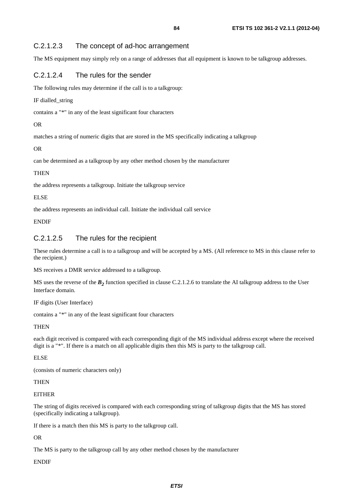### C.2.1.2.3 The concept of ad-hoc arrangement

The MS equipment may simply rely on a range of addresses that all equipment is known to be talkgroup addresses.

### C.2.1.2.4 The rules for the sender

The following rules may determine if the call is to a talkgroup:

IF dialled\_string

contains a "\*" in any of the least significant four characters

### OR

matches a string of numeric digits that are stored in the MS specifically indicating a talkgroup

OR

can be determined as a talkgroup by any other method chosen by the manufacturer

### **THEN**

the address represents a talkgroup. Initiate the talkgroup service

#### ELSE

the address represents an individual call. Initiate the individual call service

### **ENDIF**

### C.2.1.2.5 The rules for the recipient

These rules determine a call is to a talkgroup and will be accepted by a MS. (All reference to MS in this clause refer to the recipient.)

MS receives a DMR service addressed to a talkgroup.

MS uses the reverse of the  $B_2$  function specified in clause C.2.1.2.6 to translate the AI talkgroup address to the User Interface domain.

IF digits (User Interface)

contains a "\*" in any of the least significant four characters

### **THEN**

each digit received is compared with each corresponding digit of the MS individual address except where the received digit is a "\*". If there is a match on all applicable digits then this MS is party to the talkgroup call.

### ELSE

(consists of numeric characters only)

### **THEN**

### **EITHER**

The string of digits received is compared with each corresponding string of talkgroup digits that the MS has stored (specifically indicating a talkgroup).

If there is a match then this MS is party to the talkgroup call.

### OR

The MS is party to the talkgroup call by any other method chosen by the manufacturer

### ENDIF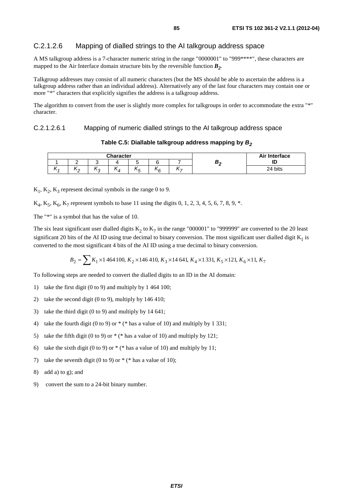### C.2.1.2.6 Mapping of dialled strings to the AI talkgroup address space

A MS talkgroup address is a 7-character numeric string in the range "0000001" to "999\*\*\*\*", these characters are mapped to the Air Interface domain structure bits by the reversible function  $B_2$ .

Talkgroup addresses may consist of all numeric characters (but the MS should be able to ascertain the address is a talkgroup address rather than an individual address). Alternatively any of the last four characters may contain one or more "\*" characters that explicitly signifies the address is a talkgroup address.

The algorithm to convert from the user is slightly more complex for talkgroups in order to accommodate the extra "\*" character.

C.2.1.2.6.1 Mapping of numeric dialled strings to the AI talkgroup address space

|          |          |          | <b>Character</b>     |         | Air Interface |                          |         |
|----------|----------|----------|----------------------|---------|---------------|--------------------------|---------|
|          |          |          |                      |         |               |                          | ۱D      |
| $\cdots$ | `\^<br>- | . .<br>P | . .<br>$\mathcal{A}$ | Λr<br>÷ | 'ιc           | $\overline{\phantom{0}}$ | 24 bits |

Table C.5: Diallable talkgroup address mapping by  $B_2$ 

 $K_1, K_2, K_3$  represent decimal symbols in the range 0 to 9.

 $K_4, K_5, K_6, K_7$  represent symbols to base 11 using the digits 0, 1, 2, 3, 4, 5, 6, 7, 8, 9,  $*$ .

The "\*" is a symbol that has the value of 10.

The six least significant user dialled digits  $K_2$  to  $K_7$  in the range "000001" to "999999" are converted to the 20 least significant 20 bits of the AI ID using true decimal to binary conversion. The most significant user dialled digit  $K_1$  is converted to the most significant 4 bits of the AI ID using a true decimal to binary conversion.

$$
B_2=\sum K_1\times 1\,464\,100,\, K_2\times 146\,410,\, K_3\times 14\,641,\, K_4\times 1\,331,\, K_5\times 121,\, K_6\times 11,\, K_7
$$

To following steps are needed to convert the dialled digits to an ID in the AI domain:

- 1) take the first digit (0 to 9) and multiply by 1 464 100;
- 2) take the second digit (0 to 9), multiply by 146 410;
- 3) take the third digit (0 to 9) and multiply by 14 641;
- 4) take the fourth digit (0 to 9) or \* (\* has a value of 10) and multiply by 1 331;
- 5) take the fifth digit (0 to 9) or  $*(\ast)$  has a value of 10) and multiply by 121;
- 6) take the sixth digit (0 to 9) or  $*(\ast)$  has a value of 10) and multiply by 11;
- 7) take the seventh digit (0 to 9) or  $*$  ( $*$  has a value of 10);
- 8) add a) to g); and
- 9) convert the sum to a 24-bit binary number.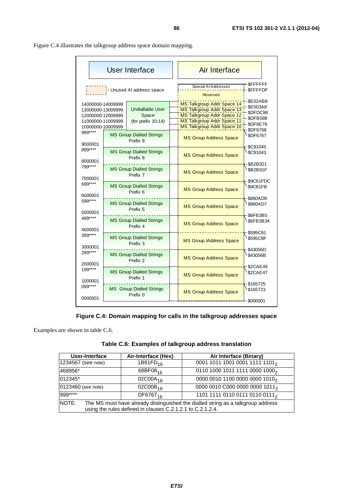| User Interface                                                                                        |                                                        |                                                           |  | <b>Air Interface</b>                                                                                                                               |                                                                                                  |  |
|-------------------------------------------------------------------------------------------------------|--------------------------------------------------------|-----------------------------------------------------------|--|----------------------------------------------------------------------------------------------------------------------------------------------------|--------------------------------------------------------------------------------------------------|--|
| <b>WWW.</b> - Unused AI address space                                                                 |                                                        |                                                           |  | Special AI Addresses<br><b>Reserved</b>                                                                                                            | <b>SFFFFFFF</b><br><b>SFFFFDF</b>                                                                |  |
| 14000000-14009999<br>13000000-13009999<br>12000000-12009999<br>11000000-11009999<br>10000000-10009999 |                                                        | <b>Undiallable User</b><br>Space<br>(for prefix $10-14$ ) |  | MS Talkgroup Addr Space 14<br>MS Talkgroup Addr Space 13<br>MS Talkgroup Addr Space 12<br>MS Talkgroup Addr Space 11<br>MS Talkgroup Addr Space 10 | <b>\$E02AB8</b><br>\$E003A8<br>\$DFDC98<br><b>\$DFB588</b><br><b>\$DF8E78</b><br><b>\$DF6768</b> |  |
| 999****<br>9000001                                                                                    |                                                        | <b>MS Group Dialled Strings</b><br>Prefix 9               |  | <b>MS Group Address Space</b>                                                                                                                      | <b>\$DF6767</b>                                                                                  |  |
| 899 ****<br>8000001                                                                                   |                                                        | <b>MS Group Dialled Strings</b><br>Prefix 8               |  | <b>MS Group Address Space</b>                                                                                                                      | \$C91045<br><b>\$C91043</b>                                                                      |  |
| 799****<br>7000001                                                                                    |                                                        | <b>MS Group Dialled Strings</b><br>Prefix 7               |  | <b>MS Group Address Space</b>                                                                                                                      | \$B2B921<br>\$B2B91F                                                                             |  |
| 699****<br>6000001                                                                                    | <b>MS Group Dialled Strings</b><br>Prefix <sub>6</sub> |                                                           |  | <b>MS Group Address Space</b>                                                                                                                      | \$9C61FDC<br>\$9C61FB                                                                            |  |
| 599****<br>5000001                                                                                    |                                                        | <b>MS Group Dialled Strings</b><br>Prefix 5               |  | <b>MS Group Address Space</b>                                                                                                                      | \$860AD9<br>\$860AD7                                                                             |  |
| 499****<br>4000001                                                                                    |                                                        | <b>MS Group Dialled Strings</b><br>Prefix 4               |  | <b>MS Group Address Space</b>                                                                                                                      | \$6FB3B5<br>\$6FB3B34                                                                            |  |
| 399****<br>3000001                                                                                    |                                                        | <b>MS Group Dialled Strings</b><br>Prefix 3               |  | <b>MS Group IAddress Space</b>                                                                                                                     | \$595C91<br>\$595C8F                                                                             |  |
| 299****<br>2000001                                                                                    |                                                        | <b>MS Group Dialled Strings</b><br>Prefix 2               |  | <b>MS Group Address Space</b>                                                                                                                      | \$43056D<br>\$43056B                                                                             |  |
| $199***$<br>1000001                                                                                   |                                                        | <b>MS Group Dialled Strings</b><br>Prefix 1               |  | <b>MS Group Address Space</b>                                                                                                                      | \$2CAE49<br><b>\$2CAE47</b>                                                                      |  |
| 099****<br>0000001                                                                                    |                                                        | <b>MS</b> Group Dialled Strings<br>Prefix 0               |  | <b>MS Group Address Space</b>                                                                                                                      | \$165725<br>\$165723                                                                             |  |
|                                                                                                       |                                                        |                                                           |  |                                                                                                                                                    | \$000001                                                                                         |  |

Figure C.4 illustrates the talkgroup address space domain mapping.

### **Figure C.4: Domain mapping for calls in the talkgroup addresses space**

Examples are shown in table C.6.

| Table C.6: Examples of talkgroup address translation |  |  |
|------------------------------------------------------|--|--|
|------------------------------------------------------|--|--|

| User-Interface                                                                            | Air-Interface (Hex)                                        | Air Interface (Binary)                     |  |  |  |  |  |  |  |
|-------------------------------------------------------------------------------------------|------------------------------------------------------------|--------------------------------------------|--|--|--|--|--|--|--|
| 1234567 (see note)                                                                        | 1B91FD <sub>16</sub>                                       | 0001 1011 1001 0001 1111 1101 <sub>2</sub> |  |  |  |  |  |  |  |
| 468956*                                                                                   | 68BF08 <sub>16</sub>                                       | 0110 1000 1011 1111 0000 1000 <sub>2</sub> |  |  |  |  |  |  |  |
| 012345*                                                                                   | 02C00A <sub>16</sub>                                       | 0000 0010 1100 0000 0000 1010 <sub>2</sub> |  |  |  |  |  |  |  |
| 0123460 (see note)                                                                        | 02C00B <sub>16</sub>                                       | 0000 0010 C000 0000 0000 1011 <sub>2</sub> |  |  |  |  |  |  |  |
| 999****                                                                                   | DF6767 <sub>16</sub>                                       | 1101 1111 0110 0111 0110 0111 <sub>2</sub> |  |  |  |  |  |  |  |
| NOTE:<br>The MS must have already distinguished the dialled string as a talkgroup address |                                                            |                                            |  |  |  |  |  |  |  |
|                                                                                           | using the rules defined in clauses C.2.1.2.1 to C.2.1.2.4. |                                            |  |  |  |  |  |  |  |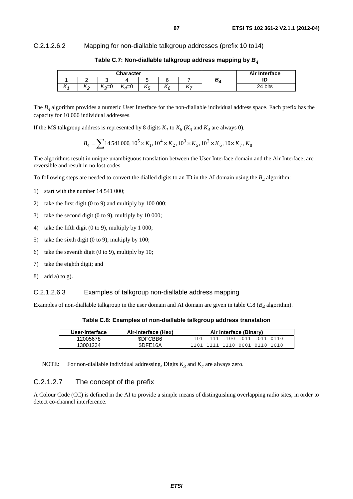### C.2.1.2.6.2 Mapping for non-diallable talkgroup addresses (prefix 10 to14)

| <b>Character</b> |                     |                                  |                    |               |            |   |   | Air Interface |
|------------------|---------------------|----------------------------------|--------------------|---------------|------------|---|---|---------------|
|                  |                     |                                  |                    |               |            |   | D | שו            |
| 714              | . .<br>$\mathbf{r}$ | $\overline{ }$<br>$\sim$<br>∪≂ە، | $\sim$<br>$4^{-0}$ | ''<br>-<br>АF | . .<br>`\6 | - |   | 24 bits       |

**Table C.7: Non-diallable talkgroup address mapping by** *B4*

The *B4* algorithm provides a numeric User Interface for the non-diallable individual address space. Each prefix has the capacity for 10 000 individual addresses.

If the MS talkgroup address is represented by 8 digits  $K_I$  to  $K_8$  ( $K_3$  and  $K_4$  are always 0).

$$
B_4 = \sum 14\,541\,000, 10^5 \times K_1, 10^4 \times K_2, 10^3 \times K_5, 10^2 \times K_6, 10 \times K_7, K_8
$$

The algorithms result in unique unambiguous translation between the User Interface domain and the Air Interface, are reversible and result in no lost codes.

To following steps are needed to convert the dialled digits to an ID in the AI domain using the  $B_4$  algorithm:

- 1) start with the number 14 541 000;
- 2) take the first digit (0 to 9) and multiply by 100 000;
- 3) take the second digit (0 to 9), multiply by 10 000;
- 4) take the fifth digit (0 to 9), multiply by 1 000;
- 5) take the sixth digit (0 to 9), multiply by 100;
- 6) take the seventh digit (0 to 9), multiply by 10;
- 7) take the eighth digit; and
- 8) add a) to g).

#### C.2.1.2.6.3 Examples of talkgroup non-diallable address mapping

Examples of non-diallable talkgroup in the user domain and AI domain are given in table C.8 ( $B_4$  algorithm).

**Table C.8: Examples of non-diallable talkgroup address translation** 

| User-Interface | Air-Interface (Hex) | Air Interface (Binary)        |
|----------------|---------------------|-------------------------------|
| 12005678       | \$DFCBB6            | 1101 1111 1100 1011 1011 0110 |
| 13001234       | SDFE16A             | 1101 1111 1110 0001 0110 1010 |

NOTE: For non-diallable individual addressing, Digits  $K_3$  and  $K_4$  are always zero.

### C.2.1.2.7 The concept of the prefix

A Colour Code (CC) is defined in the AI to provide a simple means of distinguishing overlapping radio sites, in order to detect co-channel interference.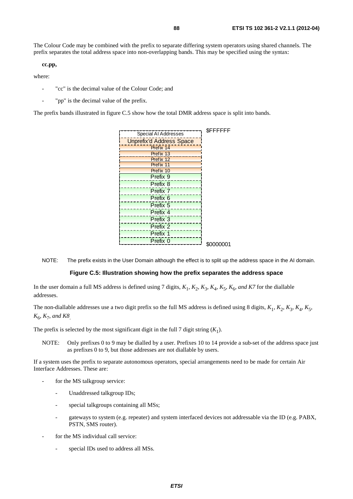The Colour Code may be combined with the prefix to separate differing system operators using shared channels. The prefix separates the total address space into non-overlapping bands. This may be specified using the syntax:

**cc.pp,** 

where:

- "cc" is the decimal value of the Colour Code; and
- "pp" is the decimal value of the prefix.

The prefix bands illustrated in figure C.5 show how the total DMR address space is split into bands.

|                                 | <b>SFFFFFFF</b> |
|---------------------------------|-----------------|
| Special AI Addresses            |                 |
| <b>Unprefix'd Address Space</b> |                 |
| Prefix 14                       |                 |
| Prefix 13                       |                 |
| Prefix 12                       |                 |
| Prefix 11                       |                 |
| Prefix 10                       |                 |
| Prefix 9                        |                 |
| Prefix 8                        |                 |
| Prefix 7                        |                 |
| Prefix <sub>6</sub>             |                 |
| Prefix <sub>5</sub>             |                 |
| Prefix 4                        |                 |
| Prefix 3                        |                 |
| Prefix 2                        |                 |
| Prefix 1                        |                 |
| Prefix 0                        |                 |
|                                 | \$0000001       |

NOTE: The prefix exists in the User Domain although the effect is to split up the address space in the AI domain.

#### **Figure C.5: Illustration showing how the prefix separates the address space**

In the user domain a full MS address is defined using 7 digits,  $K_1$ ,  $K_2$ ,  $K_3$ ,  $K_4$ ,  $K_5$ ,  $K_6$ , and K7 for the diallable addresses.

The non-diallable addresses use a two digit prefix so the full MS address is defined using 8 digits,  $K_1$ ,  $K_2$ ,  $K_3$ ,  $K_4$ ,  $K_5$ , *K*6, *K*7, *and K8*.

The prefix is selected by the most significant digit in the full 7 digit string  $(K_1)$ .

NOTE: Only prefixes 0 to 9 may be dialled by a user. Prefixes 10 to 14 provide a sub-set of the address space just as prefixes 0 to 9, but those addresses are not diallable by users.

If a system uses the prefix to separate autonomous operators, special arrangements need to be made for certain Air Interface Addresses. These are:

- for the MS talkgroup service:
	- Unaddressed talkgroup IDs;
	- special talkgroups containing all MSs;
	- gateways to system (e.g. repeater) and system interfaced devices not addressable via the ID (e.g. PABX, PSTN, SMS router).
- for the MS individual call service:
	- special IDs used to address all MSs.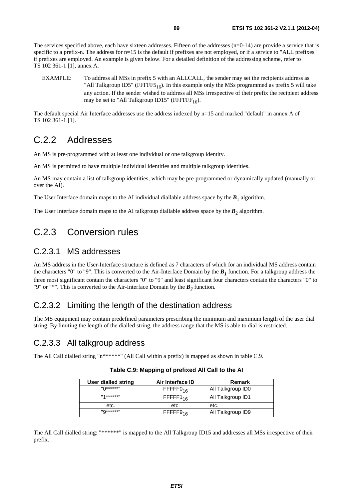The services specified above, each have sixteen addresses. Fifteen of the addresses  $(n=0-14)$  are provide a service that is specific to a prefix-n. The address for  $n=15$  is the default if prefixes are not employed, or if a service to "ALL prefixes" if prefixes are employed. An example is given below. For a detailed definition of the addressing scheme, refer to TS 102 361-1 [1], annex A.

EXAMPLE: To address all MSs in prefix 5 with an ALLCALL, the sender may set the recipients address as "All Talkgroup ID5" (FFFFF5<sub>16</sub>). In this example only the MSs programmed as prefix 5 will take any action. If the sender wished to address all MSs irrespective of their prefix the recipient address may be set to "All Talkgroup ID15" (FFFFFF $_{16}$ ).

The default special Air Interface addresses use the address indexed by n=15 and marked "default" in annex A of TS 102 361-1 [1].

### C.2.2 Addresses

An MS is pre-programmed with at least one individual or one talkgroup identity.

An MS is permitted to have multiple individual identities and multiple talkgroup identities.

An MS may contain a list of talkgroup identities, which may be pre-programmed or dynamically updated (manually or over the AI).

The User Interface domain maps to the AI individual diallable address space by the  $B_1$  algorithm.

The User Interface domain maps to the AI talkgroup diallable address space by the  $B_2$  algorithm.

### C.2.3 Conversion rules

### C.2.3.1 MS addresses

An MS address in the User-Interface structure is defined as 7 characters of which for an individual MS address contain the characters "0" to "9". This is converted to the Air-Interface Domain by the  $B_1$  function. For a talkgroup address the three most significant contain the characters "0" to "9" and least significant four characters contain the characters "0" to "9" or "\*". This is converted to the Air-Interface Domain by the  $B_2$  function.

### C.2.3.2 Limiting the length of the destination address

The MS equipment may contain predefined parameters prescribing the minimum and maximum length of the user dial string. By limiting the length of the dialled string, the address range that the MS is able to dial is restricted.

### C.2.3.3 All talkgroup address

The All Call dialled string "n\*\*\*\*\*\*" (All Call within a prefix) is mapped as shown in table C.9.

| User dialled string   | Air Interface ID         | <b>Remark</b>     |
|-----------------------|--------------------------|-------------------|
| $\mathsf{M}$ ******   | $F$ FFFFF0 <sub>16</sub> | All Talkgroup ID0 |
| $   4 * * * * * *   $ | $FFFF1_{16}$             | All Talkgroup ID1 |
| etc.                  | etc.                     | etc.              |
| $"Q******"$           | $FFFF9_{16}$             | All Talkgroup ID9 |

**Table C.9: Mapping of prefixed All Call to the AI** 

The All Call dialled string: "\*\*\*\*\*\*" is mapped to the All Talkgroup ID15 and addresses all MSs irrespective of their prefix.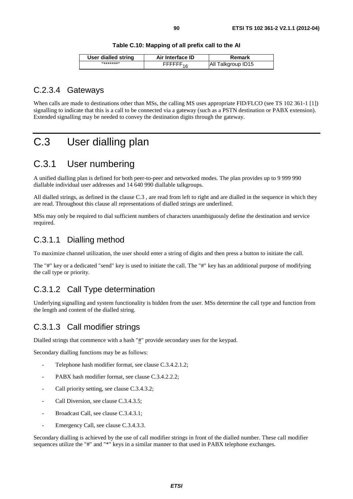| <b>User dialled string</b> | Air Interface ID         | Remark             |
|----------------------------|--------------------------|--------------------|
| $11+1+1+1$                 | $F$ FFFFFF <sub>16</sub> | All Talkgroup ID15 |

### C.2.3.4 Gateways

When calls are made to destinations other than MSs, the calling MS uses appropriate FID/FLCO (see TS 102 361-1 [1]) signalling to indicate that this is a call to be connected via a gateway (such as a PSTN destination or PABX extension). Extended signalling may be needed to convey the destination digits through the gateway.

## C.3 User dialling plan

### C.3.1 User numbering

A unified dialling plan is defined for both peer-to-peer and networked modes. The plan provides up to 9 999 990 diallable individual user addresses and 14 640 990 diallable talkgroups.

All dialled strings, as defined in the clause C.3 , are read from left to right and are dialled in the sequence in which they are read. Throughout this clause all representations of dialled strings are underlined.

MSs may only be required to dial sufficient numbers of characters unambiguously define the destination and service required.

### C.3.1.1 Dialling method

To maximize channel utilization, the user should enter a string of digits and then press a button to initiate the call.

The "#" key or a dedicated "send" key is used to initiate the call. The "#" key has an additional purpose of modifying the call type or priority.

### C.3.1.2 Call Type determination

Underlying signalling and system functionality is hidden from the user. MSs determine the call type and function from the length and content of the dialled string.

### C.3.1.3 Call modifier strings

Dialled strings that commence with a hash " $#$ " provide secondary uses for the keypad.

Secondary dialling functions may be as follows:

- Telephone hash modifier format, see clause C.3.4.2.1.2;
- PABX hash modifier format, see clause C.3.4.2.2.2;
- Call priority setting, see clause C.3.4.3.2;
- Call Diversion, see clause C.3.4.3.5;
- Broadcast Call, see clause C.3.4.3.1;
- Emergency Call, see clause C.3.4.3.3.

Secondary dialling is achieved by the use of call modifier strings in front of the dialled number. These call modifier sequences utilize the "#" and "\*" keys in a similar manner to that used in PABX telephone exchanges.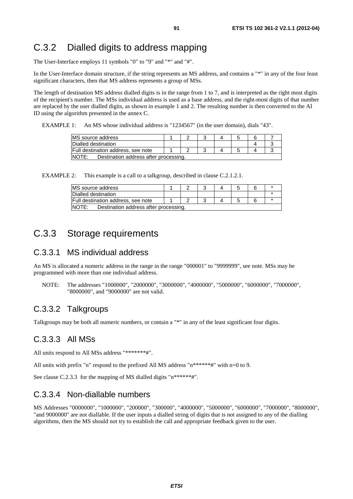## C.3.2 Dialled digits to address mapping

The User-Interface employs 11 symbols "0" to "9" and "\*" and "#".

In the User-Interface domain structure, if the string represents an MS address, and contains a "\*" in any of the four least significant characters, then that MS address represents a group of MSs.

The length of destination MS address dialled digits is in the range from 1 to 7, and is interpreted as the right most digits of the recipient's number. The MSs individual address is used as a base address, and the right-most digits of that number are replaced by the user dialled digits, as shown in example 1 and 2. The resulting number is then converted to the AI ID using the algorithm presented in the annex C.

EXAMPLE 1: An MS whose individual address is "1234567" (in the user domain), dials "43".

| MS source address                               |  |  |  |  |
|-------------------------------------------------|--|--|--|--|
| Dialled destination                             |  |  |  |  |
| Full destination address, see note              |  |  |  |  |
| Destination address after processing.<br>INOTE: |  |  |  |  |

EXAMPLE 2: This example is a call to a talkgroup, described in clause C.2.1.2.1.

| MS source address                              |  |  |  |  |
|------------------------------------------------|--|--|--|--|
| Dialled destination                            |  |  |  |  |
| Full destination address, see note             |  |  |  |  |
| NOTE:<br>Destination address after processing. |  |  |  |  |

### C.3.3 Storage requirements

### C.3.3.1 MS individual address

An MS is allocated a numeric address in the range in the range "000001" to "9999999", see note. MSs may be programmed with more than one individual address.

NOTE: The addresses "1000000", "2000000", "3000000", "4000000", "5000000", "6000000", "7000000", "8000000", and "9000000" are not valid.

### C.3.3.2 Talkgroups

Talkgroups may be both all numeric numbers, or contain a "\*" in any of the least significant four digits.

### C.3.3.3 All MSs

All units respond to All MSs address "\*\*\*\*\*\*\*#".

All units with prefix "n" respond to the prefixed All MS address " $n*****#$ " with n=0 to 9.

See clause C.2.3.3 for the mapping of MS dialled digits "n\*\*\*\*\*\*#".

### C.3.3.4 Non-diallable numbers

MS Addresses "0000000", "1000000", "200000", "300000", "4000000", "5000000", "6000000", "7000000", "8000000", "and 9000000" are not diallable. If the user inputs a dialled string of digits that is not assigned to any of the dialling algorithms, then the MS should not try to establish the call and appropriate feedback given to the user.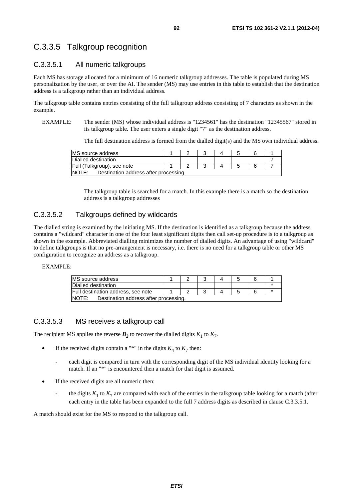### C.3.3.5 Talkgroup recognition

### C.3.3.5.1 All numeric talkgroups

Each MS has storage allocated for a minimum of 16 numeric talkgroup addresses. The table is populated during MS personalization by the user, or over the AI. The sender (MS) may use entries in this table to establish that the destination address is a talkgroup rather than an individual address.

The talkgroup table contains entries consisting of the full talkgroup address consisting of 7 characters as shown in the example.

EXAMPLE: The sender (MS) whose individual address is "1234561" has the destination "12345567" stored in its talkgroup table. The user enters a single digit "7" as the destination address.

The full destination address is formed from the dialled digit(s) and the MS own individual address.

| MS source address                              |  |  |  |  |  |  |  |  |
|------------------------------------------------|--|--|--|--|--|--|--|--|
| Dialled destination                            |  |  |  |  |  |  |  |  |
| Full (Talkgroup), see note                     |  |  |  |  |  |  |  |  |
| NOTE:<br>Destination address after processing. |  |  |  |  |  |  |  |  |

The talkgroup table is searched for a match. In this example there is a match so the destination address is a talkgroup addresses

### C.3.3.5.2 Talkgroups defined by wildcards

The dialled string is examined by the initiating MS. If the destination is identified as a talkgroup because the address contains a "wildcard" character in one of the four least significant digits then call set-up procedure is to a talkgroup as shown in the example. Abbreviated dialling minimizes the number of dialled digits. An advantage of using "wildcard" to define talkgroups is that no pre-arrangement is necessary, i.e. there is no need for a talkgroup table or other MS configuration to recognize an address as a talkgroup.

#### EXAMPLE:

| <b>IMS</b> source address                             |  |  |  |  |  |  |  |
|-------------------------------------------------------|--|--|--|--|--|--|--|
| Dialled destination                                   |  |  |  |  |  |  |  |
| Full destination address, see note                    |  |  |  |  |  |  |  |
| <b>NOTE:</b><br>Destination address after processing. |  |  |  |  |  |  |  |

### C.3.3.5.3 MS receives a talkgroup call

The recipient MS applies the reverse  $\mathbf{B}_2$  to recover the dialled digits  $K_1$  to  $K_7$ .

- If the received digits contain a "\*" in the digits  $K_4$  to  $K_7$  then:
	- each digit is compared in turn with the corresponding digit of the MS individual identity looking for a match. If an "\*" is encountered then a match for that digit is assumed.
- If the received digits are all numeric then:
	- the digits  $K_1$  to  $K_7$  are compared with each of the entries in the talkgroup table looking for a match (after each entry in the table has been expanded to the full 7 address digits as described in clause C.3.3.5.1.

A match should exist for the MS to respond to the talkgroup call.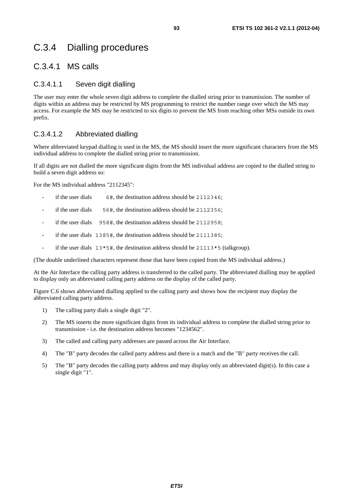## C.3.4 Dialling procedures

### C.3.4.1 MS calls

### C.3.4.1.1 Seven digit dialling

The user may enter the whole seven digit address to complete the dialled string prior to transmission. The number of digits within an address may be restricted by MS programming to restrict the number range over which the MS may access. For example the MS may be restricted to six digits to prevent the MS from reaching other MSs outside its own prefix.

### C.3.4.1.2 Abbreviated dialling

Where abbreviated keypad dialling is used in the MS, the MS should insert the more significant characters from the MS individual address to complete the dialled string prior to transmission.

If all digits are not dialled the more significant digits from the MS individual address are copied to the dialled string to build a seven digit address so:

For the MS individual address "2112345":

- if the user dials  $6\#$ , the destination address should be 2112346;
- if the user dials 56#, the destination address should be 2112356;
- if the user dials 958#, the destination address should be 2112958;
- if the user dials 1385#, the destination address should be 2111385;
- if the user dials  $13*5\text{#}$ , the destination address should be  $21113*5$  (talkgroup).

(The double underlined characters represent those that have been copied from the MS individual address.)

At the Air Interface the calling party address is transferred to the called party. The abbreviated dialling may be applied to display only an abbreviated calling party address on the display of the called party.

Figure C.6 shows abbreviated dialling applied to the calling party and shows how the recipient may display the abbreviated calling party address.

- 1) The calling party dials a single digit "2".
- 2) The MS inserts the more significant digits from its individual address to complete the dialled string prior to transmission - i.e. the destination address becomes "1234562".
- 3) The called and calling party addresses are passed across the Air Interface.
- 4) The "B" party decodes the called party address and there is a match and the "B" party receives the call.
- 5) The "B" party decodes the calling party address and may display only an abbreviated digit(s). In this case a single digit "1".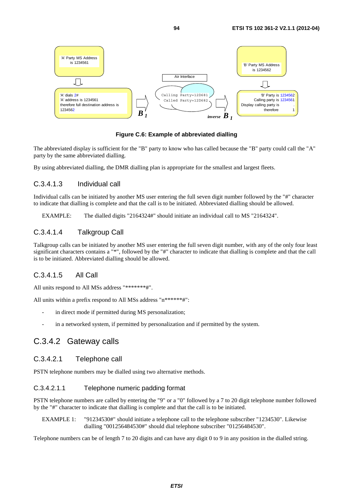

**Figure C.6: Example of abbreviated dialling** 

The abbreviated display is sufficient for the "B" party to know who has called because the "B" party could call the "A" party by the same abbreviated dialling.

By using abbreviated dialling, the DMR dialling plan is appropriate for the smallest and largest fleets.

#### C.3.4.1.3 Individual call

Individual calls can be initiated by another MS user entering the full seven digit number followed by the "#" character to indicate that dialling is complete and that the call is to be initiated. Abbreviated dialling should be allowed.

EXAMPLE: The dialled digits "2164324#" should initiate an individual call to MS "2164324".

### C.3.4.1.4 Talkgroup Call

Talkgroup calls can be initiated by another MS user entering the full seven digit number, with any of the only four least significant characters contains a "\*", followed by the "#" character to indicate that dialling is complete and that the call is to be initiated. Abbreviated dialling should be allowed.

### C.3.4.1.5 All Call

All units respond to All MSs address "\*\*\*\*\*\*\*#".

All units within a prefix respond to All MSs address "n\*\*\*\*\*\*#":

- in direct mode if permitted during MS personalization;
- in a networked system, if permitted by personalization and if permitted by the system.

### C.3.4.2 Gateway calls

#### C.3.4.2.1 Telephone call

PSTN telephone numbers may be dialled using two alternative methods.

### C.3.4.2.1.1 Telephone numeric padding format

PSTN telephone numbers are called by entering the "9" or a "0" followed by a 7 to 20 digit telephone number followed by the "#" character to indicate that dialling is complete and that the call is to be initiated.

EXAMPLE 1: "91234530#" should initiate a telephone call to the telephone subscriber "1234530". Likewise dialling "001256484530#" should dial telephone subscriber "01256484530".

Telephone numbers can be of length 7 to 20 digits and can have any digit 0 to 9 in any position in the dialled string.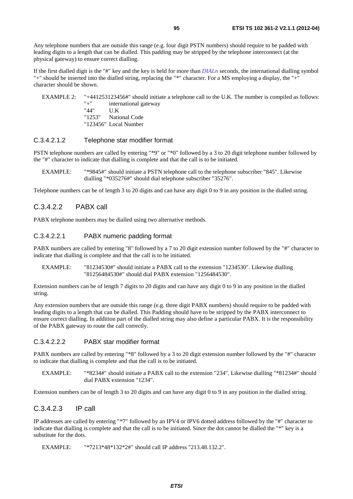Any telephone numbers that are outside this range (e.g. four digit PSTN numbers) should require to be padded with leading digits to a length that can be dialled. This padding may be stripped by the telephone interconnect (at the physical gateway) to ensure correct dialling.

If the first dialled digit is the "#" key and the key is held for more than *DIALn* seconds, the international dialling symbol "+" should be inserted into the dialled string, replacing the "\*" character. For a MS employing a display, the "+" character should be shown.

EXAMPLE 2: "+441253123456#" should initiate a telephone call to the U.K. The number is compiled as follows: "+" international gateway<br>" $44$ "  $11$  K "44" U.K<br>"1253" Nati National Code

"123456" Local Number

### C.3.4.2.1.2 Telephone star modifier format

PSTN telephone numbers are called by entering "\*9" or "\*0" followed by a 3 to 20 digit telephone number followed by the "#" character to indicate that dialling is complete and that the call is to be initiated.

EXAMPLE: "\*9845#" should initiate a PSTN telephone call to the telephone subscriber "845". Likewise dialling "\*035276#" should dial telephone subscriber "35276".

Telephone numbers can be of length 3 to 20 digits and can have any digit 0 to 9 in any position in the dialled string.

### C.3.4.2.2 PABX call

PABX telephone numbers may be dialled using two alternative methods.

#### C.3.4.2.2.1 PABX numeric padding format

PABX numbers are called by entering "8" followed by a 7 to 20 digit extension number followed by the "#" character to indicate that dialling is complete and that the call is to be initiated.

EXAMPLE: "81234530#" should initiate a PABX call to the extension "1234530". Likewise dialling "81256484530#" should dial PABX extension "1256484530".

Extension numbers can be of length 7 digits to 20 digits and can have any digit 0 to 9 in any position in the dialled string.

Any extension numbers that are outside this range (e.g. three digit PABX numbers) should require to be padded with leading digits to a length that can be dialled. This Padding should have to be stripped by the PABX interconnect to ensure correct dialling. In addition part of the dialled string may also define a particular PABX. It is the responsibility of the PABX gateway to route the call correctly.

#### C.3.4.2.2.2 PABX star modifier format

PABX numbers are called by entering "\*8" followed by a 3 to 20 digit extension number followed by the "#" character to indicate that dialling is complete and that the call is to be initiated.

EXAMPLE: "\*8234#" should initiate a PABX call to the extension "234". Likewise dialling "\*81234#" should dial PABX extension "1234".

Extension numbers can be of length 3 to 20 digits and can have any digit 0 to 9 in any position in the dialled string.

### C.3.4.2.3 IP call

IP addresses are called by entering "\*7" followed by an IPV4 or IPV6 dotted address followed by the "#" character to indicate that dialling is complete and that the call is to be initiated. Since the dot cannot be dialled the "\*" key is a substitute for the dots.

EXAMPLE: "\*7213\*48\*132\*2#" should call IP address "213.48.132.2".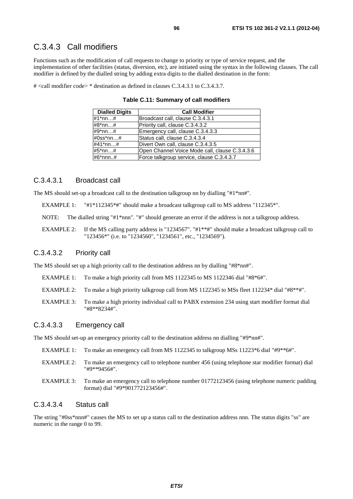### C.3.4.3 Call modifiers

Functions such as the modification of call requests to change to priority or type of service request, and the implementation of other facilities (status, diversion, etc), are initiated using the syntax in the following clauses. The call modifier is defined by the dialled string by adding extra digits to the dialled destination in the form:

# <call modifier code> \* destination as defined in clauses C.3.4.3.1 to C.3.4.3.7.

| <b>Dialled Digits</b> | <b>Call Modifier</b>                           |
|-----------------------|------------------------------------------------|
| #1*nn…#               | Broadcast call, clause C.3.4.3.1               |
| #8*nn…#               | Priority call, clause C.3.4.3.2                |
| #9*nn…#               | Emergency call, clause C.3.4.3.3               |
| #0ss*nn…#             | Status call, clause C.3.4.3.4                  |
| #41*nn…#              | Divert Own call, clause C.3.4.3.5              |
| #5*nn…#               | Open Channel Voice Mode call, clause C.3.4.3.6 |
| #6*nnn#               | Force talkgroup service, clause C.3.4.3.7      |

**Table C.11: Summary of call modifiers** 

#### C.3.4.3.1 Broadcast call

The MS should set-up a broadcast call to the destination talkgroup nn by dialling "#1\*nn#".

EXAMPLE 1: "#1\*112345\*#" should make a broadcast talkgroup call to MS address "112345\*".

NOTE: The dialled string "#1\*nnn". "#" should generate an error if the address is not a talkgroup address.

EXAMPLE 2: If the MS calling party address is "1234567". "#1\*\*#" should make a broadcast talkgroup call to "123456\*" (i.e. to "1234560", "1234561", etc., "1234569").

### C.3.4.3.2 Priority call

The MS should set up a high priority call to the destination address nn by dialling "#8\*nn#".

- EXAMPLE 1: To make a high priority call from MS 1122345 to MS 1122346 dial "#8\*6#".
- EXAMPLE 2: To make a high priority talkgroup call from MS 1122345 to MSs fleet 112234\* dial "#8\*\*#".
- EXAMPLE 3: To make a high priority individual call to PABX extension 234 using start modifier format dial "#8\*\*8234#".

### C.3.4.3.3 Emergency call

The MS should set-up an emergency priority call to the destination address nn dialling "#9\*nn#".

- EXAMPLE 1: To make an emergency call from MS 1122345 to talkgroup MSs 11223\*6 dial "#9\*\*6#".
- EXAMPLE 2: To make an emergency call to telephone number 456 (using telephone star modifier format) dial "#9\*\*9456#".
- EXAMPLE 3: To make an emergency call to telephone number 01772123456 (using telephone numeric padding format) dial "#9\*901772123456#".

### C.3.4.3.4 Status call

The string "#0ss\*nnn#" causes the MS to set up a status call to the destination address nnn. The status digits "ss" are numeric in the range 0 to 99.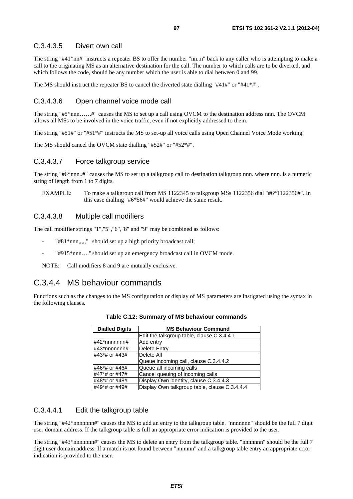### C.3.4.3.5 Divert own call

The string "#41\*nn#" instructs a repeater BS to offer the number "nn..n" back to any caller who is attempting to make a call to the originating MS as an alternative destination for the call. The number to which calls are to be diverted, and which follows the code, should be any number which the user is able to dial between 0 and 99.

The MS should instruct the repeater BS to cancel the diverted state dialling "#41#" or "#41\*#".

### C.3.4.3.6 Open channel voice mode call

The string "#5\*nnn……#" causes the MS to set up a call using OVCM to the destination address nnn. The OVCM allows all MSs to be involved in the voice traffic, even if not explicitly addressed to them.

The string "#51#" or "#51\*#" instructs the MS to set-up all voice calls using Open Channel Voice Mode working.

The MS should cancel the OVCM state dialling "#52#" or "#52\*#".

#### C.3.4.3.7 Force talkgroup service

The string "#6\*nnn..#" causes the MS to set up a talkgroup call to destination talkgroup nnn. where nnn. is a numeric string of length from 1 to 7 digits.

EXAMPLE: To make a talkgroup call from MS 1122345 to talkgroup MSs 1122356 dial "#6\*1122356#". In this case dialling "#6\*56#" would achieve the same result.

#### C.3.4.3.8 Multiple call modifiers

The call modifier strings "1","5","6","8" and "9" may be combined as follows:

- "#81\*nnn,,,,," should set up a high priority broadcast call;
- "#915\*nnn...." should set up an emergency broadcast call in OVCM mode.

NOTE: Call modifiers 8 and 9 are mutually exclusive.

### C.3.4.4 MS behaviour commands

Functions such as the changes to the MS configuration or display of MS parameters are instigated using the syntax in the following clauses.

| <b>Dialled Digits</b> | <b>MS Behaviour Command</b>                   |  |
|-----------------------|-----------------------------------------------|--|
|                       | Edit the talkgroup table, clause C.3.4.4.1    |  |
| $\#42^*$ nnnnnn#      | Add entry                                     |  |
| #43*nnnnnnn#          | <b>Delete Entry</b>                           |  |
| #43*# or #43#         | Delete All                                    |  |
|                       | Queue incoming call, clause C.3.4.4.2         |  |
| #46*# or #46#         | Queue all incoming calls                      |  |
| #47*# or #47#         | Cancel queuing of incoming calls              |  |
| #48*# or #48#         | Display Own identity, clause C.3.4.4.3        |  |
| #49*# or #49#         | Display Own talkgroup table, clause C.3.4.4.4 |  |

**Table C.12: Summary of MS behaviour commands** 

### C.3.4.4.1 Edit the talkgroup table

The string "#42\*nnnnnnn#" causes the MS to add an entry to the talkgroup table. "nnnnnnn" should be the full 7 digit user domain address. If the talkgroup table is full an appropriate error indication is provided to the user.

The string "#43\*nnnnnnn#" causes the MS to delete an entry from the talkgroup table. "nnnnnnn" should be the full 7 digit user domain address. If a match is not found between "nnnnnn" and a talkgroup table entry an appropriate error indication is provided to the user.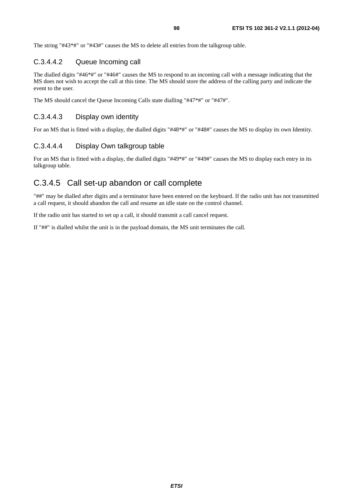The string "#43\*#" or "#43#" causes the MS to delete all entries from the talkgroup table.

### C.3.4.4.2 Queue Incoming call

The dialled digits "#46\*#" or "#46#" causes the MS to respond to an incoming call with a message indicating that the MS does not wish to accept the call at this time. The MS should store the address of the calling party and indicate the event to the user.

The MS should cancel the Queue Incoming Calls state dialling "#47\*#" or "#47#".

### C.3.4.4.3 Display own identity

For an MS that is fitted with a display, the dialled digits "#48\*#" or "#48#" causes the MS to display its own Identity.

### C.3.4.4.4 Display Own talkgroup table

For an MS that is fitted with a display, the dialled digits "#49\*#" or "#49#" causes the MS to display each entry in its talkgroup table.

### C.3.4.5 Call set-up abandon or call complete

"##" may be dialled after digits and a terminator have been entered on the keyboard. If the radio unit has not transmitted a call request, it should abandon the call and resume an idle state on the control channel.

If the radio unit has started to set up a call, it should transmit a call cancel request.

If "##" is dialled whilst the unit is in the payload domain, the MS unit terminates the call.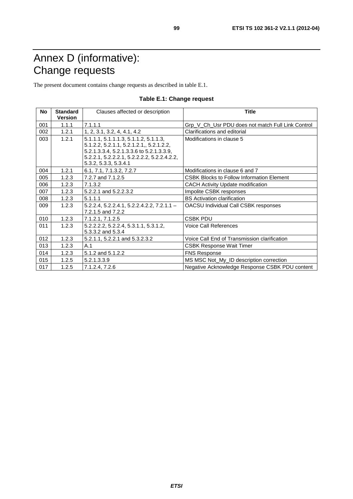# Annex D (informative): Change requests

The present document contains change requests as described in table E.1.

| <b>No</b> | <b>Standard</b> | Clauses affected or description                                   | Title                                             |
|-----------|-----------------|-------------------------------------------------------------------|---------------------------------------------------|
|           | <b>Version</b>  |                                                                   |                                                   |
| 001       | 1.1.1           | 7.1.1.1                                                           | Grp V Ch Usr PDU does not match Full Link Control |
| 002       | 1.2.1           | 1, 2, 3.1, 3.2, 4, 4.1, 4.2                                       | Clarifications and editorial                      |
| 003       | 1.2.1           | 5.1.1.1, 5.1.1.1.3, 5.1.1.2, 5.1.1.3,                             | Modifications in clause 5                         |
|           |                 | 5.1.2.2, 5.2.1.1, 5.2.1.2.1,, 5.2.1.2.2,                          |                                                   |
|           |                 | 5.2.1.3.3.4, 5.2.1.3.3.6 to 5.2.1.3.3.9,                          |                                                   |
|           |                 | 5.2.2.1, 5.2.2.2.1, 5.2.2.2.2, 5.2.2.4.2.2,                       |                                                   |
|           |                 | 5.3.2, 5.3.3, 5.3.4.1                                             |                                                   |
| 004       | 1.2.1           | 6.1, 7.1, 7.1.3.2, 7.2.7                                          | Modifications in clause 6 and 7                   |
| 005       | 1.2.3           | 7.2.7 and 7.1.2.5                                                 | <b>CSBK Blocks to Follow Information Element</b>  |
| 006       | 1.2.3           | 7.1.3.2                                                           | <b>CACH Activity Update modification</b>          |
| 007       | 1.2.3           | 5.2.2.1 and 5.2.2.3.2                                             | Impolite CSBK responses                           |
| 008       | 1.2.3           | 5.1.1.1                                                           | <b>BS</b> Activation clarification                |
| 009       | 1.2.3           | $5.2.2.4, 5.2.2.4.1, 5.2.2.4.2.2, 7.2.1.1 -$<br>7.2.1.5 and 7.2.2 | OACSU Individual Call CSBK responses              |
| 010       | 1.2.3           | 7.1.2.1, 7.1.2.5                                                  | <b>CSBK PDU</b>                                   |
| 011       | 1.2.3           | 5.2.2.2.2, 5.2.2.4, 5.3.1.1, 5.3.1.2,                             | <b>Voice Call References</b>                      |
|           |                 | 5.3.3.2 and 5.3.4                                                 |                                                   |
| 012       | 1.2.3           | 5.2.1.1, 5.2.2.1 and 5.3.2.3.2                                    | Voice Call End of Transmission clarification      |
| 013       | 1.2.3           | A.1                                                               | <b>CSBK Response Wait Timer</b>                   |
| 014       | 1.2.3           | 5.1.2 and 5.1.2.2                                                 | <b>FNS Response</b>                               |
| 015       | 1.2.5           | 5.2.1.3.3.9                                                       | MS MSC Not_My_ID description correction           |
| 017       | 1.2.5           | 7.1.2.4, 7.2.6                                                    | Negative Acknowledge Response CSBK PDU content    |

### **Table E.1: Change request**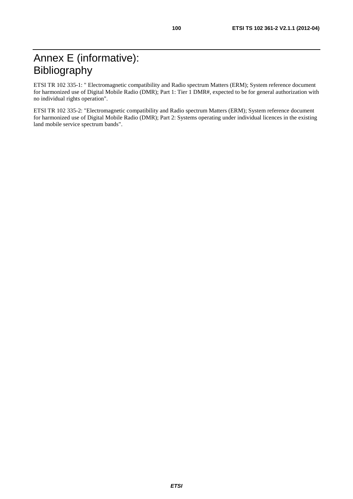ETSI TR 102 335-1: " Electromagnetic compatibility and Radio spectrum Matters (ERM); System reference document for harmonized use of Digital Mobile Radio (DMR); Part 1: Tier 1 DMR#, expected to be for general authorization with no individual rights operation".

ETSI TR 102 335-2: "Electromagnetic compatibility and Radio spectrum Matters (ERM); System reference document for harmonized use of Digital Mobile Radio (DMR); Part 2: Systems operating under individual licences in the existing land mobile service spectrum bands".